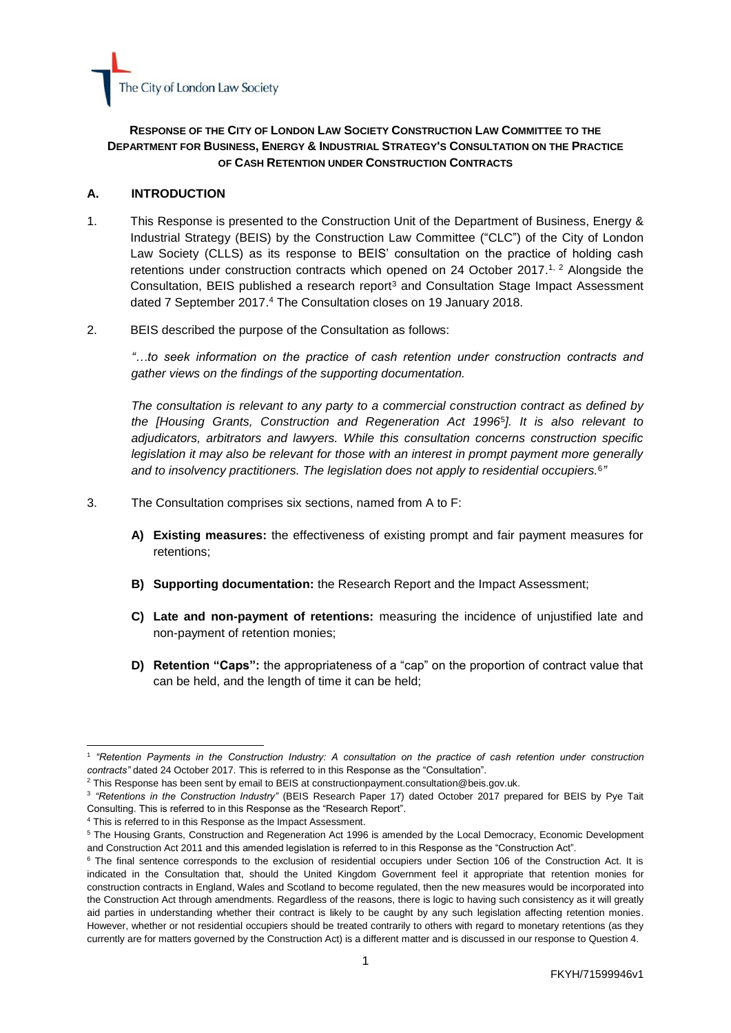

## **RESPONSE OF THE CITY OF LONDON LAW SOCIETY CONSTRUCTION LAW COMMITTEE TO THE DEPARTMENT FOR BUSINESS, ENERGY & INDUSTRIAL STRATEGY'S CONSULTATION ON THE PRACTICE OF CASH RETENTION UNDER CONSTRUCTION CONTRACTS**

#### **A. INTRODUCTION**

- 1. This Response is presented to the Construction Unit of the [Department of Business, Energy &](https://www.gov.uk/government/organisations/department-for-business-energy-and-industrial-strategy)  [Industrial Strategy](https://www.gov.uk/government/organisations/department-for-business-energy-and-industrial-strategy) (BEIS) by the [Construction Law Committee](http://www.citysolicitors.org.uk/index.php?option=com_content&view=category&id=117&Itemid=469) ("CLC") of the [City of London](http://www.citysolicitors.org.uk/index.php?option=com_content&view=article&id=71&Itemid=464)  [Law Society](http://www.citysolicitors.org.uk/index.php?option=com_content&view=article&id=71&Itemid=464) (CLLS) as its response to [BEIS' consultation on the practice of holding cash](https://www.gov.uk/government/consultations/retention-payments-in-the-construction-industry)  retentions [under construction contracts which opened on 24 October 2017.](https://www.gov.uk/government/consultations/retention-payments-in-the-construction-industry)<sup>1, 2</sup> Alongside the Consultation, BEIS published a research report<sup>3</sup> and Consultation Stage Impact Assessment dated 7 September 2017. <sup>4</sup> The Consultation closes on 19 January 2018.
- 2. BEIS described the purpose of the Consultation as follows:

*"…to seek information on the practice of cash retention under construction contracts and gather views on the findings of the supporting documentation.*

*The consultation is relevant to any party to a commercial construction contract as defined by the [\[Housing Grants, Construction and Regeneration Act 1996](http://www.legislation.gov.uk/ukpga/1996/53/contents)*<sup>5</sup> *]. It is also relevant to adjudicators, arbitrators and lawyers. While this consultation concerns construction specific legislation it may also be relevant for those with an interest in prompt payment more generally and to insolvency practitioners. The legislation does not apply to residential occupiers.*<sup>6</sup> *"*

- 3. The Consultation comprises six sections, named from A to F:
	- **A) Existing measures:** the effectiveness of existing prompt and fair payment measures for retentions;
	- **B) Supporting documentation:** the Research Report and the Impact Assessment;
	- **C) Late and non-payment of retentions:** measuring the incidence of unjustified late and non-payment of retention monies;
	- **D) Retention "Caps":** the appropriateness of a "cap" on the proportion of contract value that can be held, and the length of time it can be held;

 <sup>1</sup> "Retention Payments in the Construction Industry: A consultation on the practice of cash retention under construction *contracts"* dated 24 October 2017. This is referred to in this Response as the "Consultation".

 $2$  This Response has been sent by email to BEIS a[t constructionpayment.consultation@beis.gov.uk.](mailto:constructionpayment.consultation@beis.gov.uk)

<sup>3</sup> *"Retentions in the Construction Industry"* (BEIS Research Paper 17) dated October 2017 prepared for BEIS by Pye Tait Consulting. This is referred to in this Response as the "Research Report".

<sup>4</sup> This is referred to in this Response as the Impact Assessment.

<sup>5</sup> The Housing Grants, Construction and Regeneration Act 1996 is amended by the [Local Democracy, Economic Development](https://www.legislation.gov.uk/ukpga/2009/20/contents)  [and Construction Act 2011](https://www.legislation.gov.uk/ukpga/2009/20/contents) and this amended legislation is referred to in this Response as the "Construction Act".

<sup>&</sup>lt;sup>6</sup> The final sentence corresponds to the exclusion of residential occupiers under Section 106 of the Construction Act. It is indicated in the Consultation that, should the United Kingdom Government feel it appropriate that retention monies for construction contracts in England, Wales and Scotland to become regulated, then the new measures would be incorporated into the Construction Act through amendments. Regardless of the reasons, there is logic to having such consistency as it will greatly aid parties in understanding whether their contract is likely to be caught by any such legislation affecting retention monies. However, whether or not residential occupiers should be treated contrarily to others with regard to monetary retentions (as they currently are for matters governed by the Construction Act) is a different matter and is discussed in our response to Question 4.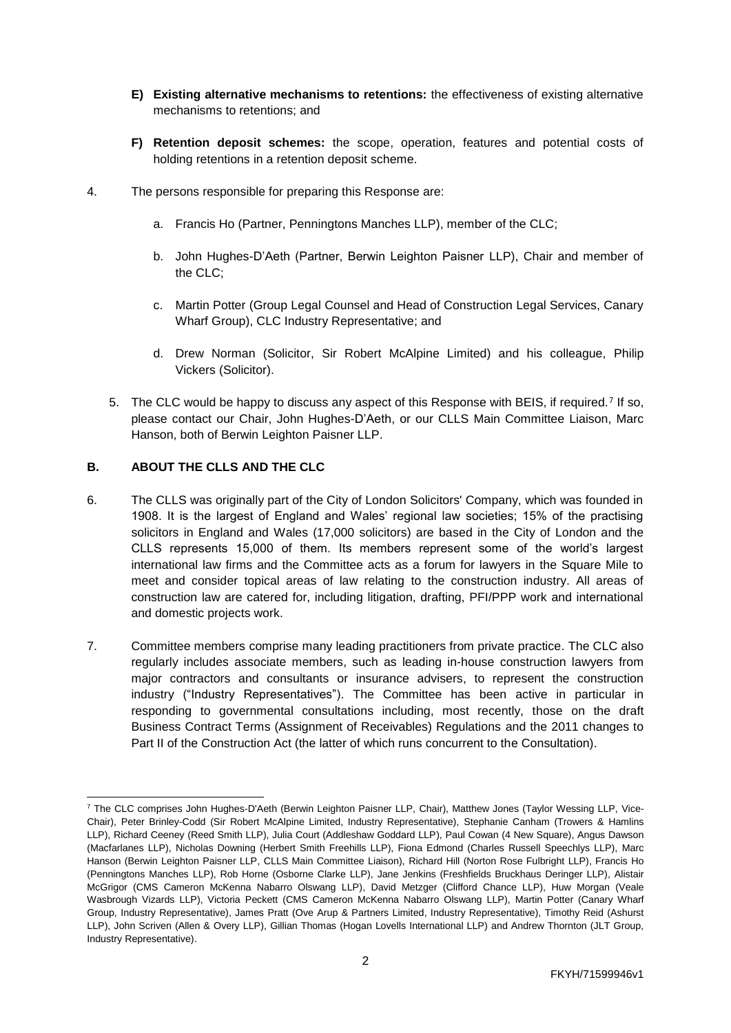- **E) Existing alternative mechanisms to retentions:** the effectiveness of existing alternative mechanisms to retentions; and
- **F) Retention deposit schemes:** the scope, operation, features and potential costs of holding retentions in a retention deposit scheme.
- 4. The persons responsible for preparing this Response are:
	- a. Francis Ho (Partner, Penningtons Manches LLP), member of the CLC;
	- b. John Hughes-D'Aeth (Partner, Berwin Leighton Paisner LLP), Chair and member of the CLC;
	- c. Martin Potter (Group Legal Counsel and Head of Construction Legal Services, Canary Wharf Group), CLC Industry Representative; and
	- d. Drew Norman (Solicitor, Sir Robert McAlpine Limited) and his colleague, Philip Vickers (Solicitor).
	- 5. The CLC would be happy to discuss any aspect of this Response with BEIS, if required.<sup>7</sup> If so, please contact our Chair, John Hughes-D'Aeth, or our CLLS Main Committee Liaison, Marc Hanson, both of Berwin Leighton Paisner LLP.

### **B. ABOUT THE CLLS AND THE CLC**

- 6. The CLLS was originally part of the City of London Solicitors' Company, which was founded in 1908. It is the largest of England and Wales' regional law societies; 15% of the practising solicitors in England and Wales (17,000 solicitors) are based in the City of London and the CLLS represents 15,000 of them. Its members represent some of the world's largest international law firms and the Committee acts as a forum for lawyers in the Square Mile to meet and consider topical areas of law relating to the construction industry. All areas of construction law are catered for, including litigation, drafting, PFI/PPP work and international and domestic projects work.
- 7. Committee members comprise many leading practitioners from private practice. The CLC also regularly includes associate members, such as leading in-house construction lawyers from major contractors and consultants or insurance advisers, to represent the construction industry ("Industry Representatives"). The Committee has been active in particular in responding to governmental consultations including, most recently, those on the [draft](http://www.citysolicitors.org.uk/attachments/category/117/CLLS%20-%20Note%20to%20BEIS%20on%20Business%20Receivables%20legislation%20-%2020%2011%2017.pdf)  [Business Contract Terms \(Assignment of Receivables\) Regulations a](http://www.citysolicitors.org.uk/attachments/category/117/CLLS%20-%20Note%20to%20BEIS%20on%20Business%20Receivables%20legislation%20-%2020%2011%2017.pdf)nd the [2011 changes to](https://www.gov.uk/government/consultations/2011-changes-to-part-2-of-the-housing-grants-construction-and-regeneration-act-1996)  [Part II of the Construction Act \(the latter of which runs concurrent to the](https://www.gov.uk/government/consultations/2011-changes-to-part-2-of-the-housing-grants-construction-and-regeneration-act-1996) Consultation).

 <sup>7</sup> The CLC comprises John Hughes-D'Aeth (Berwin Leighton Paisner LLP, Chair), Matthew Jones (Taylor Wessing LLP, Vice-Chair), Peter Brinley-Codd (Sir Robert McAlpine Limited, Industry Representative), Stephanie Canham (Trowers & Hamlins LLP), Richard Ceeney (Reed Smith LLP), Julia Court (Addleshaw Goddard LLP), Paul Cowan (4 New Square), Angus Dawson (Macfarlanes LLP), Nicholas Downing (Herbert Smith Freehills LLP), Fiona Edmond (Charles Russell Speechlys LLP), Marc Hanson (Berwin Leighton Paisner LLP, CLLS Main Committee Liaison), Richard Hill (Norton Rose Fulbright LLP), Francis Ho (Penningtons Manches LLP), Rob Horne (Osborne Clarke LLP), Jane Jenkins (Freshfields Bruckhaus Deringer LLP), Alistair McGrigor (CMS Cameron McKenna Nabarro Olswang LLP), David Metzger (Clifford Chance LLP), Huw Morgan (Veale Wasbrough Vizards LLP), Victoria Peckett (CMS Cameron McKenna Nabarro Olswang LLP), Martin Potter (Canary Wharf Group, Industry Representative), James Pratt (Ove Arup & Partners Limited, Industry Representative), Timothy Reid (Ashurst LLP), John Scriven (Allen & Overy LLP), Gillian Thomas (Hogan Lovells International LLP) and Andrew Thornton (JLT Group, Industry Representative).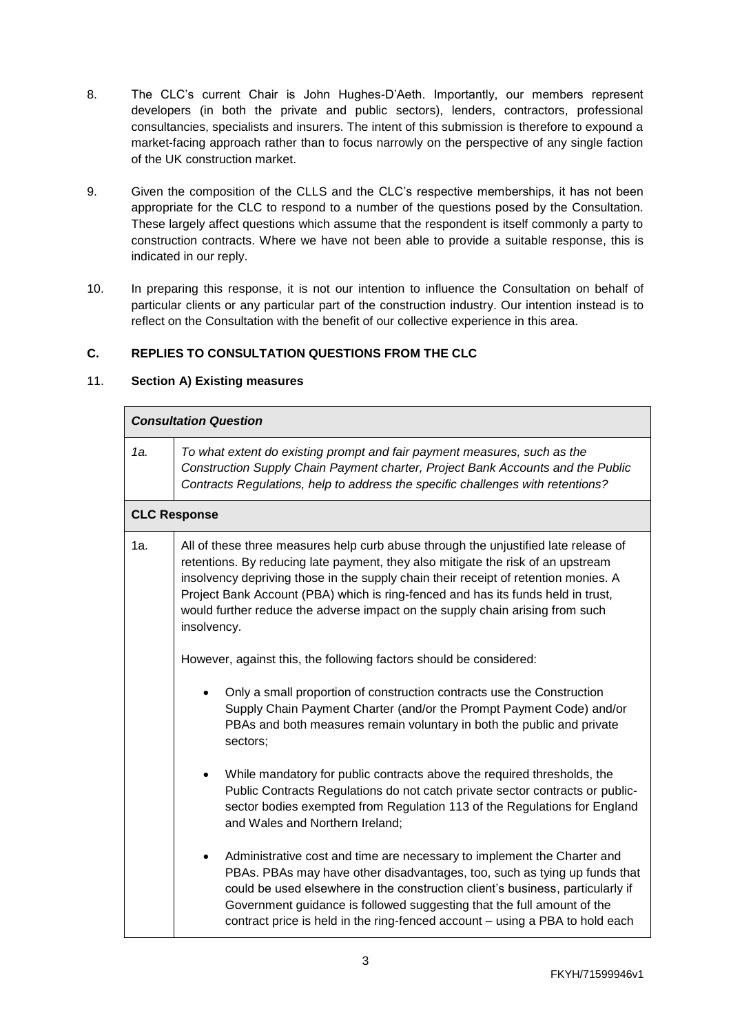- 8. The CLC's current Chair is John Hughes-D'Aeth. Importantly, our members represent developers (in both the private and public sectors), lenders, contractors, professional consultancies, specialists and insurers. The intent of this submission is therefore to expound a market-facing approach rather than to focus narrowly on the perspective of any single faction of the UK construction market.
- 9. Given the composition of the CLLS and the CLC's respective memberships, it has not been appropriate for the CLC to respond to a number of the questions posed by the Consultation. These largely affect questions which assume that the respondent is itself commonly a party to construction contracts. Where we have not been able to provide a suitable response, this is indicated in our reply.
- 10. In preparing this response, it is not our intention to influence the Consultation on behalf of particular clients or any particular part of the construction industry. Our intention instead is to reflect on the Consultation with the benefit of our collective experience in this area.

### **C. REPLIES TO CONSULTATION QUESTIONS FROM THE CLC**

### 11. **Section A) Existing measures**

|     | <b>Consultation Question</b>                                                                                                                                                                                                                                                                                                                                                                                                                       |
|-----|----------------------------------------------------------------------------------------------------------------------------------------------------------------------------------------------------------------------------------------------------------------------------------------------------------------------------------------------------------------------------------------------------------------------------------------------------|
| 1а. | To what extent do existing prompt and fair payment measures, such as the<br>Construction Supply Chain Payment charter, Project Bank Accounts and the Public<br>Contracts Regulations, help to address the specific challenges with retentions?                                                                                                                                                                                                     |
|     | <b>CLC Response</b>                                                                                                                                                                                                                                                                                                                                                                                                                                |
| 1a. | All of these three measures help curb abuse through the unjustified late release of<br>retentions. By reducing late payment, they also mitigate the risk of an upstream<br>insolvency depriving those in the supply chain their receipt of retention monies. A<br>Project Bank Account (PBA) which is ring-fenced and has its funds held in trust,<br>would further reduce the adverse impact on the supply chain arising from such<br>insolvency. |
|     | However, against this, the following factors should be considered:                                                                                                                                                                                                                                                                                                                                                                                 |
|     | Only a small proportion of construction contracts use the Construction<br>Supply Chain Payment Charter (and/or the Prompt Payment Code) and/or<br>PBAs and both measures remain voluntary in both the public and private<br>sectors;                                                                                                                                                                                                               |
|     | While mandatory for public contracts above the required thresholds, the<br>$\bullet$<br>Public Contracts Regulations do not catch private sector contracts or public-<br>sector bodies exempted from Regulation 113 of the Regulations for England<br>and Wales and Northern Ireland;                                                                                                                                                              |
|     | Administrative cost and time are necessary to implement the Charter and<br>PBAs. PBAs may have other disadvantages, too, such as tying up funds that<br>could be used elsewhere in the construction client's business, particularly if<br>Government guidance is followed suggesting that the full amount of the<br>contract price is held in the ring-fenced account – using a PBA to hold each                                                   |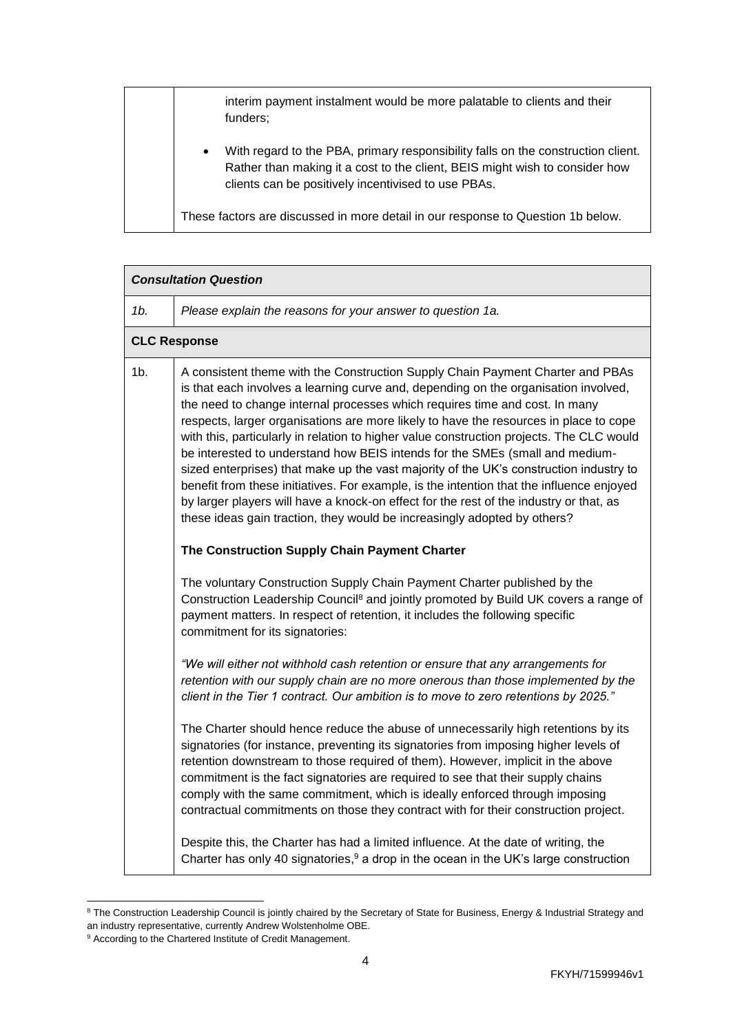| interim payment instalment would be more palatable to clients and their<br>funders;                                                                                                                                                 |
|-------------------------------------------------------------------------------------------------------------------------------------------------------------------------------------------------------------------------------------|
| With regard to the PBA, primary responsibility falls on the construction client.<br>$\bullet$<br>Rather than making it a cost to the client, BEIS might wish to consider how<br>clients can be positively incentivised to use PBAs. |
| These factors are discussed in more detail in our response to Question 1b below.                                                                                                                                                    |

| <b>Consultation Question</b> |                                                                                                                                                                                                                                                                                                                                                                                                                                                                                                                                                                                                                                                                                                                                                                                                                                                                                       |
|------------------------------|---------------------------------------------------------------------------------------------------------------------------------------------------------------------------------------------------------------------------------------------------------------------------------------------------------------------------------------------------------------------------------------------------------------------------------------------------------------------------------------------------------------------------------------------------------------------------------------------------------------------------------------------------------------------------------------------------------------------------------------------------------------------------------------------------------------------------------------------------------------------------------------|
| 1b.                          | Please explain the reasons for your answer to question 1a.                                                                                                                                                                                                                                                                                                                                                                                                                                                                                                                                                                                                                                                                                                                                                                                                                            |
|                              | <b>CLC Response</b>                                                                                                                                                                                                                                                                                                                                                                                                                                                                                                                                                                                                                                                                                                                                                                                                                                                                   |
| $1b$ .                       | A consistent theme with the Construction Supply Chain Payment Charter and PBAs<br>is that each involves a learning curve and, depending on the organisation involved,<br>the need to change internal processes which requires time and cost. In many<br>respects, larger organisations are more likely to have the resources in place to cope<br>with this, particularly in relation to higher value construction projects. The CLC would<br>be interested to understand how BEIS intends for the SMEs (small and medium-<br>sized enterprises) that make up the vast majority of the UK's construction industry to<br>benefit from these initiatives. For example, is the intention that the influence enjoyed<br>by larger players will have a knock-on effect for the rest of the industry or that, as<br>these ideas gain traction, they would be increasingly adopted by others? |
|                              | The Construction Supply Chain Payment Charter                                                                                                                                                                                                                                                                                                                                                                                                                                                                                                                                                                                                                                                                                                                                                                                                                                         |
|                              | The voluntary Construction Supply Chain Payment Charter published by the<br>Construction Leadership Council <sup>8</sup> and jointly promoted by Build UK covers a range of<br>payment matters. In respect of retention, it includes the following specific<br>commitment for its signatories:                                                                                                                                                                                                                                                                                                                                                                                                                                                                                                                                                                                        |
|                              | "We will either not withhold cash retention or ensure that any arrangements for<br>retention with our supply chain are no more onerous than those implemented by the<br>client in the Tier 1 contract. Our ambition is to move to zero retentions by 2025."                                                                                                                                                                                                                                                                                                                                                                                                                                                                                                                                                                                                                           |
|                              | The Charter should hence reduce the abuse of unnecessarily high retentions by its<br>signatories (for instance, preventing its signatories from imposing higher levels of<br>retention downstream to those required of them). However, implicit in the above<br>commitment is the fact signatories are required to see that their supply chains<br>comply with the same commitment, which is ideally enforced through imposing<br>contractual commitments on those they contract with for their construction project.                                                                                                                                                                                                                                                                                                                                                                 |
|                              | Despite this, the Charter has had a limited influence. At the date of writing, the<br>Charter has only 40 signatories, <sup>9</sup> a drop in the ocean in the UK's large construction                                                                                                                                                                                                                                                                                                                                                                                                                                                                                                                                                                                                                                                                                                |

<sup>&</sup>lt;sup>8</sup> The Construction Leadership Council is jointly chaired by the Secretary of State for Business, Energy & Industrial Strategy and an industry representative, currently Andrew Wolstenholme OBE.

 $\overline{a}$ 

<sup>&</sup>lt;sup>9</sup> According to the [Chartered Institute of Credit Management.](http://www.cicm.com/)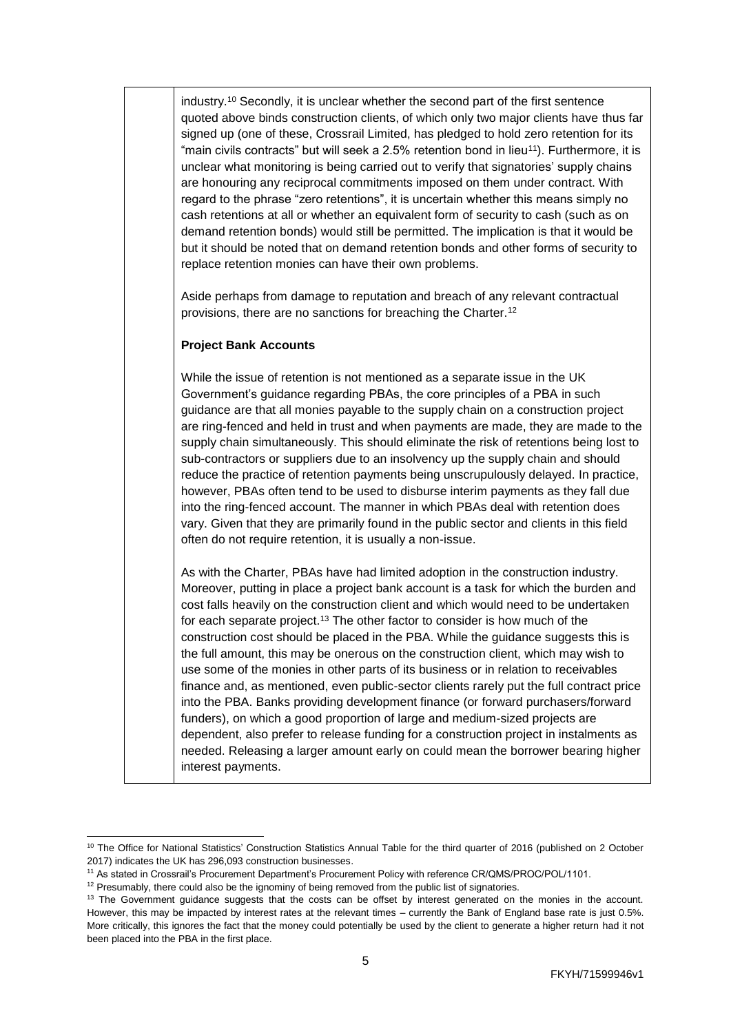industry.<sup>10</sup> Secondly, it is unclear whether the second part of the first sentence quoted above binds construction clients, of which only two major clients have thus far signed up (one of these, Crossrail Limited, has pledged to hold zero retention for its "main civils contracts" but will seek a  $2.5%$  retention bond in lieu<sup>11</sup>). Furthermore, it is unclear what monitoring is being carried out to verify that signatories' supply chains are honouring any reciprocal commitments imposed on them under contract. With regard to the phrase "zero retentions", it is uncertain whether this means simply no cash retentions at all or whether an equivalent form of security to cash (such as on demand retention bonds) would still be permitted. The implication is that it would be but it should be noted that on demand retention bonds and other forms of security to replace retention monies can have their own problems.

Aside perhaps from damage to reputation and breach of any relevant contractual provisions, there are no sanctions for breaching the Charter.<sup>12</sup>

#### **Project Bank Accounts**

While the issue of retention is not mentioned as a separate issue in the UK Government's guidance regarding PBAs, the core principles of a PBA in such guidance are that all monies payable to the supply chain on a construction project are ring-fenced and held in trust and when payments are made, they are made to the supply chain simultaneously. This should eliminate the risk of retentions being lost to sub-contractors or suppliers due to an insolvency up the supply chain and should reduce the practice of retention payments being unscrupulously delayed. In practice, however, PBAs often tend to be used to disburse interim payments as they fall due into the ring-fenced account. The manner in which PBAs deal with retention does vary. Given that they are primarily found in the public sector and clients in this field often do not require retention, it is usually a non-issue.

As with the Charter, PBAs have had limited adoption in the construction industry. Moreover, putting in place a project bank account is a task for which the burden and cost falls heavily on the construction client and which would need to be undertaken for each separate project.<sup>13</sup> The other factor to consider is how much of the construction cost should be placed in the PBA. While the guidance suggests this is the full amount, this may be onerous on the construction client, which may wish to use some of the monies in other parts of its business or in relation to receivables finance and, as mentioned, even public-sector clients rarely put the full contract price into the PBA. Banks providing development finance (or forward purchasers/forward funders), on which a good proportion of large and medium-sized projects are dependent, also prefer to release funding for a construction project in instalments as needed. Releasing a larger amount early on could mean the borrower bearing higher interest payments.

 $\overline{a}$ <sup>10</sup> [The Office for National Statistics'](https://www.ons.gov.uk/) Construction Statistics Annual Table for the third quarter of 2016 (published on 2 October 2017) indicates the UK has 296,093 construction businesses.

<sup>11</sup> As stated in Crossrail's Procurement Department's Procurement Policy with reference CR/QMS/PROC/POL/1101.

<sup>&</sup>lt;sup>12</sup> Presumably, there could also be the ignominy of being removed from the public list of signatories.

<sup>&</sup>lt;sup>13</sup> The Government quidance suggests that the costs can be offset by interest generated on the monies in the account. However, this may be impacted by interest rates at the relevant times – currently the [Bank of England base rate](http://www.bankofengland.co.uk/boeapps/iadb/Repo.asp) is just 0.5%. More critically, this ignores the fact that the money could potentially be used by the client to generate a higher return had it not been placed into the PBA in the first place.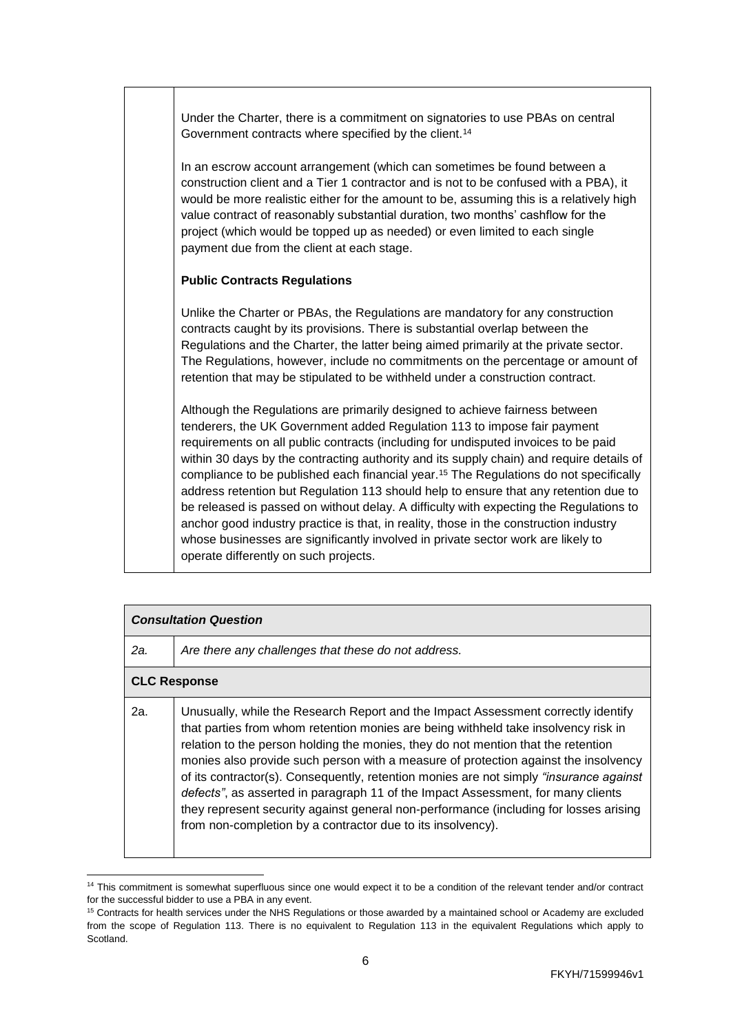Under the Charter, there is a commitment on signatories to use PBAs on central Government contracts where specified by the client.<sup>14</sup>

In an escrow account arrangement (which can sometimes be found between a construction client and a Tier 1 contractor and is not to be confused with a PBA), it would be more realistic either for the amount to be, assuming this is a relatively high value contract of reasonably substantial duration, two months' cashflow for the project (which would be topped up as needed) or even limited to each single payment due from the client at each stage.

#### **Public Contracts Regulations**

Unlike the Charter or PBAs, the Regulations are mandatory for any construction contracts caught by its provisions. There is substantial overlap between the Regulations and the Charter, the latter being aimed primarily at the private sector. The Regulations, however, include no commitments on the percentage or amount of retention that may be stipulated to be withheld under a construction contract.

Although the Regulations are primarily designed to achieve fairness between tenderers, the UK Government added Regulation 113 to impose fair payment requirements on all public contracts (including for undisputed invoices to be paid within 30 days by the contracting authority and its supply chain) and require details of compliance to be published each financial year.<sup>15</sup> The Regulations do not specifically address retention but Regulation 113 should help to ensure that any retention due to be released is passed on without delay. A difficulty with expecting the Regulations to anchor good industry practice is that, in reality, those in the construction industry whose businesses are significantly involved in private sector work are likely to operate differently on such projects.

|     | <b>Consultation Question</b>                                                                                                                                                                                                                                                                                                                                                                                                                                                                                                                                                                                                                                                                      |  |
|-----|---------------------------------------------------------------------------------------------------------------------------------------------------------------------------------------------------------------------------------------------------------------------------------------------------------------------------------------------------------------------------------------------------------------------------------------------------------------------------------------------------------------------------------------------------------------------------------------------------------------------------------------------------------------------------------------------------|--|
| 2a. | Are there any challenges that these do not address.                                                                                                                                                                                                                                                                                                                                                                                                                                                                                                                                                                                                                                               |  |
|     | <b>CLC Response</b>                                                                                                                                                                                                                                                                                                                                                                                                                                                                                                                                                                                                                                                                               |  |
| 2a. | Unusually, while the Research Report and the Impact Assessment correctly identify<br>that parties from whom retention monies are being withheld take insolvency risk in<br>relation to the person holding the monies, they do not mention that the retention<br>monies also provide such person with a measure of protection against the insolvency<br>of its contractor(s). Consequently, retention monies are not simply " <i>insurance against</i><br>defects", as asserted in paragraph 11 of the Impact Assessment, for many clients<br>they represent security against general non-performance (including for losses arising<br>from non-completion by a contractor due to its insolvency). |  |

 <sup>14</sup> This commitment is somewhat superfluous since one would expect it to be a condition of the relevant tender and/or contract for the successful bidder to use a PBA in any event.

<sup>&</sup>lt;sup>15</sup> Contracts for health services under the NHS Regulations or those awarded by a maintained school or Academy are excluded from the scope of Regulation 113. There is no equivalent to Regulation 113 in the equivalent Regulations which apply to Scotland.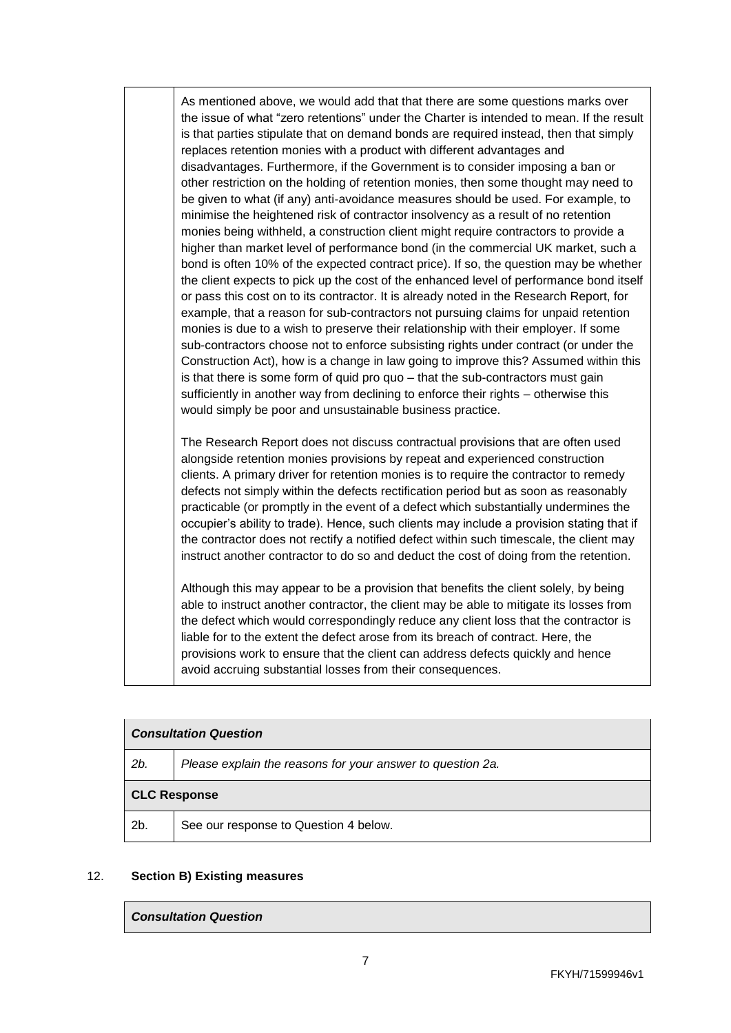As mentioned above, we would add that that there are some questions marks over the issue of what "zero retentions" under the Charter is intended to mean. If the result is that parties stipulate that on demand bonds are required instead, then that simply replaces retention monies with a product with different advantages and disadvantages. Furthermore, if the Government is to consider imposing a ban or other restriction on the holding of retention monies, then some thought may need to be given to what (if any) anti-avoidance measures should be used. For example, to minimise the heightened risk of contractor insolvency as a result of no retention monies being withheld, a construction client might require contractors to provide a higher than market level of performance bond (in the commercial UK market, such a bond is often 10% of the expected contract price). If so, the question may be whether the client expects to pick up the cost of the enhanced level of performance bond itself or pass this cost on to its contractor. It is already noted in the Research Report, for example, that a reason for sub-contractors not pursuing claims for unpaid retention monies is due to a wish to preserve their relationship with their employer. If some sub-contractors choose not to enforce subsisting rights under contract (or under the Construction Act), how is a change in law going to improve this? Assumed within this is that there is some form of quid pro quo – that the sub-contractors must gain sufficiently in another way from declining to enforce their rights – otherwise this would simply be poor and unsustainable business practice.

The Research Report does not discuss contractual provisions that are often used alongside retention monies provisions by repeat and experienced construction clients. A primary driver for retention monies is to require the contractor to remedy defects not simply within the defects rectification period but as soon as reasonably practicable (or promptly in the event of a defect which substantially undermines the occupier's ability to trade). Hence, such clients may include a provision stating that if the contractor does not rectify a notified defect within such timescale, the client may instruct another contractor to do so and deduct the cost of doing from the retention.

Although this may appear to be a provision that benefits the client solely, by being able to instruct another contractor, the client may be able to mitigate its losses from the defect which would correspondingly reduce any client loss that the contractor is liable for to the extent the defect arose from its breach of contract. Here, the provisions work to ensure that the client can address defects quickly and hence avoid accruing substantial losses from their consequences.

| <b>Consultation Question</b> |                                                            |
|------------------------------|------------------------------------------------------------|
| 2b.                          | Please explain the reasons for your answer to question 2a. |
| <b>CLC Response</b>          |                                                            |
| 2 <sub>b</sub>               | See our response to Question 4 below.                      |

#### 12. **Section B) Existing measures**

#### *Consultation Question*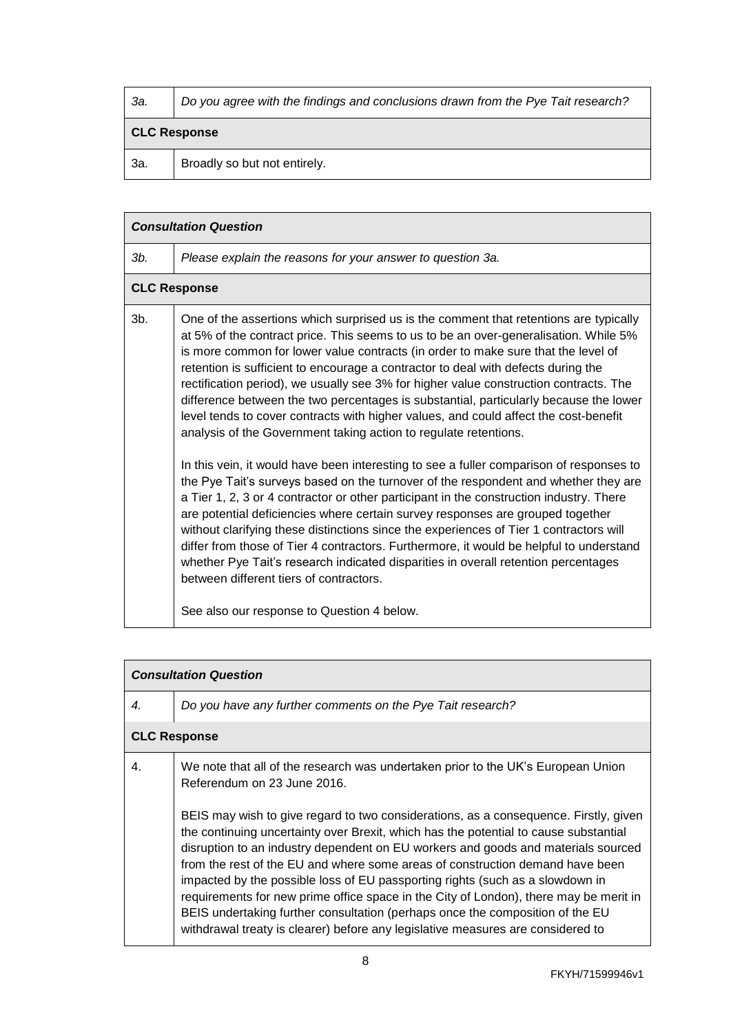| За. | Do you agree with the findings and conclusions drawn from the Pye Tait research? |
|-----|----------------------------------------------------------------------------------|
|     |                                                                                  |

# **CLC Response**

| Broadly so but not entirely.<br>- За. |  |
|---------------------------------------|--|
|---------------------------------------|--|

|        | <b>Consultation Question</b>                                                                                                                                                                                                                                                                                                                                                                                                                                                                                                                                                                                                                                                                                                                                                                                                                                                                                                                                                                                                                                                                                                                                                                                                                                                                                                                                                                                                             |
|--------|------------------------------------------------------------------------------------------------------------------------------------------------------------------------------------------------------------------------------------------------------------------------------------------------------------------------------------------------------------------------------------------------------------------------------------------------------------------------------------------------------------------------------------------------------------------------------------------------------------------------------------------------------------------------------------------------------------------------------------------------------------------------------------------------------------------------------------------------------------------------------------------------------------------------------------------------------------------------------------------------------------------------------------------------------------------------------------------------------------------------------------------------------------------------------------------------------------------------------------------------------------------------------------------------------------------------------------------------------------------------------------------------------------------------------------------|
| Зb.    | Please explain the reasons for your answer to question 3a.                                                                                                                                                                                                                                                                                                                                                                                                                                                                                                                                                                                                                                                                                                                                                                                                                                                                                                                                                                                                                                                                                                                                                                                                                                                                                                                                                                               |
|        | <b>CLC Response</b>                                                                                                                                                                                                                                                                                                                                                                                                                                                                                                                                                                                                                                                                                                                                                                                                                                                                                                                                                                                                                                                                                                                                                                                                                                                                                                                                                                                                                      |
| $3b$ . | One of the assertions which surprised us is the comment that retentions are typically<br>at 5% of the contract price. This seems to us to be an over-generalisation. While 5%<br>is more common for lower value contracts (in order to make sure that the level of<br>retention is sufficient to encourage a contractor to deal with defects during the<br>rectification period), we usually see 3% for higher value construction contracts. The<br>difference between the two percentages is substantial, particularly because the lower<br>level tends to cover contracts with higher values, and could affect the cost-benefit<br>analysis of the Government taking action to regulate retentions.<br>In this vein, it would have been interesting to see a fuller comparison of responses to<br>the Pye Tait's surveys based on the turnover of the respondent and whether they are<br>a Tier 1, 2, 3 or 4 contractor or other participant in the construction industry. There<br>are potential deficiencies where certain survey responses are grouped together<br>without clarifying these distinctions since the experiences of Tier 1 contractors will<br>differ from those of Tier 4 contractors. Furthermore, it would be helpful to understand<br>whether Pye Tait's research indicated disparities in overall retention percentages<br>between different tiers of contractors.<br>See also our response to Question 4 below. |

|    | <b>Consultation Question</b>                                                                                                                                                                                                                                                                                                                                                                                                                                                                                                                                                                                                                                                                                                                                                                                        |
|----|---------------------------------------------------------------------------------------------------------------------------------------------------------------------------------------------------------------------------------------------------------------------------------------------------------------------------------------------------------------------------------------------------------------------------------------------------------------------------------------------------------------------------------------------------------------------------------------------------------------------------------------------------------------------------------------------------------------------------------------------------------------------------------------------------------------------|
| 4. | Do you have any further comments on the Pye Tait research?                                                                                                                                                                                                                                                                                                                                                                                                                                                                                                                                                                                                                                                                                                                                                          |
|    | <b>CLC Response</b>                                                                                                                                                                                                                                                                                                                                                                                                                                                                                                                                                                                                                                                                                                                                                                                                 |
| 4. | We note that all of the research was undertaken prior to the UK's European Union<br>Referendum on 23 June 2016.<br>BEIS may wish to give regard to two considerations, as a consequence. Firstly, given<br>the continuing uncertainty over Brexit, which has the potential to cause substantial<br>disruption to an industry dependent on EU workers and goods and materials sourced<br>from the rest of the EU and where some areas of construction demand have been<br>impacted by the possible loss of EU passporting rights (such as a slowdown in<br>requirements for new prime office space in the City of London), there may be merit in<br>BEIS undertaking further consultation (perhaps once the composition of the EU<br>withdrawal treaty is clearer) before any legislative measures are considered to |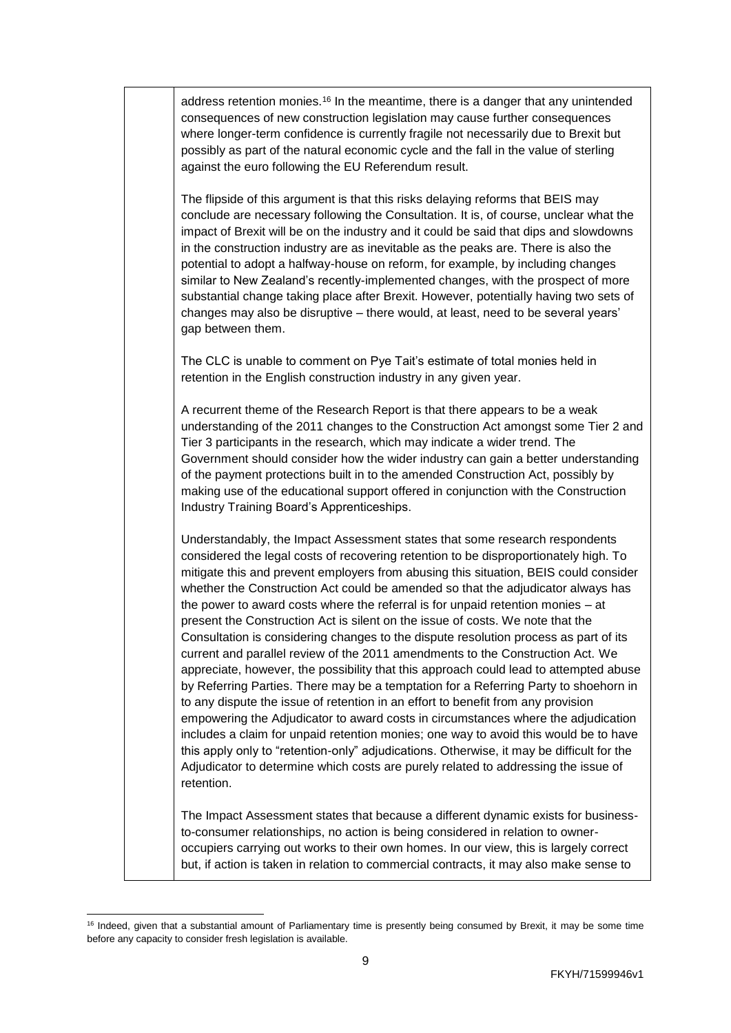| address retention monies. <sup>16</sup> In the meantime, there is a danger that any unintended<br>consequences of new construction legislation may cause further consequences<br>where longer-term confidence is currently fragile not necessarily due to Brexit but<br>possibly as part of the natural economic cycle and the fall in the value of sterling<br>against the euro following the EU Referendum result.                                                                                                                                                                                                                                                                                                                                                                                                                                                                                                                                                                                                                                                                                                                                                                                                                                                                                                                                |
|-----------------------------------------------------------------------------------------------------------------------------------------------------------------------------------------------------------------------------------------------------------------------------------------------------------------------------------------------------------------------------------------------------------------------------------------------------------------------------------------------------------------------------------------------------------------------------------------------------------------------------------------------------------------------------------------------------------------------------------------------------------------------------------------------------------------------------------------------------------------------------------------------------------------------------------------------------------------------------------------------------------------------------------------------------------------------------------------------------------------------------------------------------------------------------------------------------------------------------------------------------------------------------------------------------------------------------------------------------|
| The flipside of this argument is that this risks delaying reforms that BEIS may<br>conclude are necessary following the Consultation. It is, of course, unclear what the<br>impact of Brexit will be on the industry and it could be said that dips and slowdowns<br>in the construction industry are as inevitable as the peaks are. There is also the<br>potential to adopt a halfway-house on reform, for example, by including changes<br>similar to New Zealand's recently-implemented changes, with the prospect of more<br>substantial change taking place after Brexit. However, potentially having two sets of<br>changes may also be disruptive - there would, at least, need to be several years'<br>gap between them.                                                                                                                                                                                                                                                                                                                                                                                                                                                                                                                                                                                                                   |
| The CLC is unable to comment on Pye Tait's estimate of total monies held in<br>retention in the English construction industry in any given year.                                                                                                                                                                                                                                                                                                                                                                                                                                                                                                                                                                                                                                                                                                                                                                                                                                                                                                                                                                                                                                                                                                                                                                                                    |
| A recurrent theme of the Research Report is that there appears to be a weak<br>understanding of the 2011 changes to the Construction Act amongst some Tier 2 and<br>Tier 3 participants in the research, which may indicate a wider trend. The<br>Government should consider how the wider industry can gain a better understanding<br>of the payment protections built in to the amended Construction Act, possibly by<br>making use of the educational support offered in conjunction with the Construction<br>Industry Training Board's Apprenticeships.                                                                                                                                                                                                                                                                                                                                                                                                                                                                                                                                                                                                                                                                                                                                                                                         |
| Understandably, the Impact Assessment states that some research respondents<br>considered the legal costs of recovering retention to be disproportionately high. To<br>mitigate this and prevent employers from abusing this situation, BEIS could consider<br>whether the Construction Act could be amended so that the adjudicator always has<br>the power to award costs where the referral is for unpaid retention monies $-$ at<br>present the Construction Act is silent on the issue of costs. We note that the<br>Consultation is considering changes to the dispute resolution process as part of its<br>current and parallel review of the 2011 amendments to the Construction Act. We<br>appreciate, however, the possibility that this approach could lead to attempted abuse<br>by Referring Parties. There may be a temptation for a Referring Party to shoehorn in<br>to any dispute the issue of retention in an effort to benefit from any provision<br>empowering the Adjudicator to award costs in circumstances where the adjudication<br>includes a claim for unpaid retention monies; one way to avoid this would be to have<br>this apply only to "retention-only" adjudications. Otherwise, it may be difficult for the<br>Adjudicator to determine which costs are purely related to addressing the issue of<br>retention. |
| The Impact Assessment states that because a different dynamic exists for business-                                                                                                                                                                                                                                                                                                                                                                                                                                                                                                                                                                                                                                                                                                                                                                                                                                                                                                                                                                                                                                                                                                                                                                                                                                                                  |

to-consumer relationships, no action is being considered in relation to owneroccupiers carrying out works to their own homes. In our view, this is largely correct but, if action is taken in relation to commercial contracts, it may also make sense to

 $\overline{a}$ <sup>16</sup> Indeed, given that a substantial amount of Parliamentary time is presently being consumed by Brexit, it may be some time before any capacity to consider fresh legislation is available.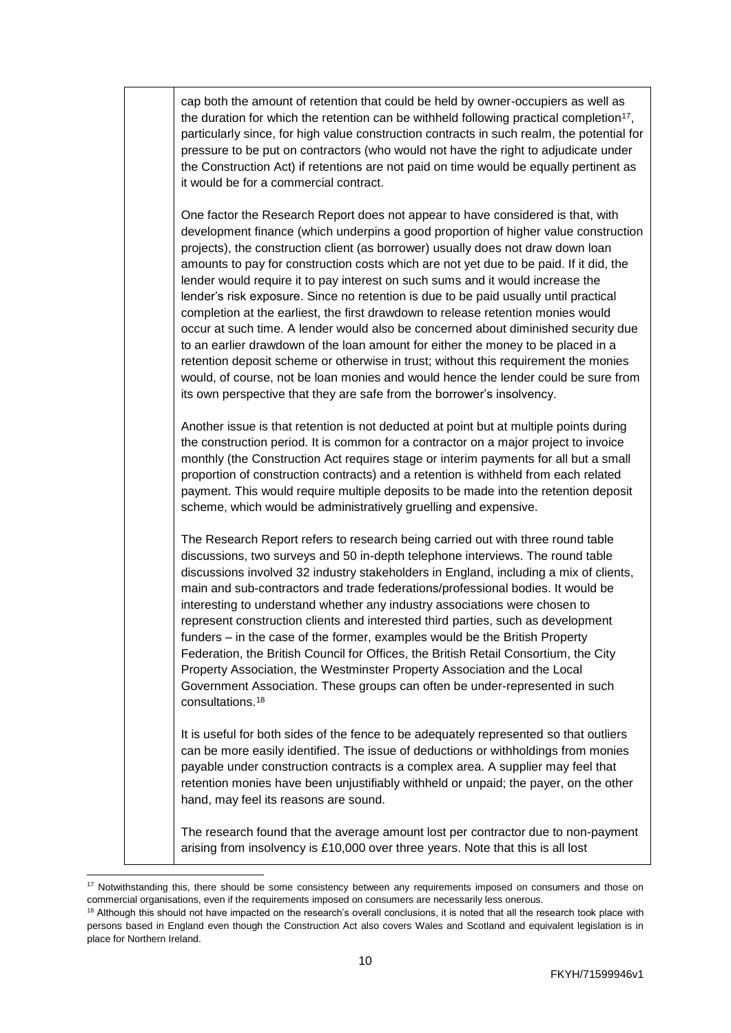| cap both the amount of retention that could be held by owner-occupiers as well as<br>the duration for which the retention can be withheld following practical completion <sup>17</sup> ,<br>particularly since, for high value construction contracts in such realm, the potential for<br>pressure to be put on contractors (who would not have the right to adjudicate under<br>the Construction Act) if retentions are not paid on time would be equally pertinent as<br>it would be for a commercial contract.                                                                                                                                                                                                                                                                                                                                                                                                                                                                                                                                   |
|-----------------------------------------------------------------------------------------------------------------------------------------------------------------------------------------------------------------------------------------------------------------------------------------------------------------------------------------------------------------------------------------------------------------------------------------------------------------------------------------------------------------------------------------------------------------------------------------------------------------------------------------------------------------------------------------------------------------------------------------------------------------------------------------------------------------------------------------------------------------------------------------------------------------------------------------------------------------------------------------------------------------------------------------------------|
| One factor the Research Report does not appear to have considered is that, with<br>development finance (which underpins a good proportion of higher value construction<br>projects), the construction client (as borrower) usually does not draw down loan<br>amounts to pay for construction costs which are not yet due to be paid. If it did, the<br>lender would require it to pay interest on such sums and it would increase the<br>lender's risk exposure. Since no retention is due to be paid usually until practical<br>completion at the earliest, the first drawdown to release retention monies would<br>occur at such time. A lender would also be concerned about diminished security due<br>to an earlier drawdown of the loan amount for either the money to be placed in a<br>retention deposit scheme or otherwise in trust; without this requirement the monies<br>would, of course, not be loan monies and would hence the lender could be sure from<br>its own perspective that they are safe from the borrower's insolvency. |
| Another issue is that retention is not deducted at point but at multiple points during<br>the construction period. It is common for a contractor on a major project to invoice<br>monthly (the Construction Act requires stage or interim payments for all but a small<br>proportion of construction contracts) and a retention is withheld from each related<br>payment. This would require multiple deposits to be made into the retention deposit<br>scheme, which would be administratively gruelling and expensive.                                                                                                                                                                                                                                                                                                                                                                                                                                                                                                                            |
| The Research Report refers to research being carried out with three round table<br>discussions, two surveys and 50 in-depth telephone interviews. The round table<br>discussions involved 32 industry stakeholders in England, including a mix of clients,<br>main and sub-contractors and trade federations/professional bodies. It would be<br>interesting to understand whether any industry associations were chosen to<br>represent construction clients and interested third parties, such as development<br>funders – in the case of the former, examples would be the British Property<br>Federation, the British Council for Offices, the British Retail Consortium, the City<br>Property Association, the Westminster Property Association and the Local<br>Government Association. These groups can often be under-represented in such<br>consultations. <sup>18</sup>                                                                                                                                                                   |
| It is useful for both sides of the fence to be adequately represented so that outliers<br>can be more easily identified. The issue of deductions or withholdings from monies<br>payable under construction contracts is a complex area. A supplier may feel that<br>retention monies have been unjustifiably withheld or unpaid; the payer, on the other<br>hand, may feel its reasons are sound.                                                                                                                                                                                                                                                                                                                                                                                                                                                                                                                                                                                                                                                   |
|                                                                                                                                                                                                                                                                                                                                                                                                                                                                                                                                                                                                                                                                                                                                                                                                                                                                                                                                                                                                                                                     |

The research found that the average amount lost per contractor due to non-payment arising from insolvency is £10,000 over three years. Note that this is all lost

 $17$  Notwithstanding this, there should be some consistency between any requirements imposed on consumers and those on commercial organisations, even if the requirements imposed on consumers are necessarily less onerous.

<sup>&</sup>lt;sup>18</sup> Although this should not have impacted on the research's overall conclusions, it is noted that all the research took place with persons based in England even though the Construction Act also covers Wales and Scotland and equivalent legislation is in place for Northern Ireland.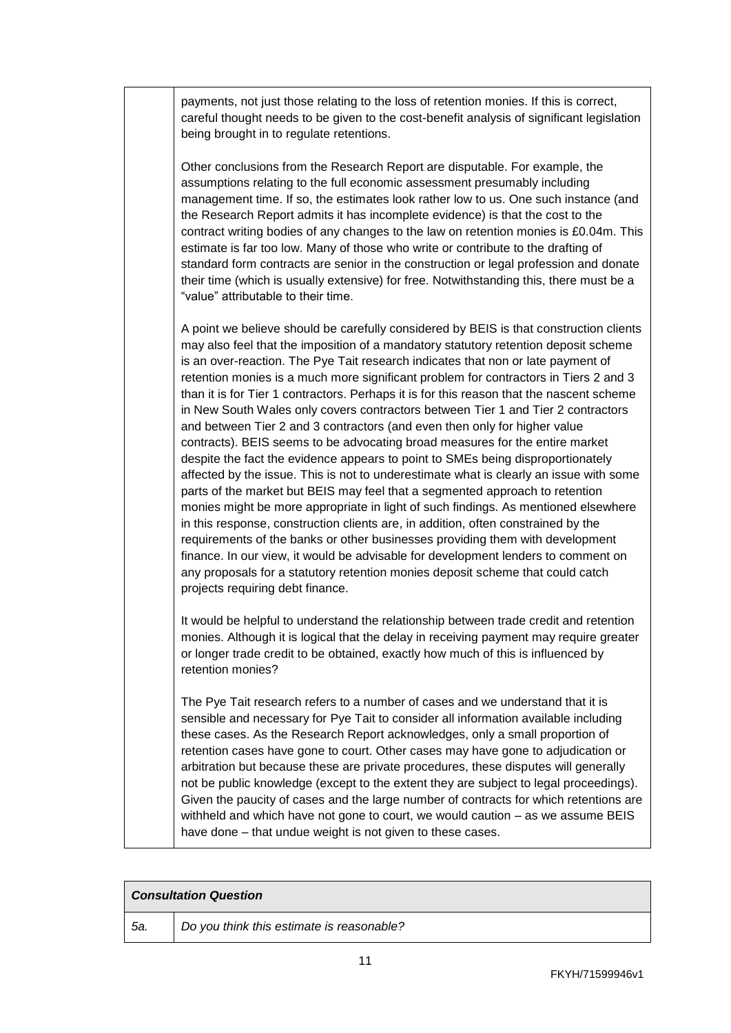payments, not just those relating to the loss of retention monies. If this is correct, careful thought needs to be given to the cost-benefit analysis of significant legislation being brought in to regulate retentions.

Other conclusions from the Research Report are disputable. For example, the assumptions relating to the full economic assessment presumably including management time. If so, the estimates look rather low to us. One such instance (and the Research Report admits it has incomplete evidence) is that the cost to the contract writing bodies of any changes to the law on retention monies is £0.04m. This estimate is far too low. Many of those who write or contribute to the drafting of standard form contracts are senior in the construction or legal profession and donate their time (which is usually extensive) for free. Notwithstanding this, there must be a "value" attributable to their time.

A point we believe should be carefully considered by BEIS is that construction clients may also feel that the imposition of a mandatory statutory retention deposit scheme is an over-reaction. The Pye Tait research indicates that non or late payment of retention monies is a much more significant problem for contractors in Tiers 2 and 3 than it is for Tier 1 contractors. Perhaps it is for this reason that the nascent scheme in New South Wales only covers contractors between Tier 1 and Tier 2 contractors and between Tier 2 and 3 contractors (and even then only for higher value contracts). BEIS seems to be advocating broad measures for the entire market despite the fact the evidence appears to point to SMEs being disproportionately affected by the issue. This is not to underestimate what is clearly an issue with some parts of the market but BEIS may feel that a segmented approach to retention monies might be more appropriate in light of such findings. As mentioned elsewhere in this response, construction clients are, in addition, often constrained by the requirements of the banks or other businesses providing them with development finance. In our view, it would be advisable for development lenders to comment on any proposals for a statutory retention monies deposit scheme that could catch projects requiring debt finance.

It would be helpful to understand the relationship between trade credit and retention monies. Although it is logical that the delay in receiving payment may require greater or longer trade credit to be obtained, exactly how much of this is influenced by retention monies?

The Pye Tait research refers to a number of cases and we understand that it is sensible and necessary for Pye Tait to consider all information available including these cases. As the Research Report acknowledges, only a small proportion of retention cases have gone to court. Other cases may have gone to adjudication or arbitration but because these are private procedures, these disputes will generally not be public knowledge (except to the extent they are subject to legal proceedings). Given the paucity of cases and the large number of contracts for which retentions are withheld and which have not gone to court, we would caution – as we assume BEIS have done – that undue weight is not given to these cases.

| <b>Consultation Question</b> |                                           |
|------------------------------|-------------------------------------------|
| -5а.                         | Do you think this estimate is reasonable? |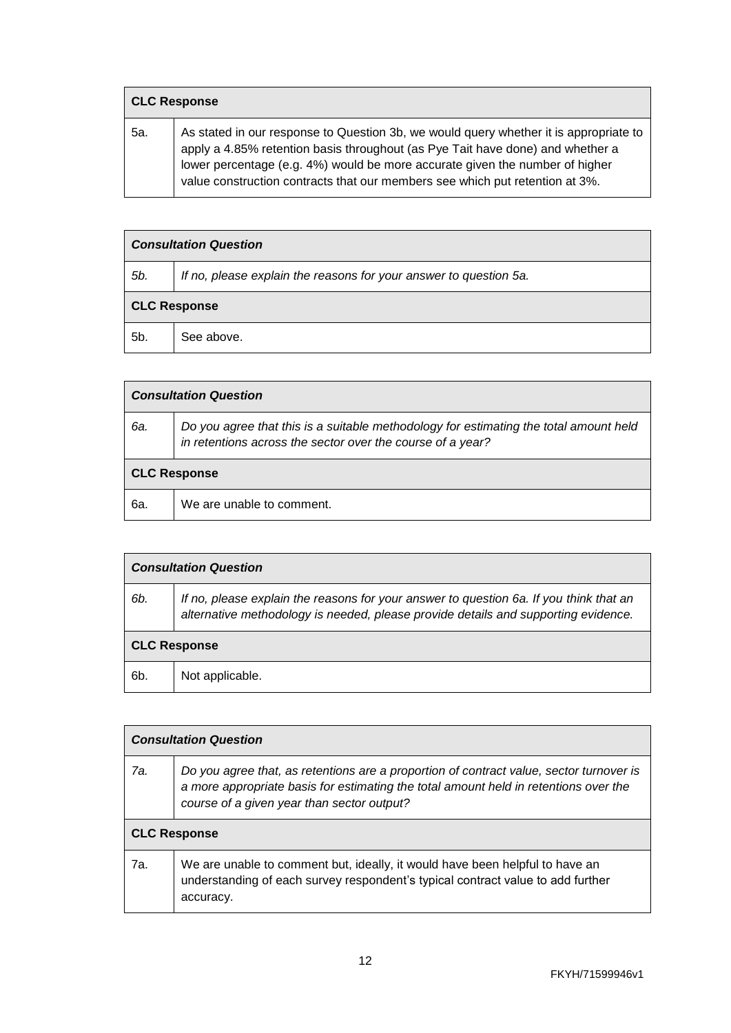| <b>CLC Response</b> |                                                                                                                                                                                                                                                                                                                                         |
|---------------------|-----------------------------------------------------------------------------------------------------------------------------------------------------------------------------------------------------------------------------------------------------------------------------------------------------------------------------------------|
| 5а.                 | As stated in our response to Question 3b, we would query whether it is appropriate to<br>apply a 4.85% retention basis throughout (as Pye Tait have done) and whether a<br>lower percentage (e.g. 4%) would be more accurate given the number of higher<br>value construction contracts that our members see which put retention at 3%. |

| <b>Consultation Question</b> |                                                                   |
|------------------------------|-------------------------------------------------------------------|
| 5b.                          | If no, please explain the reasons for your answer to question 5a. |
| <b>CLC Response</b>          |                                                                   |
| 5b.                          | See above.                                                        |

| <b>Consultation Question</b> |                                                                                                                                                     |
|------------------------------|-----------------------------------------------------------------------------------------------------------------------------------------------------|
| 6а.                          | Do you agree that this is a suitable methodology for estimating the total amount held<br>in retentions across the sector over the course of a year? |
| <b>CLC Response</b>          |                                                                                                                                                     |
| 6а.                          | We are unable to comment.                                                                                                                           |

| <b>Consultation Question</b> |                                                                                                                                                                              |
|------------------------------|------------------------------------------------------------------------------------------------------------------------------------------------------------------------------|
| 6b.                          | If no, please explain the reasons for your answer to question 6a. If you think that an<br>alternative methodology is needed, please provide details and supporting evidence. |
| <b>CLC Response</b>          |                                                                                                                                                                              |
| 6b.                          | Not applicable.                                                                                                                                                              |

| <b>Consultation Question</b> |                                                                                                                                                                                                                               |
|------------------------------|-------------------------------------------------------------------------------------------------------------------------------------------------------------------------------------------------------------------------------|
| 7а.                          | Do you agree that, as retentions are a proportion of contract value, sector turnover is<br>a more appropriate basis for estimating the total amount held in retentions over the<br>course of a given year than sector output? |
| <b>CLC Response</b>          |                                                                                                                                                                                                                               |
| 7a.                          | We are unable to comment but, ideally, it would have been helpful to have an<br>understanding of each survey respondent's typical contract value to add further<br>accuracy.                                                  |

 $\overline{\phantom{a}}$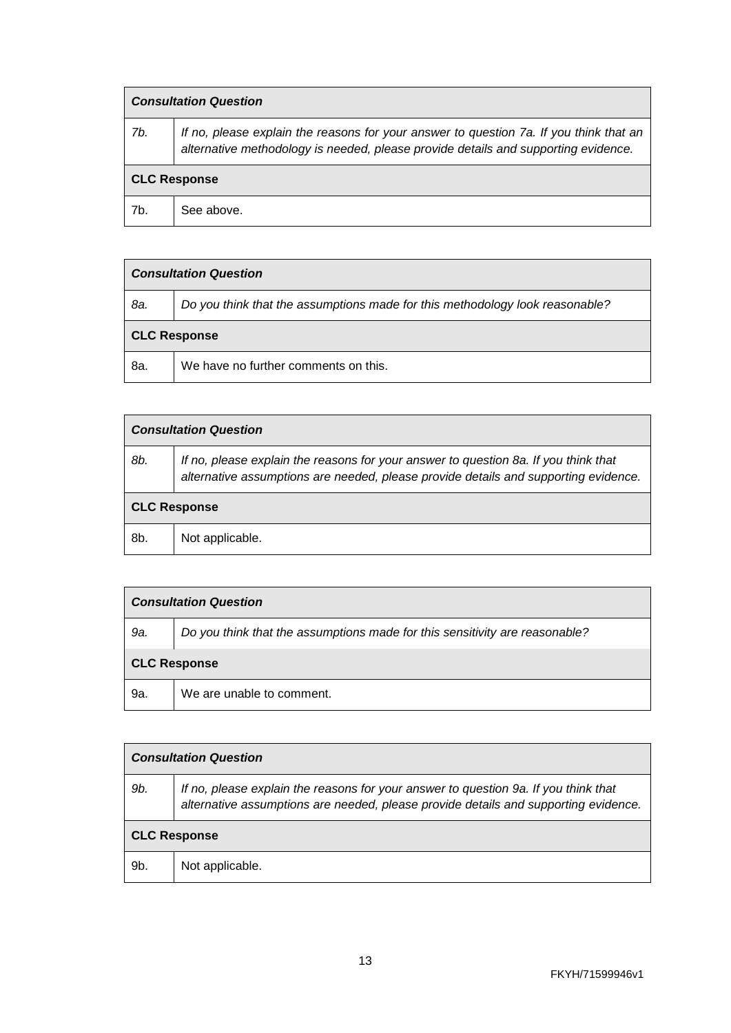| <b>Consultation Question</b> |                                                                                                                                                                              |
|------------------------------|------------------------------------------------------------------------------------------------------------------------------------------------------------------------------|
| 7b.                          | If no, please explain the reasons for your answer to question 7a. If you think that an<br>alternative methodology is needed, please provide details and supporting evidence. |
| <b>CLC Response</b>          |                                                                                                                                                                              |
| 7b.                          | See above.                                                                                                                                                                   |

| <b>Consultation Question</b> |                                                                              |
|------------------------------|------------------------------------------------------------------------------|
| 8a.                          | Do you think that the assumptions made for this methodology look reasonable? |
| <b>CLC Response</b>          |                                                                              |
| 8a.                          | We have no further comments on this.                                         |

| <b>Consultation Question</b> |                                                                                                                                                                            |
|------------------------------|----------------------------------------------------------------------------------------------------------------------------------------------------------------------------|
| 8b.                          | If no, please explain the reasons for your answer to question 8a. If you think that<br>alternative assumptions are needed, please provide details and supporting evidence. |
| <b>CLC Response</b>          |                                                                                                                                                                            |
| 8b.                          | Not applicable.                                                                                                                                                            |

| <b>Consultation Question</b> |                                                                             |
|------------------------------|-----------------------------------------------------------------------------|
| 9a.                          | Do you think that the assumptions made for this sensitivity are reasonable? |
| <b>CLC Response</b>          |                                                                             |
| 9a.                          | We are unable to comment.                                                   |

| <b>Consultation Question</b> |                                                                                                                                                                            |
|------------------------------|----------------------------------------------------------------------------------------------------------------------------------------------------------------------------|
| 9b.                          | If no, please explain the reasons for your answer to question 9a. If you think that<br>alternative assumptions are needed, please provide details and supporting evidence. |
| <b>CLC Response</b>          |                                                                                                                                                                            |
| 9b.                          | Not applicable.                                                                                                                                                            |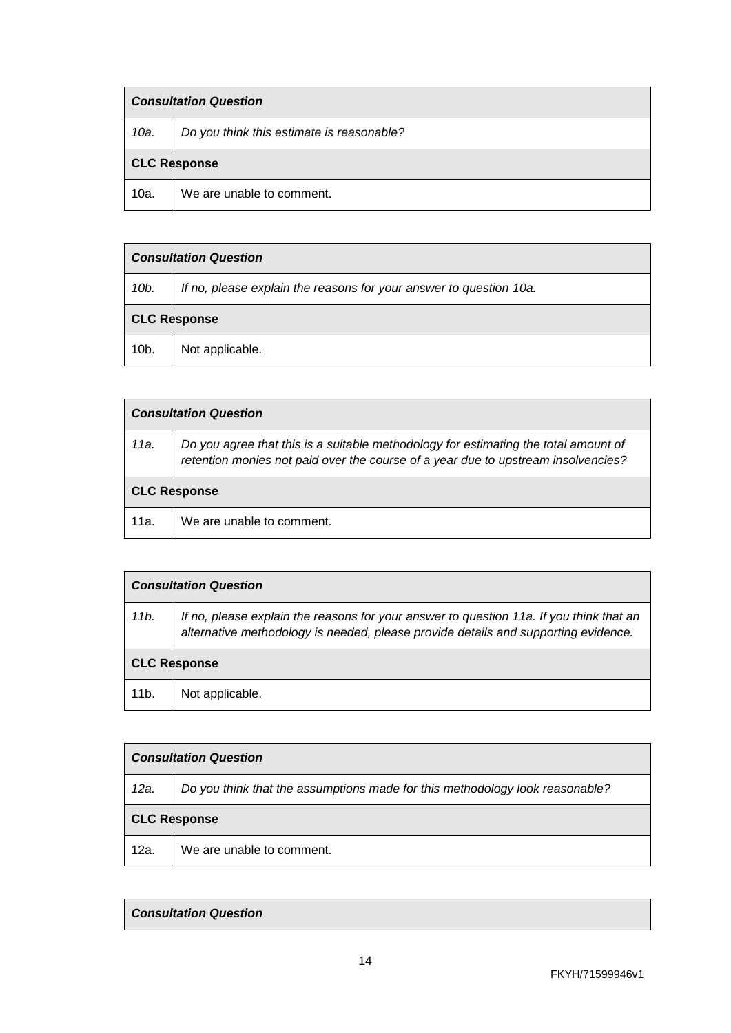| <b>Consultation Question</b> |                                           |
|------------------------------|-------------------------------------------|
| 10a.                         | Do you think this estimate is reasonable? |
| <b>CLC Response</b>          |                                           |
| 10a.                         | We are unable to comment.                 |

| <b>Consultation Question</b> |                                                                    |
|------------------------------|--------------------------------------------------------------------|
| 10b.                         | If no, please explain the reasons for your answer to question 10a. |
| <b>CLC Response</b>          |                                                                    |
| $10b$ .                      | Not applicable.                                                    |

| <b>Consultation Question</b> |                                                                                                                                                                          |
|------------------------------|--------------------------------------------------------------------------------------------------------------------------------------------------------------------------|
| 11a.                         | Do you agree that this is a suitable methodology for estimating the total amount of<br>retention monies not paid over the course of a year due to upstream insolvencies? |
| <b>CLC Response</b>          |                                                                                                                                                                          |
| 11a.                         | We are unable to comment.                                                                                                                                                |

| <b>Consultation Question</b> |                                                                                                                                                                               |
|------------------------------|-------------------------------------------------------------------------------------------------------------------------------------------------------------------------------|
| 11b.                         | If no, please explain the reasons for your answer to question 11a. If you think that an<br>alternative methodology is needed, please provide details and supporting evidence. |
| <b>CLC Response</b>          |                                                                                                                                                                               |
| 11 <sub>b</sub> .            | Not applicable.                                                                                                                                                               |

| <b>Consultation Question</b> |                                                                              |
|------------------------------|------------------------------------------------------------------------------|
| 12a.                         | Do you think that the assumptions made for this methodology look reasonable? |
| <b>CLC Response</b>          |                                                                              |
| 12a.                         | We are unable to comment.                                                    |

## *Consultation Question*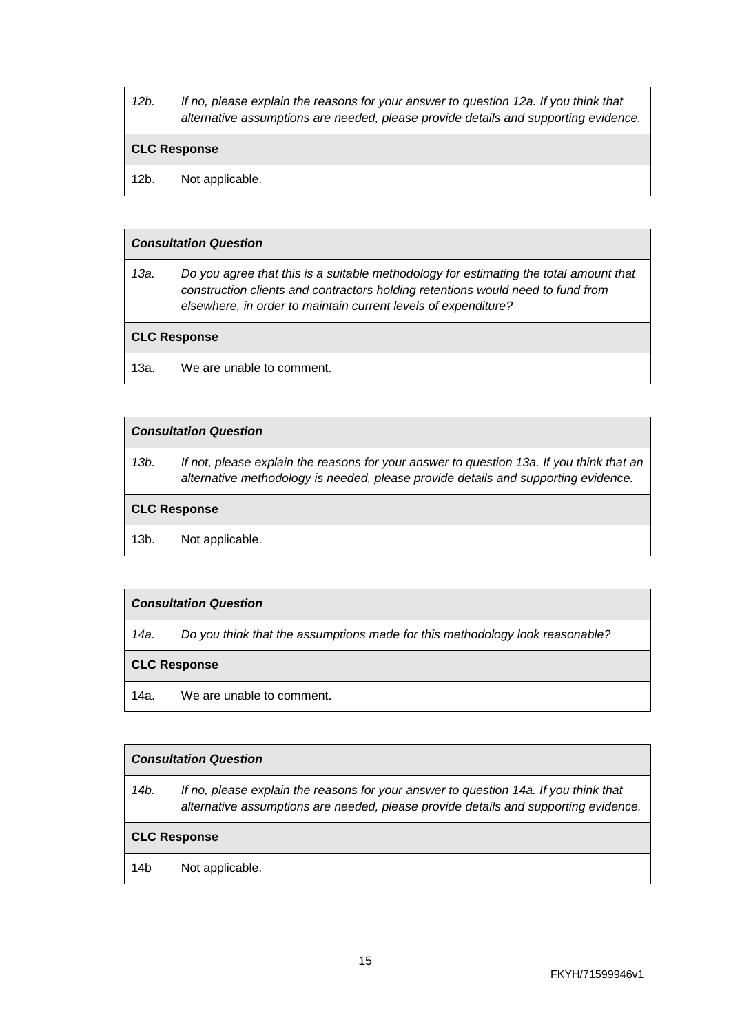| 12b.                | If no, please explain the reasons for your answer to question 12a. If you think that<br>alternative assumptions are needed, please provide details and supporting evidence. |
|---------------------|-----------------------------------------------------------------------------------------------------------------------------------------------------------------------------|
| <b>CLC Response</b> |                                                                                                                                                                             |
| 12b.                | Not applicable.                                                                                                                                                             |

| <b>Consultation Question</b> |                                                                                                                                                                                                                                            |
|------------------------------|--------------------------------------------------------------------------------------------------------------------------------------------------------------------------------------------------------------------------------------------|
| 13а.                         | Do you agree that this is a suitable methodology for estimating the total amount that<br>construction clients and contractors holding retentions would need to fund from<br>elsewhere, in order to maintain current levels of expenditure? |
| <b>CLC Response</b>          |                                                                                                                                                                                                                                            |
| 13a.                         | We are unable to comment.                                                                                                                                                                                                                  |

| <b>Consultation Question</b> |                                                                                                                                                                                |
|------------------------------|--------------------------------------------------------------------------------------------------------------------------------------------------------------------------------|
| 13b.                         | If not, please explain the reasons for your answer to question 13a. If you think that an<br>alternative methodology is needed, please provide details and supporting evidence. |
| <b>CLC Response</b>          |                                                                                                                                                                                |
| 13b.                         | Not applicable.                                                                                                                                                                |

| <b>Consultation Question</b> |                                                                              |
|------------------------------|------------------------------------------------------------------------------|
| 14a.                         | Do you think that the assumptions made for this methodology look reasonable? |
| <b>CLC Response</b>          |                                                                              |
| 14a.                         | We are unable to comment.                                                    |

| <b>Consultation Question</b> |                                                                                                                                                                             |
|------------------------------|-----------------------------------------------------------------------------------------------------------------------------------------------------------------------------|
| 14b.                         | If no, please explain the reasons for your answer to question 14a. If you think that<br>alternative assumptions are needed, please provide details and supporting evidence. |
| <b>CLC Response</b>          |                                                                                                                                                                             |
| 14b                          | Not applicable.                                                                                                                                                             |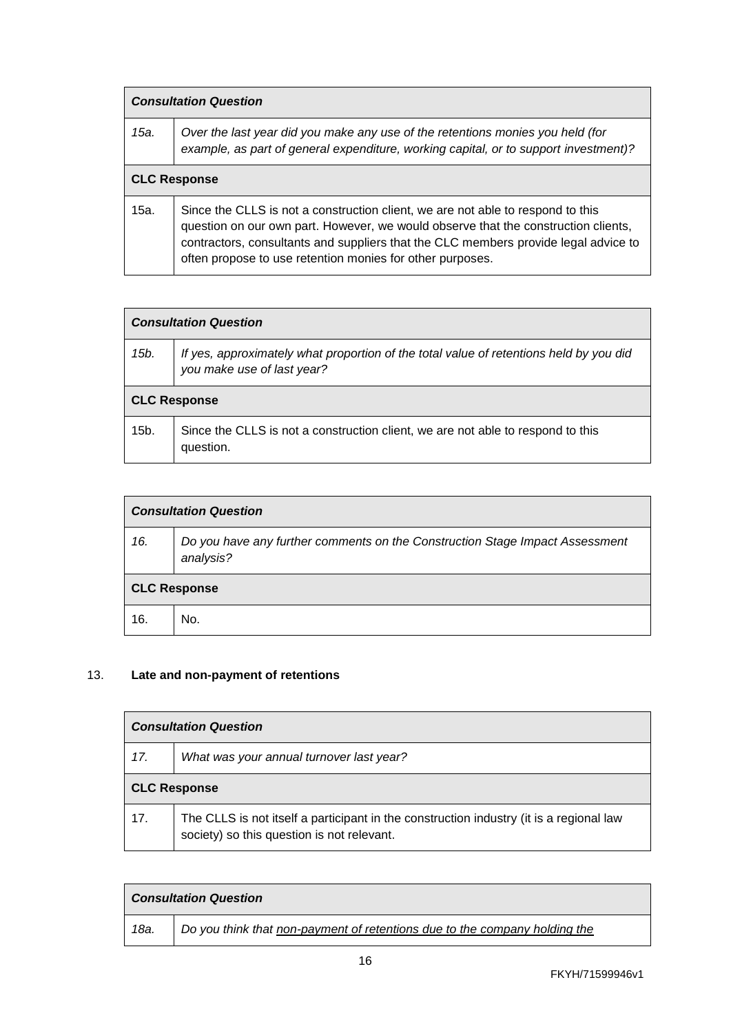| <b>Consultation Question</b> |                                                                                                                                                                                                                                                                                                                           |
|------------------------------|---------------------------------------------------------------------------------------------------------------------------------------------------------------------------------------------------------------------------------------------------------------------------------------------------------------------------|
| 15a.                         | Over the last year did you make any use of the retentions monies you held (for<br>example, as part of general expenditure, working capital, or to support investment)?                                                                                                                                                    |
| <b>CLC Response</b>          |                                                                                                                                                                                                                                                                                                                           |
| 15a.                         | Since the CLLS is not a construction client, we are not able to respond to this<br>question on our own part. However, we would observe that the construction clients,<br>contractors, consultants and suppliers that the CLC members provide legal advice to<br>often propose to use retention monies for other purposes. |

| <b>Consultation Question</b> |                                                                                                                      |
|------------------------------|----------------------------------------------------------------------------------------------------------------------|
| 15b.                         | If yes, approximately what proportion of the total value of retentions held by you did<br>you make use of last year? |
| <b>CLC Response</b>          |                                                                                                                      |
| 15b.                         | Since the CLLS is not a construction client, we are not able to respond to this<br>question.                         |

| <b>Consultation Question</b> |                                                                                           |
|------------------------------|-------------------------------------------------------------------------------------------|
| 16.                          | Do you have any further comments on the Construction Stage Impact Assessment<br>analysis? |
| <b>CLC Response</b>          |                                                                                           |
| 16.                          | No.                                                                                       |

# 13. **Late and non-payment of retentions**

| <b>Consultation Question</b> |                                                                                                                                       |
|------------------------------|---------------------------------------------------------------------------------------------------------------------------------------|
| 17.                          | What was your annual turnover last year?                                                                                              |
| <b>CLC Response</b>          |                                                                                                                                       |
| 17.                          | The CLLS is not itself a participant in the construction industry (it is a regional law<br>society) so this question is not relevant. |

| <b>Consultation Question</b> |                                                                            |
|------------------------------|----------------------------------------------------------------------------|
| 18a.                         | Do you think that non-payment of retentions due to the company holding the |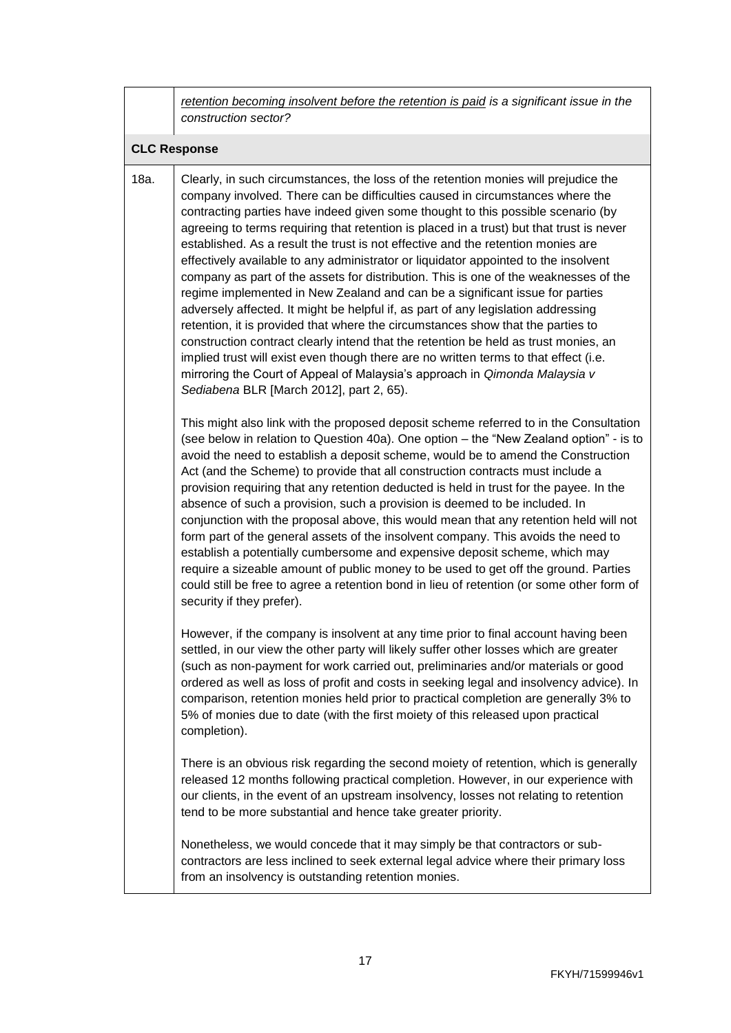*retention becoming insolvent before the retention is paid is a significant issue in the construction sector?*

#### **CLC Response**

18a. Clearly, in such circumstances, the loss of the retention monies will prejudice the company involved. There can be difficulties caused in circumstances where the contracting parties have indeed given some thought to this possible scenario (by agreeing to terms requiring that retention is placed in a trust) but that trust is never established. As a result the trust is not effective and the retention monies are effectively available to any administrator or liquidator appointed to the insolvent company as part of the assets for distribution. This is one of the weaknesses of the regime implemented in New Zealand and can be a significant issue for parties adversely affected. It might be helpful if, as part of any legislation addressing retention, it is provided that where the circumstances show that the parties to construction contract clearly intend that the retention be held as trust monies, an implied trust will exist even though there are no written terms to that effect (i.e. mirroring the Court of Appeal of Malaysia's approach in *Qimonda Malaysia v Sediabena* BLR [March 2012], part 2, 65).

This might also link with the proposed deposit scheme referred to in the Consultation (see below in relation to Question 40a). One option – the "New Zealand option" - is to avoid the need to establish a deposit scheme, would be to amend the Construction Act (and the Scheme) to provide that all construction contracts must include a provision requiring that any retention deducted is held in trust for the payee. In the absence of such a provision, such a provision is deemed to be included. In conjunction with the proposal above, this would mean that any retention held will not form part of the general assets of the insolvent company. This avoids the need to establish a potentially cumbersome and expensive deposit scheme, which may require a sizeable amount of public money to be used to get off the ground. Parties could still be free to agree a retention bond in lieu of retention (or some other form of security if they prefer).

However, if the company is insolvent at any time prior to final account having been settled, in our view the other party will likely suffer other losses which are greater (such as non-payment for work carried out, preliminaries and/or materials or good ordered as well as loss of profit and costs in seeking legal and insolvency advice). In comparison, retention monies held prior to practical completion are generally 3% to 5% of monies due to date (with the first moiety of this released upon practical completion).

There is an obvious risk regarding the second moiety of retention, which is generally released 12 months following practical completion. However, in our experience with our clients, in the event of an upstream insolvency, losses not relating to retention tend to be more substantial and hence take greater priority.

Nonetheless, we would concede that it may simply be that contractors or subcontractors are less inclined to seek external legal advice where their primary loss from an insolvency is outstanding retention monies.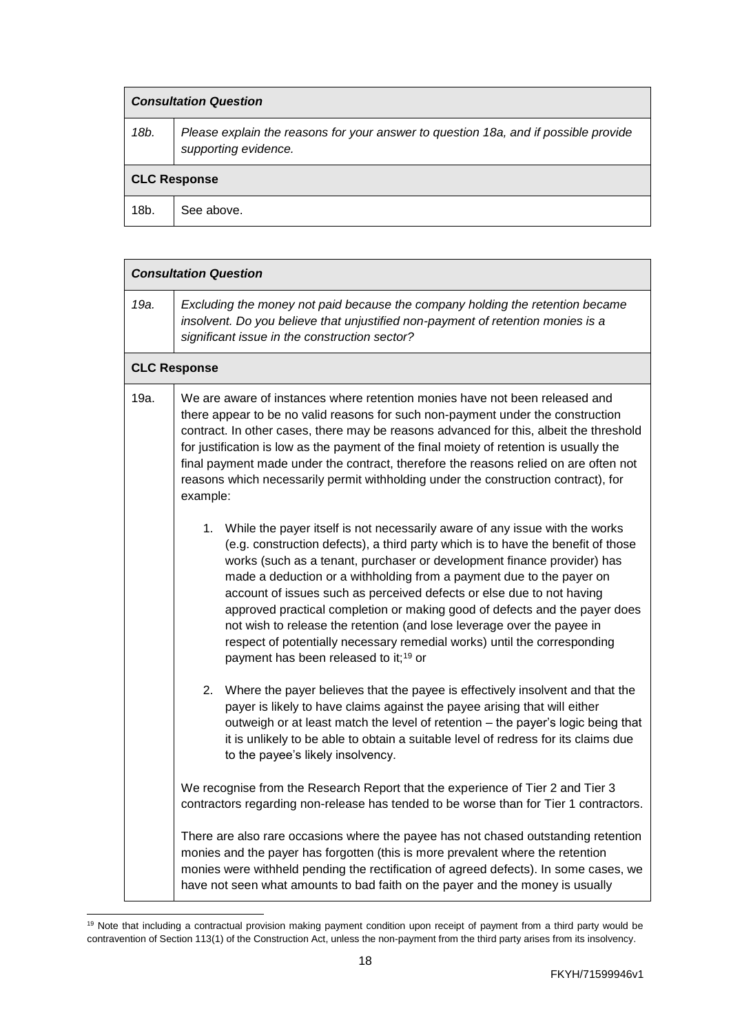| <b>Consultation Question</b> |                                                                                                             |  |
|------------------------------|-------------------------------------------------------------------------------------------------------------|--|
| 18b.                         | Please explain the reasons for your answer to question 18a, and if possible provide<br>supporting evidence. |  |
| <b>CLC Response</b>          |                                                                                                             |  |
| 18b.                         | See above.                                                                                                  |  |

|      | <b>Consultation Question</b>                                                                                                                                                                                                                                                                                                                                                                                                                                                                                                                                                                                                                                                            |  |  |
|------|-----------------------------------------------------------------------------------------------------------------------------------------------------------------------------------------------------------------------------------------------------------------------------------------------------------------------------------------------------------------------------------------------------------------------------------------------------------------------------------------------------------------------------------------------------------------------------------------------------------------------------------------------------------------------------------------|--|--|
| 19a. | Excluding the money not paid because the company holding the retention became<br>insolvent. Do you believe that unjustified non-payment of retention monies is a<br>significant issue in the construction sector?                                                                                                                                                                                                                                                                                                                                                                                                                                                                       |  |  |
|      | <b>CLC Response</b>                                                                                                                                                                                                                                                                                                                                                                                                                                                                                                                                                                                                                                                                     |  |  |
| 19a. | We are aware of instances where retention monies have not been released and<br>there appear to be no valid reasons for such non-payment under the construction<br>contract. In other cases, there may be reasons advanced for this, albeit the threshold<br>for justification is low as the payment of the final moiety of retention is usually the<br>final payment made under the contract, therefore the reasons relied on are often not<br>reasons which necessarily permit withholding under the construction contract), for<br>example:                                                                                                                                           |  |  |
|      | 1. While the payer itself is not necessarily aware of any issue with the works<br>(e.g. construction defects), a third party which is to have the benefit of those<br>works (such as a tenant, purchaser or development finance provider) has<br>made a deduction or a withholding from a payment due to the payer on<br>account of issues such as perceived defects or else due to not having<br>approved practical completion or making good of defects and the payer does<br>not wish to release the retention (and lose leverage over the payee in<br>respect of potentially necessary remedial works) until the corresponding<br>payment has been released to it; <sup>19</sup> or |  |  |
|      | Where the payer believes that the payee is effectively insolvent and that the<br>2.<br>payer is likely to have claims against the payee arising that will either<br>outweigh or at least match the level of retention - the payer's logic being that<br>it is unlikely to be able to obtain a suitable level of redress for its claims due<br>to the payee's likely insolvency.                                                                                                                                                                                                                                                                                                         |  |  |
|      | We recognise from the Research Report that the experience of Tier 2 and Tier 3<br>contractors regarding non-release has tended to be worse than for Tier 1 contractors.                                                                                                                                                                                                                                                                                                                                                                                                                                                                                                                 |  |  |
|      | There are also rare occasions where the payee has not chased outstanding retention<br>monies and the payer has forgotten (this is more prevalent where the retention<br>monies were withheld pending the rectification of agreed defects). In some cases, we<br>have not seen what amounts to bad faith on the payer and the money is usually                                                                                                                                                                                                                                                                                                                                           |  |  |

 $\overline{a}$ <sup>19</sup> Note that including a contractual provision making payment condition upon receipt of payment from a third party would be contravention of Section 113(1) of the Construction Act, unless the non-payment from the third party arises from its insolvency.

 $\overline{\phantom{a}}$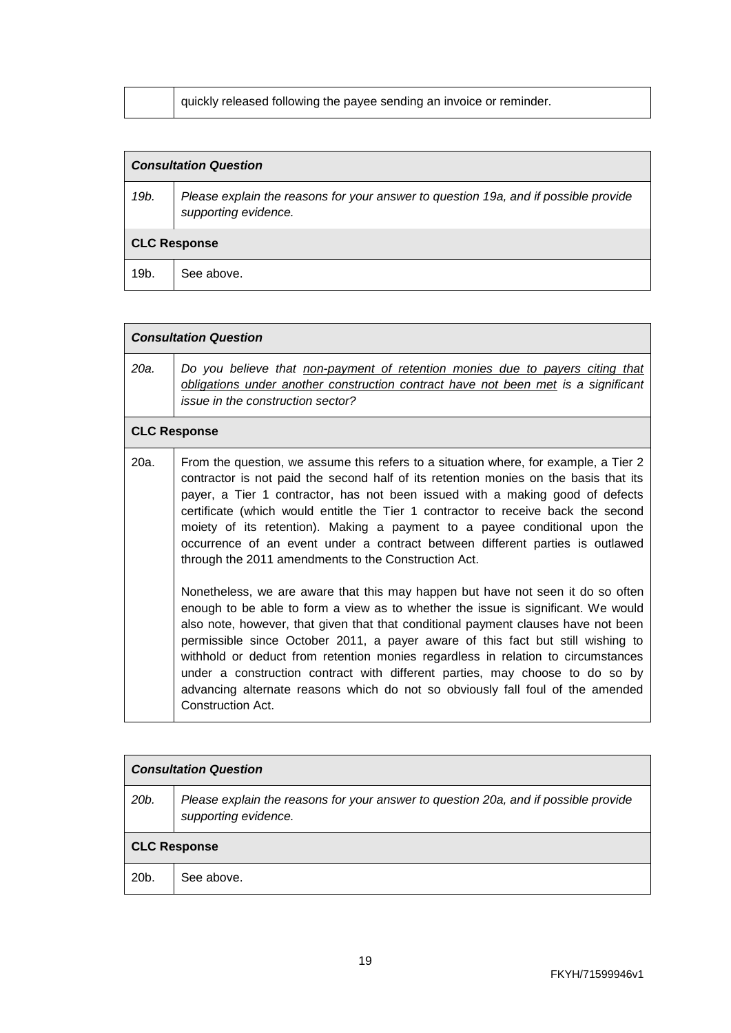| quickly released following the payee sending an invoice or reminder. |  |
|----------------------------------------------------------------------|--|
|----------------------------------------------------------------------|--|

# *Consultation Question*

| 19b.                | Please explain the reasons for your answer to question 19a, and if possible provide<br>supporting evidence. |  |
|---------------------|-------------------------------------------------------------------------------------------------------------|--|
| <b>CLC Response</b> |                                                                                                             |  |
| 19b.                | See above.                                                                                                  |  |

#### *Consultation Question*

| 20a. | Do you believe that non-payment of retention monies due to payers citing that      |
|------|------------------------------------------------------------------------------------|
|      | obligations under another construction contract have not been met is a significant |
|      | issue in the construction sector?                                                  |

### **CLC Response**

| $20a$ . | From the question, we assume this refers to a situation where, for example, a Tier 2<br>contractor is not paid the second half of its retention monies on the basis that its<br>payer, a Tier 1 contractor, has not been issued with a making good of defects<br>certificate (which would entitle the Tier 1 contractor to receive back the second<br>moiety of its retention). Making a payment to a payee conditional upon the<br>occurrence of an event under a contract between different parties is outlawed<br>through the 2011 amendments to the Construction Act.                                                |
|---------|--------------------------------------------------------------------------------------------------------------------------------------------------------------------------------------------------------------------------------------------------------------------------------------------------------------------------------------------------------------------------------------------------------------------------------------------------------------------------------------------------------------------------------------------------------------------------------------------------------------------------|
|         | Nonetheless, we are aware that this may happen but have not seen it do so often<br>enough to be able to form a view as to whether the issue is significant. We would<br>also note, however, that given that that conditional payment clauses have not been<br>permissible since October 2011, a payer aware of this fact but still wishing to<br>withhold or deduct from retention monies regardless in relation to circumstances<br>under a construction contract with different parties, may choose to do so by<br>advancing alternate reasons which do not so obviously fall foul of the amended<br>Construction Act. |

| <b>Consultation Question</b> |                                                                                                             |  |
|------------------------------|-------------------------------------------------------------------------------------------------------------|--|
| 20 <sub>b</sub>              | Please explain the reasons for your answer to question 20a, and if possible provide<br>supporting evidence. |  |
| <b>CLC Response</b>          |                                                                                                             |  |
| 20b.                         | See above.                                                                                                  |  |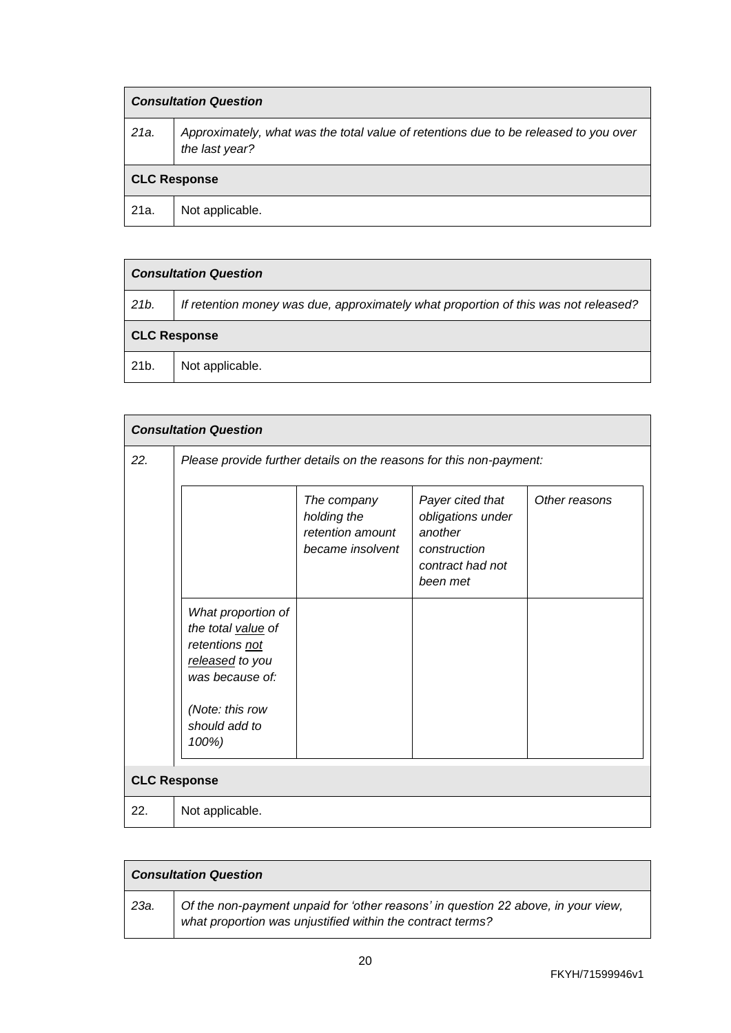| <b>Consultation Question</b> |                                                                                                        |  |
|------------------------------|--------------------------------------------------------------------------------------------------------|--|
| 21a.                         | Approximately, what was the total value of retentions due to be released to you over<br>the last year? |  |
| <b>CLC Response</b>          |                                                                                                        |  |
| 21a.                         | Not applicable.                                                                                        |  |

| <b>Consultation Question</b> |                                                                                     |
|------------------------------|-------------------------------------------------------------------------------------|
| 21b.                         | If retention money was due, approximately what proportion of this was not released? |
| <b>CLC Response</b>          |                                                                                     |
| 21 <sub>b</sub>              | Not applicable.                                                                     |

| <b>Consultation Question</b> |                                                                                                                     |                                                                    |                                                                                                  |               |
|------------------------------|---------------------------------------------------------------------------------------------------------------------|--------------------------------------------------------------------|--------------------------------------------------------------------------------------------------|---------------|
| 22.                          | Please provide further details on the reasons for this non-payment:                                                 |                                                                    |                                                                                                  |               |
|                              |                                                                                                                     | The company<br>holding the<br>retention amount<br>became insolvent | Payer cited that<br>obligations under<br>another<br>construction<br>contract had not<br>been met | Other reasons |
|                              | What proportion of<br>the total value of<br>retentions not<br>released to you<br>was because of:<br>(Note: this row |                                                                    |                                                                                                  |               |
|                              | should add to<br>100%)                                                                                              |                                                                    |                                                                                                  |               |
|                              | <b>CLC Response</b>                                                                                                 |                                                                    |                                                                                                  |               |
| 22.                          | Not applicable.                                                                                                     |                                                                    |                                                                                                  |               |

| <b>Consultation Question</b> |                                                                                                                                                 |  |
|------------------------------|-------------------------------------------------------------------------------------------------------------------------------------------------|--|
| 23а.                         | Of the non-payment unpaid for 'other reasons' in question 22 above, in your view,<br>what proportion was unjustified within the contract terms? |  |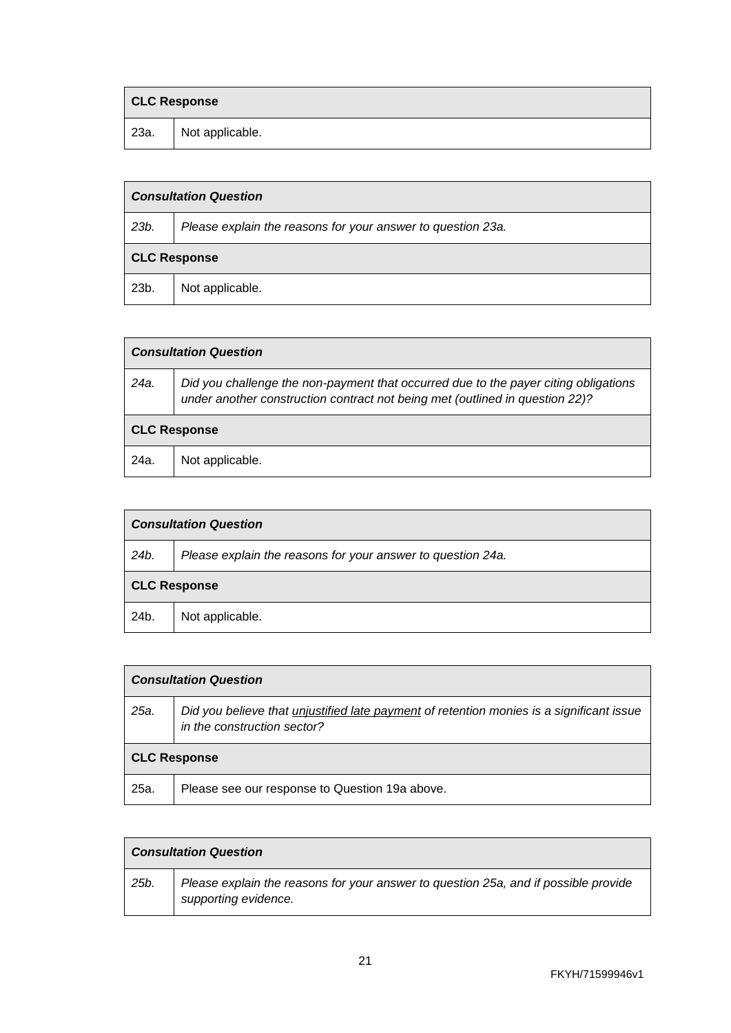|      | <b>CLC Response</b> |  |
|------|---------------------|--|
| 23a. | Not applicable.     |  |

| <b>Consultation Question</b> |                                                             |  |
|------------------------------|-------------------------------------------------------------|--|
| 23b.                         | Please explain the reasons for your answer to question 23a. |  |
| <b>CLC Response</b>          |                                                             |  |
| 23b.                         | Not applicable.                                             |  |

|                     | <b>Consultation Question</b>                                                                                                                                        |  |  |
|---------------------|---------------------------------------------------------------------------------------------------------------------------------------------------------------------|--|--|
| 24a.                | Did you challenge the non-payment that occurred due to the payer citing obligations<br>under another construction contract not being met (outlined in question 22)? |  |  |
| <b>CLC Response</b> |                                                                                                                                                                     |  |  |
| 24a.                | Not applicable.                                                                                                                                                     |  |  |

| <b>Consultation Question</b> |                                                             |  |
|------------------------------|-------------------------------------------------------------|--|
| 24b.                         | Please explain the reasons for your answer to question 24a. |  |
| <b>CLC Response</b>          |                                                             |  |
| 24b.                         | Not applicable.                                             |  |

|                     | <b>Consultation Question</b>                                                                                            |  |
|---------------------|-------------------------------------------------------------------------------------------------------------------------|--|
| 25a.                | Did you believe that unjustified late payment of retention monies is a significant issue<br>in the construction sector? |  |
| <b>CLC Response</b> |                                                                                                                         |  |
| 25a.                | Please see our response to Question 19a above.                                                                          |  |

|      | <b>Consultation Question</b>                                                                                |  |
|------|-------------------------------------------------------------------------------------------------------------|--|
| 25b. | Please explain the reasons for your answer to question 25a, and if possible provide<br>supporting evidence. |  |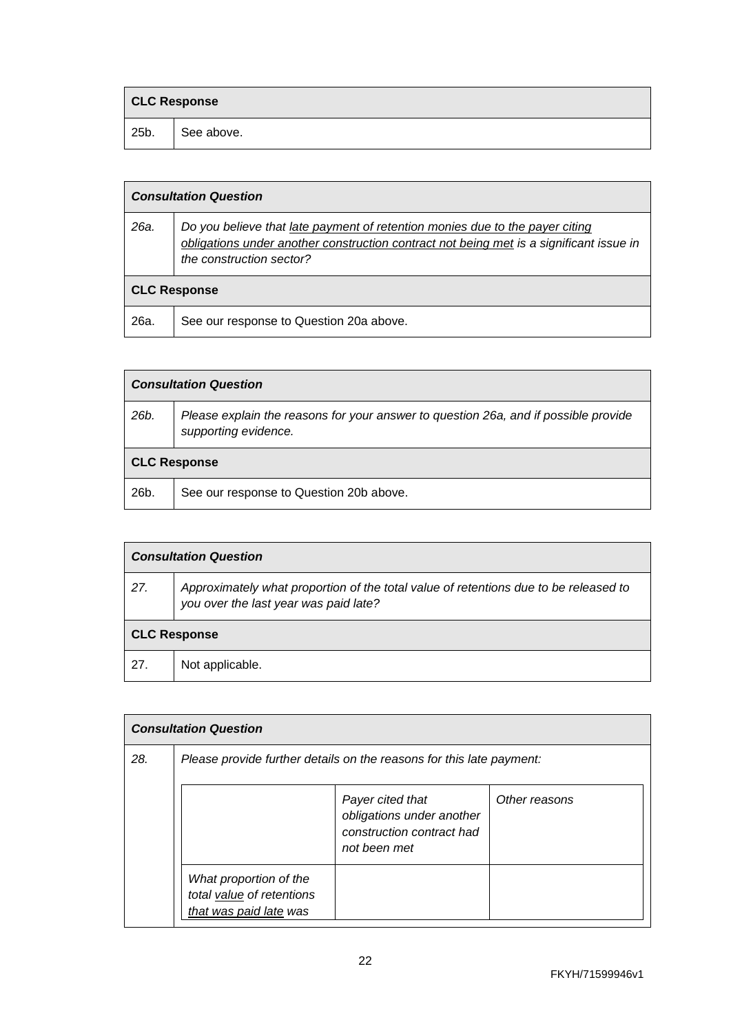|      | <b>CLC Response</b> |  |
|------|---------------------|--|
| 25b. | See above.          |  |

|      | <b>Consultation Question</b>                                                                                                                                                                        |  |  |
|------|-----------------------------------------------------------------------------------------------------------------------------------------------------------------------------------------------------|--|--|
| 26a. | Do you believe that late payment of retention monies due to the payer citing<br>obligations under another construction contract not being met is a significant issue in<br>the construction sector? |  |  |
|      | <b>CLC Response</b>                                                                                                                                                                                 |  |  |
| 26a. | See our response to Question 20a above.                                                                                                                                                             |  |  |

|                     | <b>Consultation Question</b>                                                                                |  |
|---------------------|-------------------------------------------------------------------------------------------------------------|--|
| 26b.                | Please explain the reasons for your answer to question 26a, and if possible provide<br>supporting evidence. |  |
| <b>CLC Response</b> |                                                                                                             |  |
| 26b.                | See our response to Question 20b above.                                                                     |  |

| <b>Consultation Question</b> |                                                                                                                               |  |
|------------------------------|-------------------------------------------------------------------------------------------------------------------------------|--|
| 27.                          | Approximately what proportion of the total value of retentions due to be released to<br>you over the last year was paid late? |  |
| <b>CLC Response</b>          |                                                                                                                               |  |
| 27.                          | Not applicable.                                                                                                               |  |

|     | <b>Consultation Question</b>                                                  |                                                                                            |               |  |
|-----|-------------------------------------------------------------------------------|--------------------------------------------------------------------------------------------|---------------|--|
| 28. | Please provide further details on the reasons for this late payment:          |                                                                                            |               |  |
|     |                                                                               | Payer cited that<br>obligations under another<br>construction contract had<br>not been met | Other reasons |  |
|     | What proportion of the<br>total value of retentions<br>that was paid late was |                                                                                            |               |  |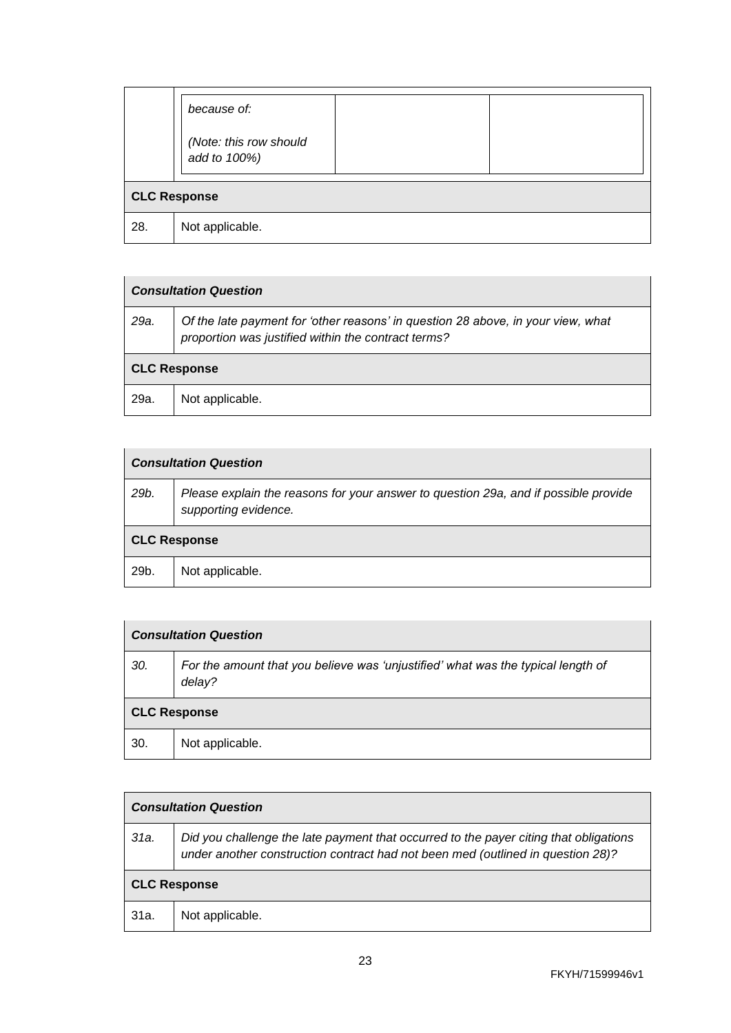|                     | because of:                            |
|---------------------|----------------------------------------|
|                     | (Note: this row should<br>add to 100%) |
| <b>CLC Response</b> |                                        |
| 28.                 | Not applicable.                        |

| <b>Consultation Question</b> |                                                                                                                                         |
|------------------------------|-----------------------------------------------------------------------------------------------------------------------------------------|
| 29a.                         | Of the late payment for 'other reasons' in question 28 above, in your view, what<br>proportion was justified within the contract terms? |
| <b>CLC Response</b>          |                                                                                                                                         |
| 29a.                         | Not applicable.                                                                                                                         |

| <b>Consultation Question</b> |                                                                                                             |
|------------------------------|-------------------------------------------------------------------------------------------------------------|
| 29b.                         | Please explain the reasons for your answer to question 29a, and if possible provide<br>supporting evidence. |
| <b>CLC Response</b>          |                                                                                                             |
| 29b.                         | Not applicable.                                                                                             |

| <b>Consultation Question</b> |                                                                                            |
|------------------------------|--------------------------------------------------------------------------------------------|
| 30.                          | For the amount that you believe was 'unjustified' what was the typical length of<br>delay? |
| <b>CLC Response</b>          |                                                                                            |
| 30.                          | Not applicable.                                                                            |

| <b>Consultation Question</b> |                                                                                                                                                                          |
|------------------------------|--------------------------------------------------------------------------------------------------------------------------------------------------------------------------|
| 31a.                         | Did you challenge the late payment that occurred to the payer citing that obligations<br>under another construction contract had not been med (outlined in question 28)? |
| <b>CLC Response</b>          |                                                                                                                                                                          |
| 31a.                         | Not applicable.                                                                                                                                                          |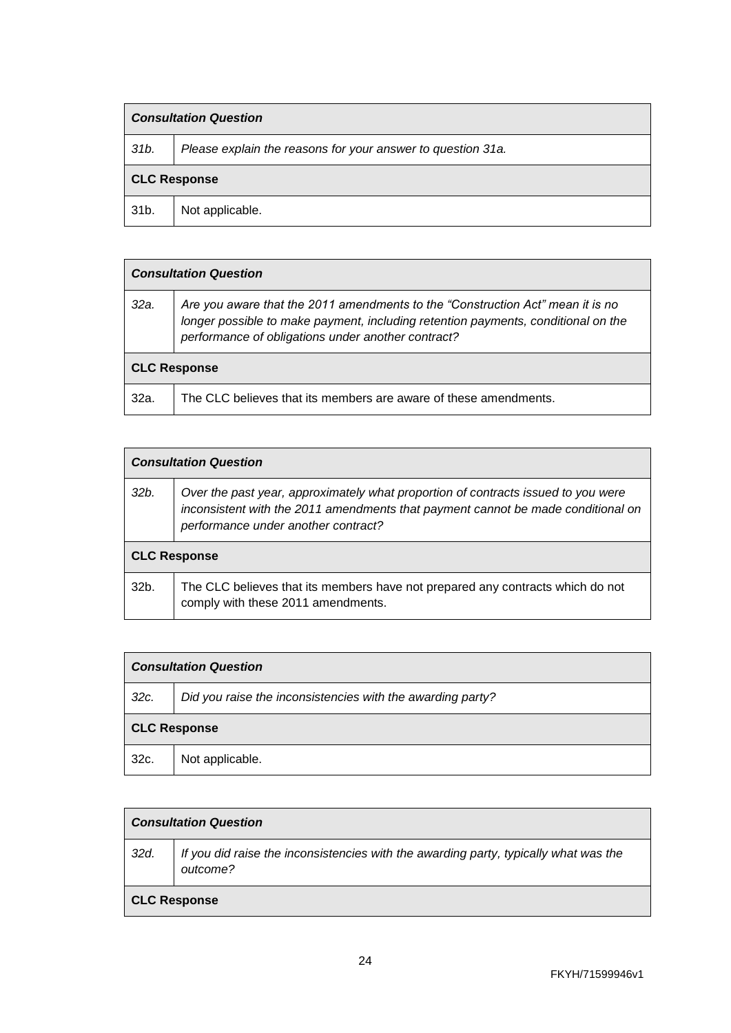| <b>Consultation Question</b> |                                                             |
|------------------------------|-------------------------------------------------------------|
| 31b.                         | Please explain the reasons for your answer to question 31a. |
| <b>CLC Response</b>          |                                                             |
| 31b.                         | Not applicable.                                             |

| <b>Consultation Question</b> |                                                                                                                                                                                                                           |
|------------------------------|---------------------------------------------------------------------------------------------------------------------------------------------------------------------------------------------------------------------------|
| 32a.                         | Are you aware that the 2011 amendments to the "Construction Act" mean it is no<br>longer possible to make payment, including retention payments, conditional on the<br>performance of obligations under another contract? |
| <b>CLC Response</b>          |                                                                                                                                                                                                                           |
| 32a.                         | The CLC believes that its members are aware of these amendments.                                                                                                                                                          |

| <b>Consultation Question</b> |                                                                                                                                                                                                              |
|------------------------------|--------------------------------------------------------------------------------------------------------------------------------------------------------------------------------------------------------------|
| 32b.                         | Over the past year, approximately what proportion of contracts issued to you were<br>inconsistent with the 2011 amendments that payment cannot be made conditional on<br>performance under another contract? |
| <b>CLC Response</b>          |                                                                                                                                                                                                              |
| 32b.                         | The CLC believes that its members have not prepared any contracts which do not<br>comply with these 2011 amendments.                                                                                         |

| <b>Consultation Question</b> |                                                            |
|------------------------------|------------------------------------------------------------|
| 32c.                         | Did you raise the inconsistencies with the awarding party? |
| <b>CLC Response</b>          |                                                            |
| 32c.                         | Not applicable.                                            |

| <b>Consultation Question</b> |                                                                                                  |
|------------------------------|--------------------------------------------------------------------------------------------------|
| 32d.                         | If you did raise the inconsistencies with the awarding party, typically what was the<br>outcome? |
| <b>CLC Response</b>          |                                                                                                  |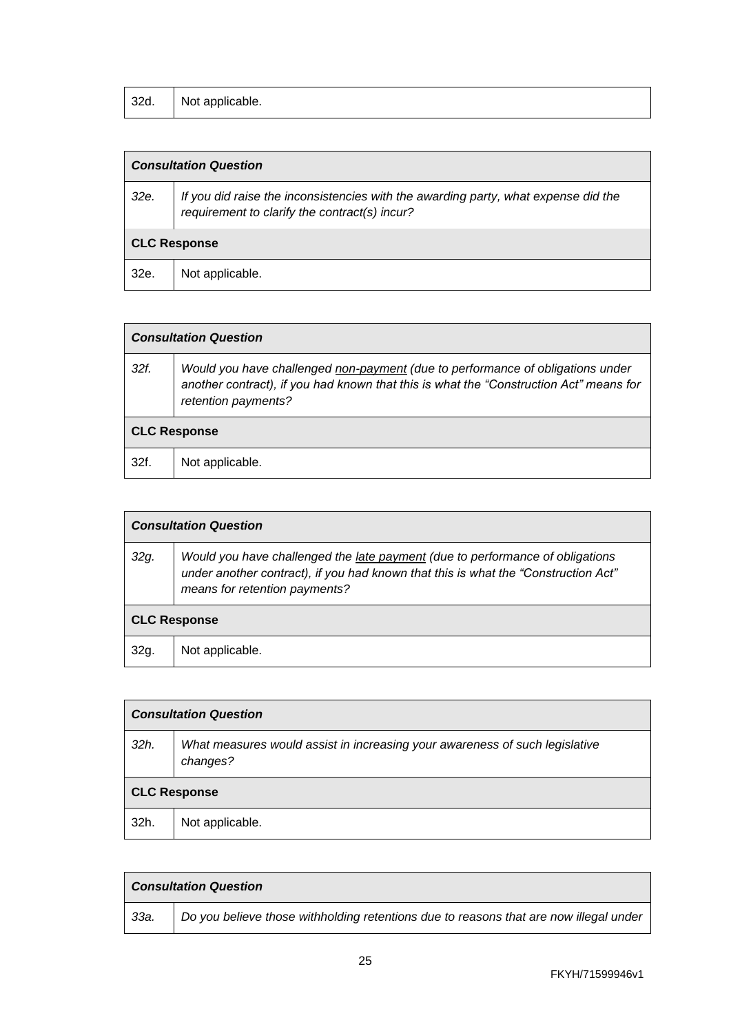| 32d. | Not applicable. |
|------|-----------------|
|------|-----------------|

# *Consultation Question*

| 32e.                | If you did raise the inconsistencies with the awarding party, what expense did the<br>requirement to clarify the contract(s) incur? |  |
|---------------------|-------------------------------------------------------------------------------------------------------------------------------------|--|
| <b>CLC Response</b> |                                                                                                                                     |  |
| 32e.                | Not applicable.                                                                                                                     |  |

| <b>Consultation Question</b> |                                                                                                                                                                                                 |
|------------------------------|-------------------------------------------------------------------------------------------------------------------------------------------------------------------------------------------------|
| 32f.                         | Would you have challenged non-payment (due to performance of obligations under<br>another contract), if you had known that this is what the "Construction Act" means for<br>retention payments? |
| <b>CLC Response</b>          |                                                                                                                                                                                                 |
| 32f.                         | Not applicable.                                                                                                                                                                                 |

| <b>Consultation Question</b> |                                                                                                                                                                                                      |
|------------------------------|------------------------------------------------------------------------------------------------------------------------------------------------------------------------------------------------------|
| 32g.                         | Would you have challenged the late payment (due to performance of obligations<br>under another contract), if you had known that this is what the "Construction Act"<br>means for retention payments? |
| <b>CLC Response</b>          |                                                                                                                                                                                                      |
| 32g.                         | Not applicable.                                                                                                                                                                                      |

| <b>Consultation Question</b>                                                            |  |
|-----------------------------------------------------------------------------------------|--|
| What measures would assist in increasing your awareness of such legislative<br>changes? |  |
| <b>CLC Response</b>                                                                     |  |
| Not applicable.                                                                         |  |
|                                                                                         |  |

| <b>Consultation Question</b> |                                                                                       |
|------------------------------|---------------------------------------------------------------------------------------|
| 33а.                         | Do you believe those withholding retentions due to reasons that are now illegal under |

 $\overline{\phantom{a}}$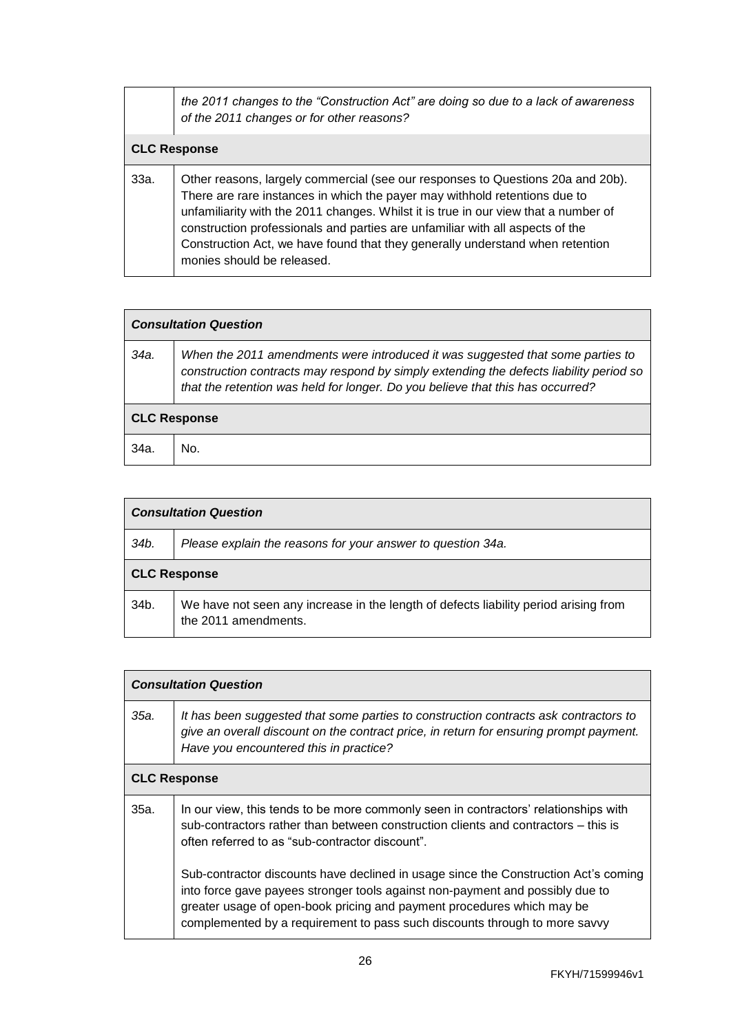|                     | the 2011 changes to the "Construction Act" are doing so due to a lack of awareness<br>of the 2011 changes or for other reasons?                                                                                                                                                                                                                                                                                                                      |
|---------------------|------------------------------------------------------------------------------------------------------------------------------------------------------------------------------------------------------------------------------------------------------------------------------------------------------------------------------------------------------------------------------------------------------------------------------------------------------|
| <b>CLC Response</b> |                                                                                                                                                                                                                                                                                                                                                                                                                                                      |
| 33a.                | Other reasons, largely commercial (see our responses to Questions 20a and 20b).<br>There are rare instances in which the payer may withhold retentions due to<br>unfamiliarity with the 2011 changes. Whilst it is true in our view that a number of<br>construction professionals and parties are unfamiliar with all aspects of the<br>Construction Act, we have found that they generally understand when retention<br>monies should be released. |

| <b>Consultation Question</b> |                                                                                                                                                                                                                                                            |
|------------------------------|------------------------------------------------------------------------------------------------------------------------------------------------------------------------------------------------------------------------------------------------------------|
| 34a.                         | When the 2011 amendments were introduced it was suggested that some parties to<br>construction contracts may respond by simply extending the defects liability period so<br>that the retention was held for longer. Do you believe that this has occurred? |
| <b>CLC Response</b>          |                                                                                                                                                                                                                                                            |
| 34a.                         | No.                                                                                                                                                                                                                                                        |

| <b>Consultation Question</b> |                                                                                                              |
|------------------------------|--------------------------------------------------------------------------------------------------------------|
| 34b.                         | Please explain the reasons for your answer to question 34a.                                                  |
| <b>CLC Response</b>          |                                                                                                              |
| 34b.                         | We have not seen any increase in the length of defects liability period arising from<br>the 2011 amendments. |

| <b>Consultation Question</b> |                                                                                                                                                                                                                                                                                                                              |
|------------------------------|------------------------------------------------------------------------------------------------------------------------------------------------------------------------------------------------------------------------------------------------------------------------------------------------------------------------------|
| 35а.                         | It has been suggested that some parties to construction contracts ask contractors to<br>give an overall discount on the contract price, in return for ensuring prompt payment.<br>Have you encountered this in practice?                                                                                                     |
| <b>CLC Response</b>          |                                                                                                                                                                                                                                                                                                                              |
| 35а.                         | In our view, this tends to be more commonly seen in contractors' relationships with<br>sub-contractors rather than between construction clients and contractors – this is<br>often referred to as "sub-contractor discount".                                                                                                 |
|                              | Sub-contractor discounts have declined in usage since the Construction Act's coming<br>into force gave payees stronger tools against non-payment and possibly due to<br>greater usage of open-book pricing and payment procedures which may be<br>complemented by a requirement to pass such discounts through to more savvy |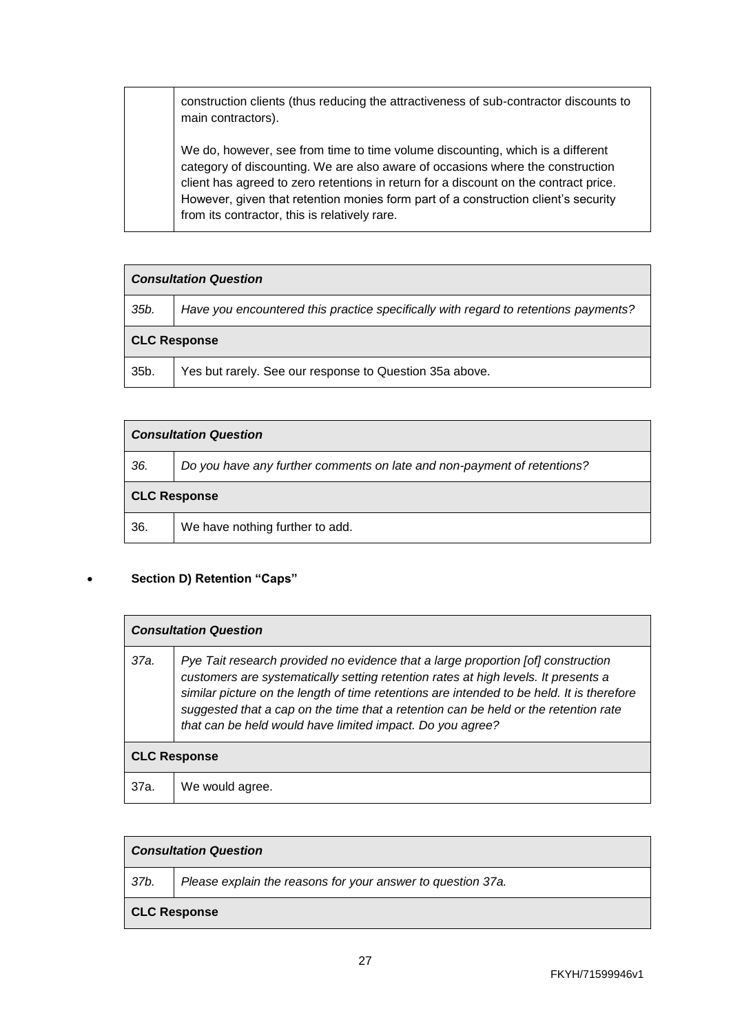construction clients (thus reducing the attractiveness of sub-contractor discounts to main contractors).

We do, however, see from time to time volume discounting, which is a different category of discounting. We are also aware of occasions where the construction client has agreed to zero retentions in return for a discount on the contract price. However, given that retention monies form part of a construction client's security from its contractor, this is relatively rare.

| <b>Consultation Question</b> |                                                                                     |
|------------------------------|-------------------------------------------------------------------------------------|
| 35b.                         | Have you encountered this practice specifically with regard to retentions payments? |
| <b>CLC Response</b>          |                                                                                     |
| 35b.                         | Yes but rarely. See our response to Question 35a above.                             |

| <b>Consultation Question</b> |                                                                         |
|------------------------------|-------------------------------------------------------------------------|
| 36.                          | Do you have any further comments on late and non-payment of retentions? |
| <b>CLC Response</b>          |                                                                         |
| 36.                          | We have nothing further to add.                                         |

#### • **Section D) Retention "Caps"**

| <b>Consultation Question</b> |                                                                                                                                                                                                                                                                                                                                                                                                                         |
|------------------------------|-------------------------------------------------------------------------------------------------------------------------------------------------------------------------------------------------------------------------------------------------------------------------------------------------------------------------------------------------------------------------------------------------------------------------|
| 37a.                         | Pye Tait research provided no evidence that a large proportion [of] construction<br>customers are systematically setting retention rates at high levels. It presents a<br>similar picture on the length of time retentions are intended to be held. It is therefore<br>suggested that a cap on the time that a retention can be held or the retention rate<br>that can be held would have limited impact. Do you agree? |
| <b>CLC Response</b>          |                                                                                                                                                                                                                                                                                                                                                                                                                         |
| 37a.                         | We would agree.                                                                                                                                                                                                                                                                                                                                                                                                         |

| <b>Consultation Question</b> |                                                             |
|------------------------------|-------------------------------------------------------------|
| 37b.                         | Please explain the reasons for your answer to question 37a. |
| <b>CLC Response</b>          |                                                             |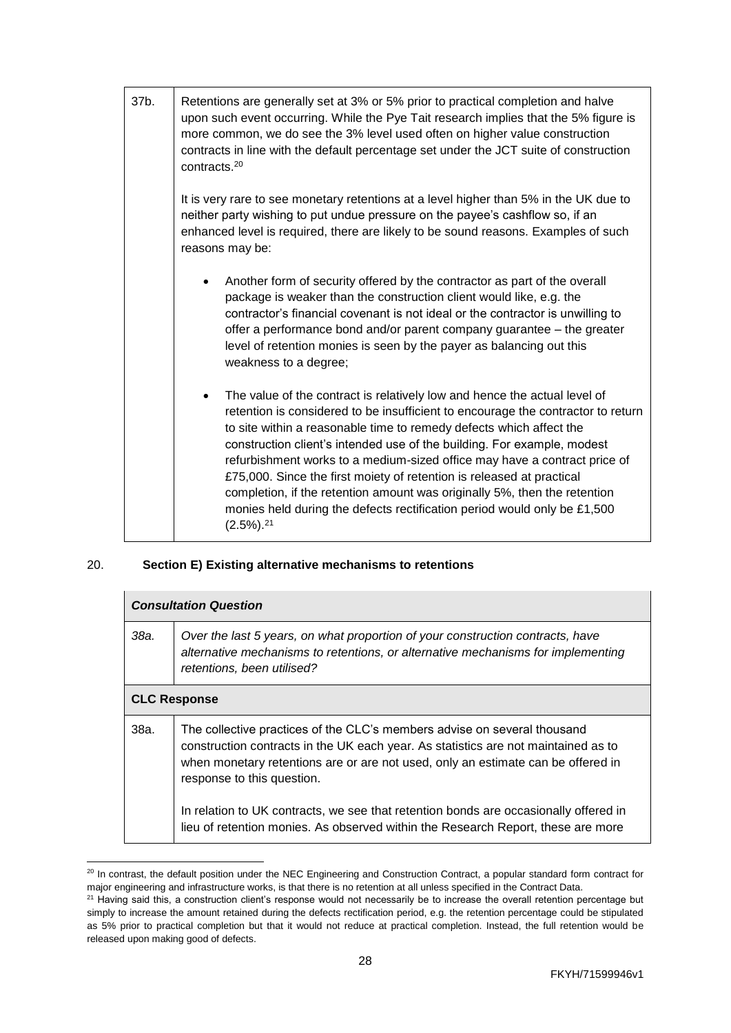| 37b. | Retentions are generally set at 3% or 5% prior to practical completion and halve<br>upon such event occurring. While the Pye Tait research implies that the 5% figure is<br>more common, we do see the 3% level used often on higher value construction<br>contracts in line with the default percentage set under the JCT suite of construction<br>contracts. <sup>20</sup>                                                                                                                                                                                                                                                                                           |
|------|------------------------------------------------------------------------------------------------------------------------------------------------------------------------------------------------------------------------------------------------------------------------------------------------------------------------------------------------------------------------------------------------------------------------------------------------------------------------------------------------------------------------------------------------------------------------------------------------------------------------------------------------------------------------|
|      | It is very rare to see monetary retentions at a level higher than 5% in the UK due to<br>neither party wishing to put undue pressure on the payee's cashflow so, if an<br>enhanced level is required, there are likely to be sound reasons. Examples of such<br>reasons may be:                                                                                                                                                                                                                                                                                                                                                                                        |
|      | Another form of security offered by the contractor as part of the overall<br>package is weaker than the construction client would like, e.g. the<br>contractor's financial covenant is not ideal or the contractor is unwilling to<br>offer a performance bond and/or parent company guarantee – the greater<br>level of retention monies is seen by the payer as balancing out this<br>weakness to a degree;                                                                                                                                                                                                                                                          |
|      | The value of the contract is relatively low and hence the actual level of<br>$\bullet$<br>retention is considered to be insufficient to encourage the contractor to return<br>to site within a reasonable time to remedy defects which affect the<br>construction client's intended use of the building. For example, modest<br>refurbishment works to a medium-sized office may have a contract price of<br>£75,000. Since the first moiety of retention is released at practical<br>completion, if the retention amount was originally 5%, then the retention<br>monies held during the defects rectification period would only be £1,500<br>$(2.5\%)$ <sup>21</sup> |

## 20. **Section E) Existing alternative mechanisms to retentions**

 $\overline{a}$ 

|      | <b>Consultation Question</b>                                                                                                                                                                                                                                                     |  |
|------|----------------------------------------------------------------------------------------------------------------------------------------------------------------------------------------------------------------------------------------------------------------------------------|--|
| 38а. | Over the last 5 years, on what proportion of your construction contracts, have<br>alternative mechanisms to retentions, or alternative mechanisms for implementing<br>retentions, been utilised?                                                                                 |  |
|      | <b>CLC Response</b>                                                                                                                                                                                                                                                              |  |
| 38a. | The collective practices of the CLC's members advise on several thousand<br>construction contracts in the UK each year. As statistics are not maintained as to<br>when monetary retentions are or are not used, only an estimate can be offered in<br>response to this question. |  |
|      | In relation to UK contracts, we see that retention bonds are occasionally offered in<br>lieu of retention monies. As observed within the Research Report, these are more                                                                                                         |  |

 $20$  In contrast, the default position under the NEC Engineering and Construction Contract, a popular standard form contract for major engineering and infrastructure works, is that there is no retention at all unless specified in the Contract Data.

<sup>&</sup>lt;sup>21</sup> Having said this, a construction client's response would not necessarily be to increase the overall retention percentage but simply to increase the amount retained during the defects rectification period, e.g. the retention percentage could be stipulated as 5% prior to practical completion but that it would not reduce at practical completion. Instead, the full retention would be released upon making good of defects.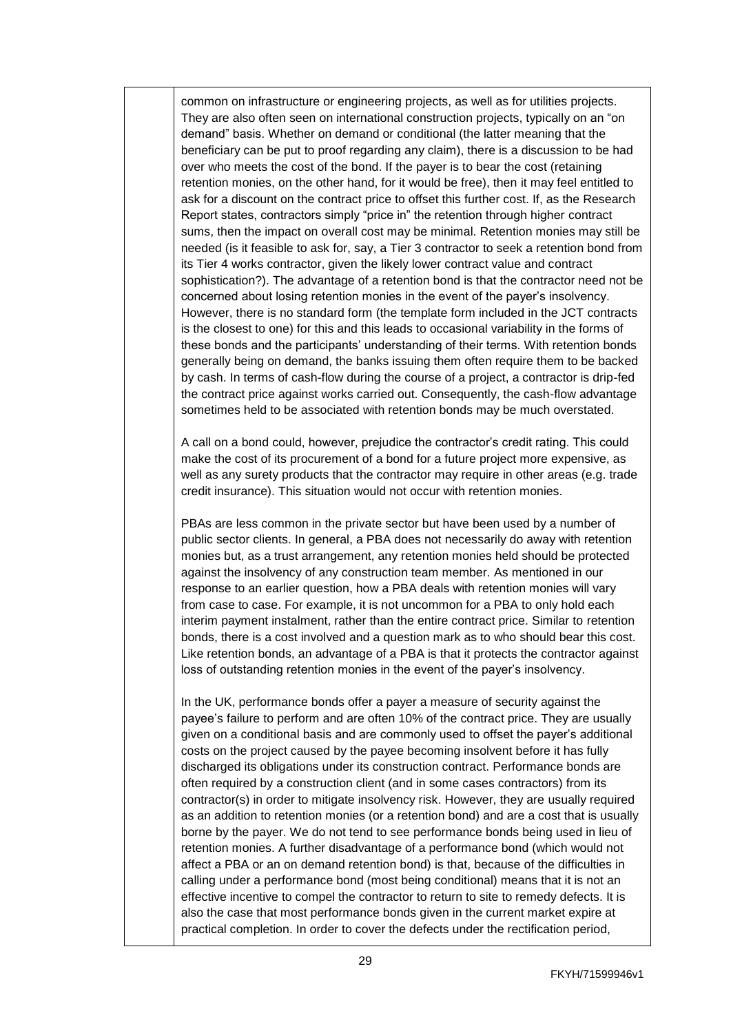common on infrastructure or engineering projects, as well as for utilities projects. They are also often seen on international construction projects, typically on an "on demand" basis. Whether on demand or conditional (the latter meaning that the beneficiary can be put to proof regarding any claim), there is a discussion to be had over who meets the cost of the bond. If the payer is to bear the cost (retaining retention monies, on the other hand, for it would be free), then it may feel entitled to ask for a discount on the contract price to offset this further cost. If, as the Research Report states, contractors simply "price in" the retention through higher contract sums, then the impact on overall cost may be minimal. Retention monies may still be needed (is it feasible to ask for, say, a Tier 3 contractor to seek a retention bond from its Tier 4 works contractor, given the likely lower contract value and contract sophistication?). The advantage of a retention bond is that the contractor need not be concerned about losing retention monies in the event of the payer's insolvency. However, there is no standard form (the template form included in the JCT contracts is the closest to one) for this and this leads to occasional variability in the forms of these bonds and the participants' understanding of their terms. With retention bonds generally being on demand, the banks issuing them often require them to be backed by cash. In terms of cash-flow during the course of a project, a contractor is drip-fed the contract price against works carried out. Consequently, the cash-flow advantage sometimes held to be associated with retention bonds may be much overstated.

A call on a bond could, however, prejudice the contractor's credit rating. This could make the cost of its procurement of a bond for a future project more expensive, as well as any surety products that the contractor may require in other areas (e.g. trade credit insurance). This situation would not occur with retention monies.

PBAs are less common in the private sector but have been used by a number of public sector clients. In general, a PBA does not necessarily do away with retention monies but, as a trust arrangement, any retention monies held should be protected against the insolvency of any construction team member. As mentioned in our response to an earlier question, how a PBA deals with retention monies will vary from case to case. For example, it is not uncommon for a PBA to only hold each interim payment instalment, rather than the entire contract price. Similar to retention bonds, there is a cost involved and a question mark as to who should bear this cost. Like retention bonds, an advantage of a PBA is that it protects the contractor against loss of outstanding retention monies in the event of the payer's insolvency.

In the UK, performance bonds offer a payer a measure of security against the payee's failure to perform and are often 10% of the contract price. They are usually given on a conditional basis and are commonly used to offset the payer's additional costs on the project caused by the payee becoming insolvent before it has fully discharged its obligations under its construction contract. Performance bonds are often required by a construction client (and in some cases contractors) from its contractor(s) in order to mitigate insolvency risk. However, they are usually required as an addition to retention monies (or a retention bond) and are a cost that is usually borne by the payer. We do not tend to see performance bonds being used in lieu of retention monies. A further disadvantage of a performance bond (which would not affect a PBA or an on demand retention bond) is that, because of the difficulties in calling under a performance bond (most being conditional) means that it is not an effective incentive to compel the contractor to return to site to remedy defects. It is also the case that most performance bonds given in the current market expire at practical completion. In order to cover the defects under the rectification period,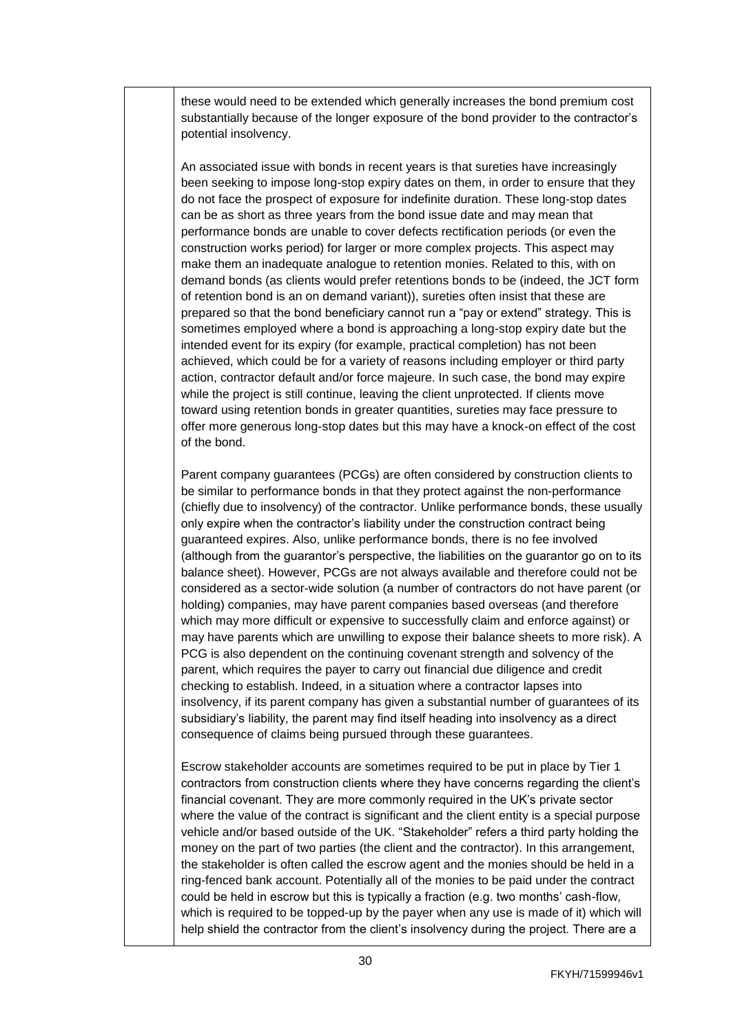these would need to be extended which generally increases the bond premium cost substantially because of the longer exposure of the bond provider to the contractor's potential insolvency.

An associated issue with bonds in recent years is that sureties have increasingly been seeking to impose long-stop expiry dates on them, in order to ensure that they do not face the prospect of exposure for indefinite duration. These long-stop dates can be as short as three years from the bond issue date and may mean that performance bonds are unable to cover defects rectification periods (or even the construction works period) for larger or more complex projects. This aspect may make them an inadequate analogue to retention monies. Related to this, with on demand bonds (as clients would prefer retentions bonds to be (indeed, the [JCT](https://www.jctltd.co.uk/) form of retention bond is an on demand variant)), sureties often insist that these are prepared so that the bond beneficiary cannot run a "pay or extend" strategy. This is sometimes employed where a bond is approaching a long-stop expiry date but the intended event for its expiry (for example, practical completion) has not been achieved, which could be for a variety of reasons including employer or third party action, contractor default and/or force majeure. In such case, the bond may expire while the project is still continue, leaving the client unprotected. If clients move toward using retention bonds in greater quantities, sureties may face pressure to offer more generous long-stop dates but this may have a knock-on effect of the cost of the bond.

Parent company guarantees (PCGs) are often considered by construction clients to be similar to performance bonds in that they protect against the non-performance (chiefly due to insolvency) of the contractor. Unlike performance bonds, these usually only expire when the contractor's liability under the construction contract being guaranteed expires. Also, unlike performance bonds, there is no fee involved (although from the guarantor's perspective, the liabilities on the guarantor go on to its balance sheet). However, PCGs are not always available and therefore could not be considered as a sector-wide solution (a number of contractors do not have parent (or holding) companies, may have parent companies based overseas (and therefore which may more difficult or expensive to successfully claim and enforce against) or may have parents which are unwilling to expose their balance sheets to more risk). A PCG is also dependent on the continuing covenant strength and solvency of the parent, which requires the payer to carry out financial due diligence and credit checking to establish. Indeed, in a situation where a contractor lapses into insolvency, if its parent company has given a substantial number of guarantees of its subsidiary's liability, the parent may find itself heading into insolvency as a direct consequence of claims being pursued through these guarantees.

Escrow stakeholder accounts are sometimes required to be put in place by Tier 1 contractors from construction clients where they have concerns regarding the client's financial covenant. They are more commonly required in the UK's private sector where the value of the contract is significant and the client entity is a special purpose vehicle and/or based outside of the UK. "Stakeholder" refers a third party holding the money on the part of two parties (the client and the contractor). In this arrangement, the stakeholder is often called the escrow agent and the monies should be held in a ring-fenced bank account. Potentially all of the monies to be paid under the contract could be held in escrow but this is typically a fraction (e.g. two months' cash-flow, which is required to be topped-up by the payer when any use is made of it) which will help shield the contractor from the client's insolvency during the project. There are a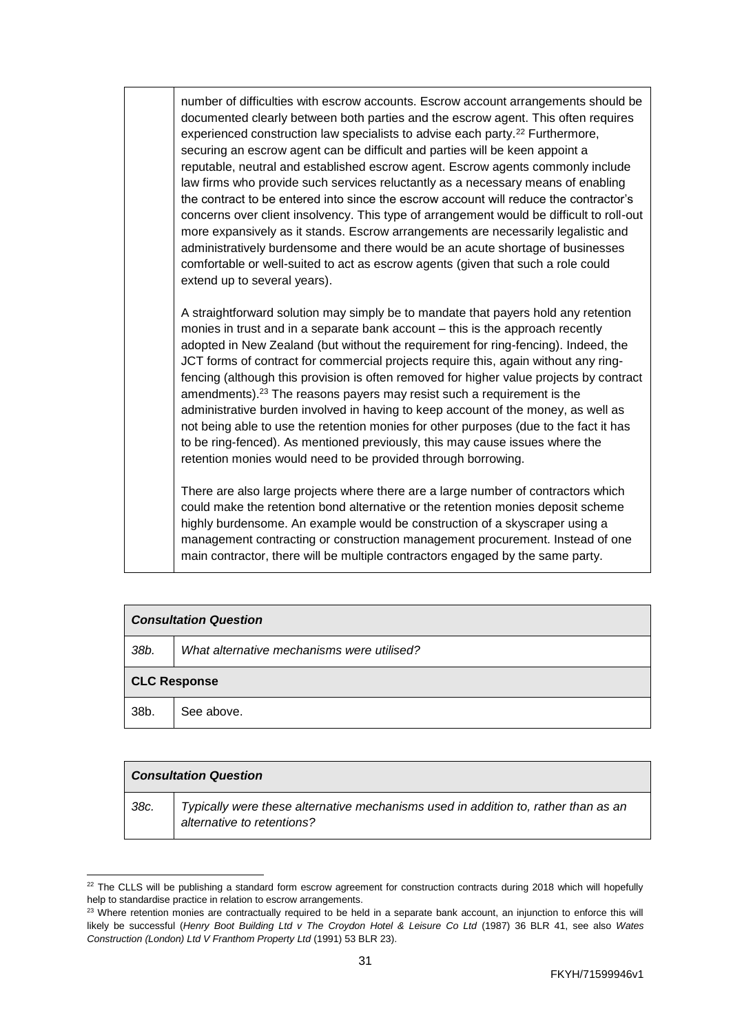number of difficulties with escrow accounts. Escrow account arrangements should be documented clearly between both parties and the escrow agent. This often requires experienced construction law specialists to advise each party.<sup>22</sup> Furthermore, securing an escrow agent can be difficult and parties will be keen appoint a reputable, neutral and established escrow agent. Escrow agents commonly include law firms who provide such services reluctantly as a necessary means of enabling the contract to be entered into since the escrow account will reduce the contractor's concerns over client insolvency. This type of arrangement would be difficult to roll-out more expansively as it stands. Escrow arrangements are necessarily legalistic and administratively burdensome and there would be an acute shortage of businesses comfortable or well-suited to act as escrow agents (given that such a role could extend up to several years).

A straightforward solution may simply be to mandate that payers hold any retention monies in trust and in a separate bank account – this is the approach recently adopted in New Zealand (but without the requirement for ring-fencing). Indeed, the JCT forms of contract for commercial projects require this, again without any ringfencing (although this provision is often removed for higher value projects by contract amendments). <sup>23</sup> The reasons payers may resist such a requirement is the administrative burden involved in having to keep account of the money, as well as not being able to use the retention monies for other purposes (due to the fact it has to be ring-fenced). As mentioned previously, this may cause issues where the retention monies would need to be provided through borrowing.

There are also large projects where there are a large number of contractors which could make the retention bond alternative or the retention monies deposit scheme highly burdensome. An example would be construction of a skyscraper using a management contracting or construction management procurement. Instead of one main contractor, there will be multiple contractors engaged by the same party.

| <b>Consultation Question</b> |                                            |
|------------------------------|--------------------------------------------|
| 38b.                         | What alternative mechanisms were utilised? |
| <b>CLC Response</b>          |                                            |
| 38b.                         | See above.                                 |

|      | <b>Consultation Question</b>                                                                                     |  |
|------|------------------------------------------------------------------------------------------------------------------|--|
| 38c. | Typically were these alternative mechanisms used in addition to, rather than as an<br>alternative to retentions? |  |

 <sup>22</sup> The CLLS will be publishing a standard form escrow agreement for construction contracts during 2018 which will hopefully help to standardise practice in relation to escrow arrangements.

<sup>&</sup>lt;sup>23</sup> Where retention monies are contractually required to be held in a separate bank account, an injunction to enforce this will likely be successful (*Henry Boot Building Ltd v The Croydon Hotel & Leisure Co Ltd* (1987) 36 BLR 41, see also *Wates Construction (London) Ltd V Franthom Property Ltd* (1991) 53 BLR 23).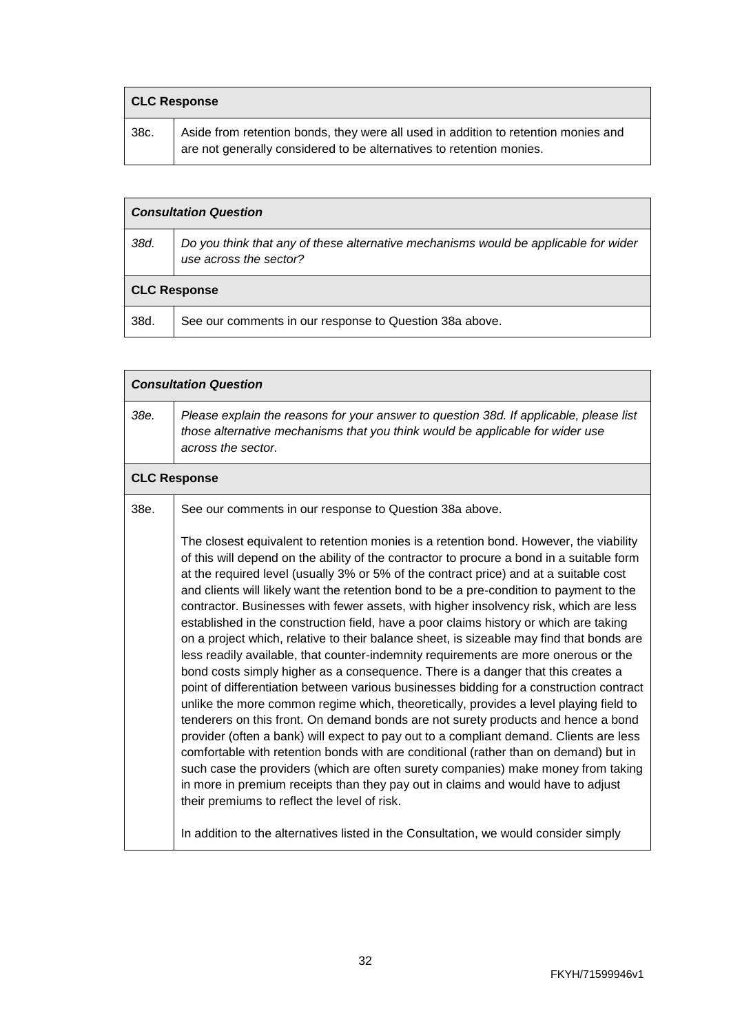| <b>CLC Response</b> |                                                                                                                                                            |
|---------------------|------------------------------------------------------------------------------------------------------------------------------------------------------------|
| 38c.                | Aside from retention bonds, they were all used in addition to retention monies and<br>are not generally considered to be alternatives to retention monies. |

|      | <b>Consultation Question</b>                                                                                  |  |
|------|---------------------------------------------------------------------------------------------------------------|--|
| 38d. | Do you think that any of these alternative mechanisms would be applicable for wider<br>use across the sector? |  |
|      | <b>CLC Response</b>                                                                                           |  |
| 38d. | See our comments in our response to Question 38a above.                                                       |  |

| <b>Consultation Question</b> |                                                                                                                                                                                                                                                                                                                                                                                                                                                                                                                                                                                                                                                                                                                                                                                                                                                                                                                                                                                                                                                                                                                                                                                                                                                                                                                                                                                                                                                                                                                                                                                                              |
|------------------------------|--------------------------------------------------------------------------------------------------------------------------------------------------------------------------------------------------------------------------------------------------------------------------------------------------------------------------------------------------------------------------------------------------------------------------------------------------------------------------------------------------------------------------------------------------------------------------------------------------------------------------------------------------------------------------------------------------------------------------------------------------------------------------------------------------------------------------------------------------------------------------------------------------------------------------------------------------------------------------------------------------------------------------------------------------------------------------------------------------------------------------------------------------------------------------------------------------------------------------------------------------------------------------------------------------------------------------------------------------------------------------------------------------------------------------------------------------------------------------------------------------------------------------------------------------------------------------------------------------------------|
| 38e.                         | Please explain the reasons for your answer to question 38d. If applicable, please list<br>those alternative mechanisms that you think would be applicable for wider use<br>across the sector.                                                                                                                                                                                                                                                                                                                                                                                                                                                                                                                                                                                                                                                                                                                                                                                                                                                                                                                                                                                                                                                                                                                                                                                                                                                                                                                                                                                                                |
|                              | <b>CLC Response</b>                                                                                                                                                                                                                                                                                                                                                                                                                                                                                                                                                                                                                                                                                                                                                                                                                                                                                                                                                                                                                                                                                                                                                                                                                                                                                                                                                                                                                                                                                                                                                                                          |
| 38e.                         | See our comments in our response to Question 38a above.                                                                                                                                                                                                                                                                                                                                                                                                                                                                                                                                                                                                                                                                                                                                                                                                                                                                                                                                                                                                                                                                                                                                                                                                                                                                                                                                                                                                                                                                                                                                                      |
|                              | The closest equivalent to retention monies is a retention bond. However, the viability<br>of this will depend on the ability of the contractor to procure a bond in a suitable form<br>at the required level (usually 3% or 5% of the contract price) and at a suitable cost<br>and clients will likely want the retention bond to be a pre-condition to payment to the<br>contractor. Businesses with fewer assets, with higher insolvency risk, which are less<br>established in the construction field, have a poor claims history or which are taking<br>on a project which, relative to their balance sheet, is sizeable may find that bonds are<br>less readily available, that counter-indemnity requirements are more onerous or the<br>bond costs simply higher as a consequence. There is a danger that this creates a<br>point of differentiation between various businesses bidding for a construction contract<br>unlike the more common regime which, theoretically, provides a level playing field to<br>tenderers on this front. On demand bonds are not surety products and hence a bond<br>provider (often a bank) will expect to pay out to a compliant demand. Clients are less<br>comfortable with retention bonds with are conditional (rather than on demand) but in<br>such case the providers (which are often surety companies) make money from taking<br>in more in premium receipts than they pay out in claims and would have to adjust<br>their premiums to reflect the level of risk.<br>In addition to the alternatives listed in the Consultation, we would consider simply |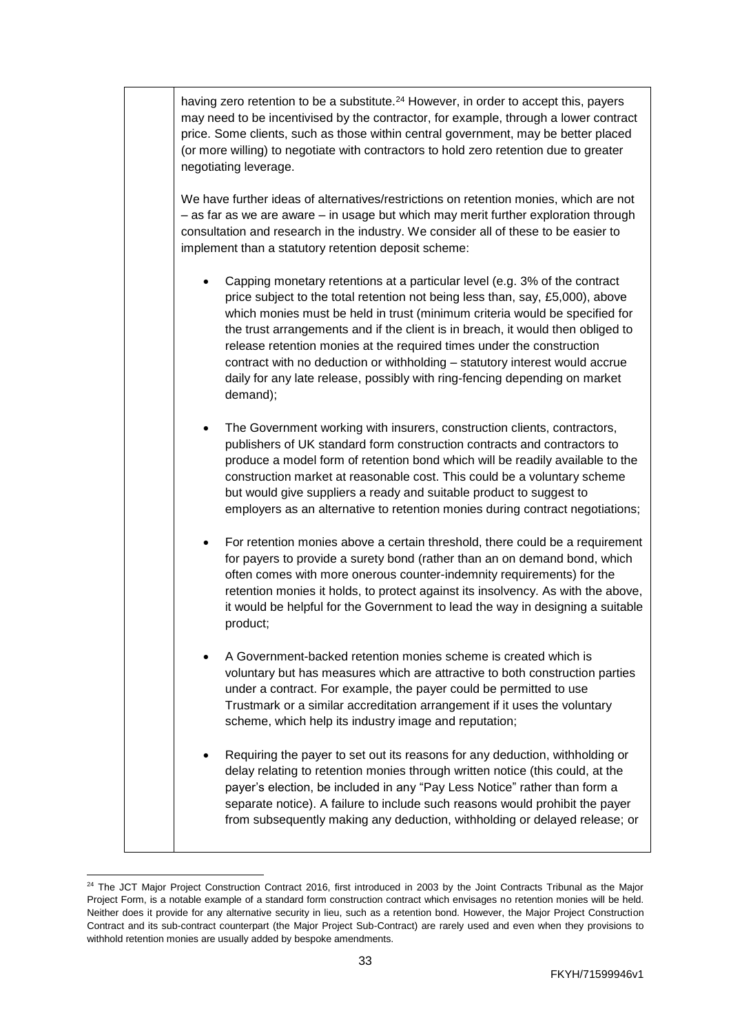having zero retention to be a substitute.<sup>24</sup> However, in order to accept this, payers may need to be incentivised by the contractor, for example, through a lower contract price. Some clients, such as those within central government, may be better placed (or more willing) to negotiate with contractors to hold zero retention due to greater negotiating leverage. We have further ideas of alternatives/restrictions on retention monies, which are not – as far as we are aware – in usage but which may merit further exploration through consultation and research in the industry. We consider all of these to be easier to implement than a statutory retention deposit scheme: • Capping monetary retentions at a particular level (e.g. 3% of the contract price subject to the total retention not being less than, say, £5,000), above which monies must be held in trust (minimum criteria would be specified for the trust arrangements and if the client is in breach, it would then obliged to release retention monies at the required times under the construction contract with no deduction or withholding – statutory interest would accrue daily for any late release, possibly with ring-fencing depending on market demand); The Government working with insurers, construction clients, contractors, publishers of UK standard form construction contracts and contractors to produce a model form of retention bond which will be readily available to the construction market at reasonable cost. This could be a voluntary scheme but would give suppliers a ready and suitable product to suggest to employers as an alternative to retention monies during contract negotiations; • For retention monies above a certain threshold, there could be a requirement for payers to provide a surety bond (rather than an on demand bond, which often comes with more onerous counter-indemnity requirements) for the retention monies it holds, to protect against its insolvency. As with the above, it would be helpful for the Government to lead the way in designing a suitable product; • A Government-backed retention monies scheme is created which is voluntary but has measures which are attractive to both construction parties under a contract. For example, the payer could be permitted to use [Trustmark](https://www.trustmark.org.uk/) or a similar accreditation arrangement if it uses the voluntary scheme, which help its industry image and reputation; • Requiring the payer to set out its reasons for any deduction, withholding or delay relating to retention monies through written notice (this could, at the payer's election, be included in any "Pay Less Notice" rather than form a separate notice). A failure to include such reasons would prohibit the payer from subsequently making any deduction, withholding or delayed release; or

 <sup>24</sup> The JCT Major Project Construction Contract 2016, first introduced in 2003 by the Joint Contracts Tribunal as the Major Project Form, is a notable example of a standard form construction contract which envisages no retention monies will be held. Neither does it provide for any alternative security in lieu, such as a retention bond. However, the Major Project Construction Contract and its sub-contract counterpart (the Major Project Sub-Contract) are rarely used and even when they provisions to withhold retention monies are usually added by bespoke amendments.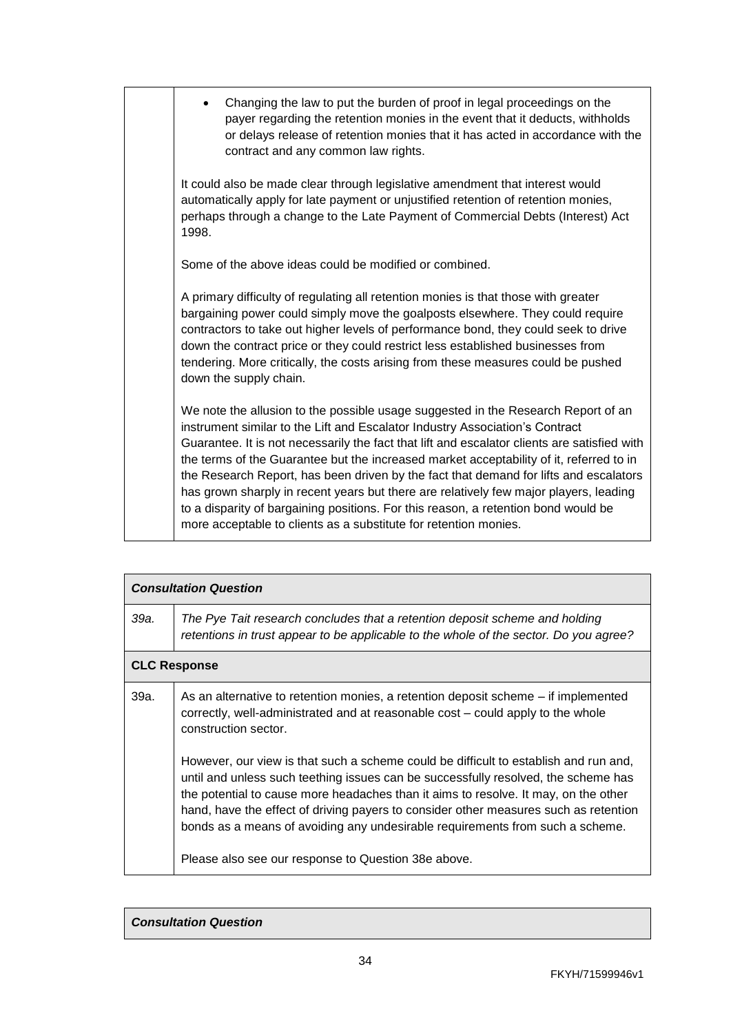| Changing the law to put the burden of proof in legal proceedings on the<br>$\bullet$<br>payer regarding the retention monies in the event that it deducts, withholds<br>or delays release of retention monies that it has acted in accordance with the<br>contract and any common law rights.                                                                                                                                                                                                                                                                                                                                                                                                            |
|----------------------------------------------------------------------------------------------------------------------------------------------------------------------------------------------------------------------------------------------------------------------------------------------------------------------------------------------------------------------------------------------------------------------------------------------------------------------------------------------------------------------------------------------------------------------------------------------------------------------------------------------------------------------------------------------------------|
| It could also be made clear through legislative amendment that interest would<br>automatically apply for late payment or unjustified retention of retention monies,<br>perhaps through a change to the Late Payment of Commercial Debts (Interest) Act<br>1998.                                                                                                                                                                                                                                                                                                                                                                                                                                          |
| Some of the above ideas could be modified or combined.                                                                                                                                                                                                                                                                                                                                                                                                                                                                                                                                                                                                                                                   |
| A primary difficulty of regulating all retention monies is that those with greater<br>bargaining power could simply move the goalposts elsewhere. They could require<br>contractors to take out higher levels of performance bond, they could seek to drive<br>down the contract price or they could restrict less established businesses from<br>tendering. More critically, the costs arising from these measures could be pushed<br>down the supply chain.                                                                                                                                                                                                                                            |
| We note the allusion to the possible usage suggested in the Research Report of an<br>instrument similar to the Lift and Escalator Industry Association's Contract<br>Guarantee. It is not necessarily the fact that lift and escalator clients are satisfied with<br>the terms of the Guarantee but the increased market acceptability of it, referred to in<br>the Research Report, has been driven by the fact that demand for lifts and escalators<br>has grown sharply in recent years but there are relatively few major players, leading<br>to a disparity of bargaining positions. For this reason, a retention bond would be<br>more acceptable to clients as a substitute for retention monies. |

| <b>Consultation Question</b> |                                                                                                                                                                                                                                                                                                                                                                                                                                                                                                   |
|------------------------------|---------------------------------------------------------------------------------------------------------------------------------------------------------------------------------------------------------------------------------------------------------------------------------------------------------------------------------------------------------------------------------------------------------------------------------------------------------------------------------------------------|
| 39а.                         | The Pye Tait research concludes that a retention deposit scheme and holding<br>retentions in trust appear to be applicable to the whole of the sector. Do you agree?                                                                                                                                                                                                                                                                                                                              |
|                              | <b>CLC Response</b>                                                                                                                                                                                                                                                                                                                                                                                                                                                                               |
| 39a.                         | As an alternative to retention monies, a retention deposit scheme – if implemented<br>correctly, well-administrated and at reasonable cost – could apply to the whole<br>construction sector.                                                                                                                                                                                                                                                                                                     |
|                              | However, our view is that such a scheme could be difficult to establish and run and,<br>until and unless such teething issues can be successfully resolved, the scheme has<br>the potential to cause more headaches than it aims to resolve. It may, on the other<br>hand, have the effect of driving payers to consider other measures such as retention<br>bonds as a means of avoiding any undesirable requirements from such a scheme.<br>Please also see our response to Question 38e above. |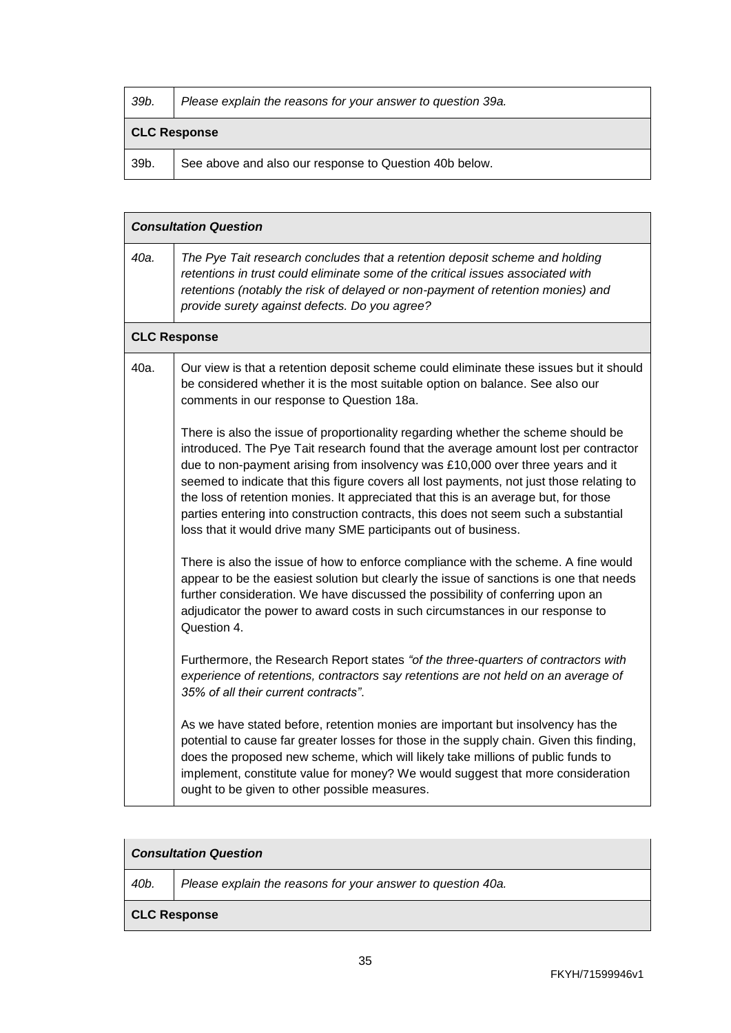| 39b.                | Please explain the reasons for your answer to question 39a. |
|---------------------|-------------------------------------------------------------|
| <b>CLC Response</b> |                                                             |
| 39b.                | See above and also our response to Question 40b below.      |

|      | <b>Consultation Question</b>                                                                                                                                                                                                                                                                                                                                                                                                                                                                                                                                                                            |  |
|------|---------------------------------------------------------------------------------------------------------------------------------------------------------------------------------------------------------------------------------------------------------------------------------------------------------------------------------------------------------------------------------------------------------------------------------------------------------------------------------------------------------------------------------------------------------------------------------------------------------|--|
| 40a. | The Pye Tait research concludes that a retention deposit scheme and holding<br>retentions in trust could eliminate some of the critical issues associated with<br>retentions (notably the risk of delayed or non-payment of retention monies) and<br>provide surety against defects. Do you agree?                                                                                                                                                                                                                                                                                                      |  |
|      | <b>CLC Response</b>                                                                                                                                                                                                                                                                                                                                                                                                                                                                                                                                                                                     |  |
| 40a. | Our view is that a retention deposit scheme could eliminate these issues but it should<br>be considered whether it is the most suitable option on balance. See also our<br>comments in our response to Question 18a.                                                                                                                                                                                                                                                                                                                                                                                    |  |
|      | There is also the issue of proportionality regarding whether the scheme should be<br>introduced. The Pye Tait research found that the average amount lost per contractor<br>due to non-payment arising from insolvency was £10,000 over three years and it<br>seemed to indicate that this figure covers all lost payments, not just those relating to<br>the loss of retention monies. It appreciated that this is an average but, for those<br>parties entering into construction contracts, this does not seem such a substantial<br>loss that it would drive many SME participants out of business. |  |
|      | There is also the issue of how to enforce compliance with the scheme. A fine would<br>appear to be the easiest solution but clearly the issue of sanctions is one that needs<br>further consideration. We have discussed the possibility of conferring upon an<br>adjudicator the power to award costs in such circumstances in our response to<br>Question 4.                                                                                                                                                                                                                                          |  |
|      | Furthermore, the Research Report states "of the three-quarters of contractors with<br>experience of retentions, contractors say retentions are not held on an average of<br>35% of all their current contracts".                                                                                                                                                                                                                                                                                                                                                                                        |  |
|      | As we have stated before, retention monies are important but insolvency has the<br>potential to cause far greater losses for those in the supply chain. Given this finding,<br>does the proposed new scheme, which will likely take millions of public funds to<br>implement, constitute value for money? We would suggest that more consideration<br>ought to be given to other possible measures.                                                                                                                                                                                                     |  |

# *Consultation Question*

*40b. Please explain the reasons for your answer to question 40a.*

## **CLC Response**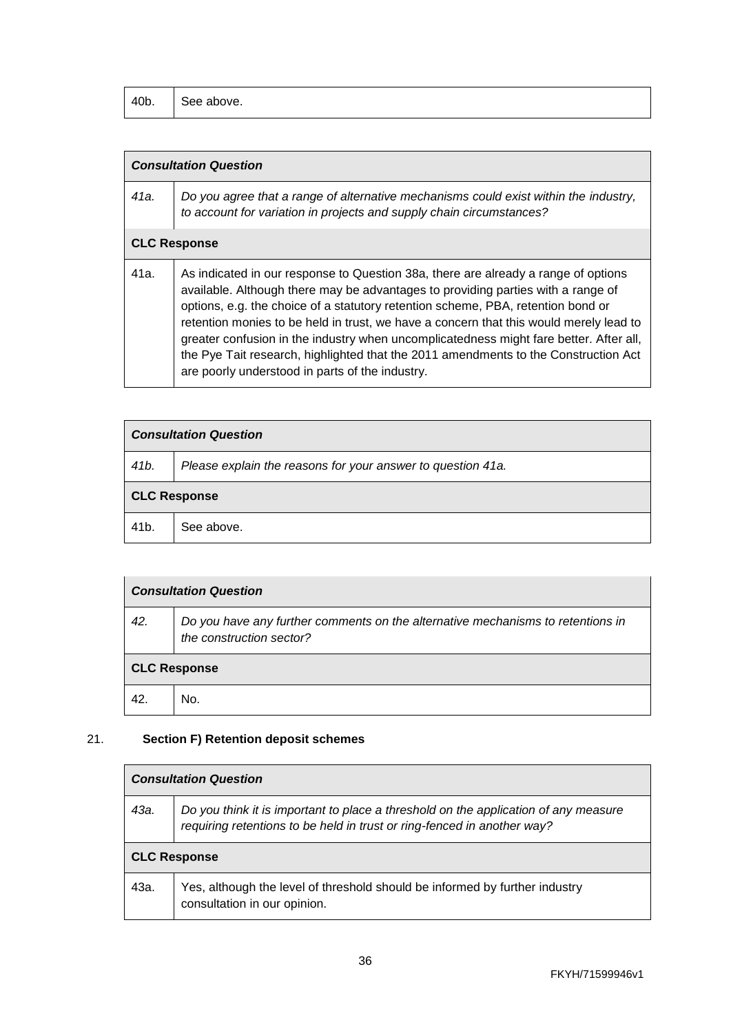| 40b. | $\sim$<br>See above. |
|------|----------------------|
|------|----------------------|

| 41a. | Do you agree that a range of alternative mechanisms could exist within the industry,<br>to account for variation in projects and supply chain circumstances?                                                                                                                                                                                                                                                                                                                                                                                                                             |
|------|------------------------------------------------------------------------------------------------------------------------------------------------------------------------------------------------------------------------------------------------------------------------------------------------------------------------------------------------------------------------------------------------------------------------------------------------------------------------------------------------------------------------------------------------------------------------------------------|
|      | <b>CLC Response</b>                                                                                                                                                                                                                                                                                                                                                                                                                                                                                                                                                                      |
| 41a. | As indicated in our response to Question 38a, there are already a range of options<br>available. Although there may be advantages to providing parties with a range of<br>options, e.g. the choice of a statutory retention scheme, PBA, retention bond or<br>retention monies to be held in trust, we have a concern that this would merely lead to<br>greater confusion in the industry when uncomplicatedness might fare better. After all,<br>the Pye Tait research, highlighted that the 2011 amendments to the Construction Act<br>are poorly understood in parts of the industry. |

| <b>Consultation Question</b> |                                                             |  |  |  |
|------------------------------|-------------------------------------------------------------|--|--|--|
| 41 <sub>b</sub> .            | Please explain the reasons for your answer to question 41a. |  |  |  |
| <b>CLC Response</b>          |                                                             |  |  |  |
| 41 <sub>b</sub>              | See above.                                                  |  |  |  |

| <b>Consultation Question</b> |                                                                                                             |  |
|------------------------------|-------------------------------------------------------------------------------------------------------------|--|
| 42.                          | Do you have any further comments on the alternative mechanisms to retentions in<br>the construction sector? |  |
| <b>CLC Response</b>          |                                                                                                             |  |
| 42.                          | No.                                                                                                         |  |

## 21. **Section F) Retention deposit schemes**

| <b>Consultation Question</b> |                                                                                                                                                                |  |  |  |
|------------------------------|----------------------------------------------------------------------------------------------------------------------------------------------------------------|--|--|--|
| 43а.                         | Do you think it is important to place a threshold on the application of any measure<br>requiring retentions to be held in trust or ring-fenced in another way? |  |  |  |
| <b>CLC Response</b>          |                                                                                                                                                                |  |  |  |
| 43а.                         | Yes, although the level of threshold should be informed by further industry<br>consultation in our opinion.                                                    |  |  |  |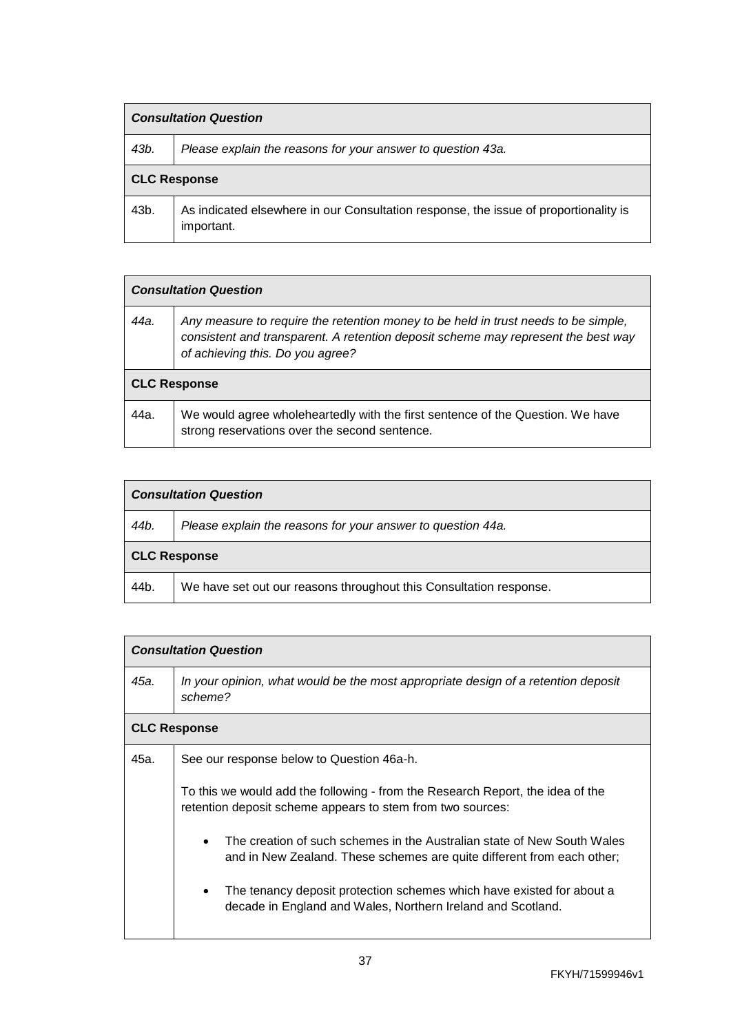| <b>Consultation Question</b> |                                                                                                    |  |  |  |
|------------------------------|----------------------------------------------------------------------------------------------------|--|--|--|
| 43b.                         | Please explain the reasons for your answer to question 43a.                                        |  |  |  |
| <b>CLC Response</b>          |                                                                                                    |  |  |  |
| 43b.                         | As indicated elsewhere in our Consultation response, the issue of proportionality is<br>important. |  |  |  |

| <b>Consultation Question</b> |                                                                                                                                                                                                             |  |
|------------------------------|-------------------------------------------------------------------------------------------------------------------------------------------------------------------------------------------------------------|--|
| 44а.                         | Any measure to require the retention money to be held in trust needs to be simple,<br>consistent and transparent. A retention deposit scheme may represent the best way<br>of achieving this. Do you agree? |  |
| <b>CLC Response</b>          |                                                                                                                                                                                                             |  |
| 44a.                         | We would agree wholeheartedly with the first sentence of the Question. We have<br>strong reservations over the second sentence.                                                                             |  |

| <b>Consultation Question</b> |                                                                    |  |  |  |
|------------------------------|--------------------------------------------------------------------|--|--|--|
| 44b.                         | Please explain the reasons for your answer to question 44a.        |  |  |  |
| <b>CLC Response</b>          |                                                                    |  |  |  |
| 44b.                         | We have set out our reasons throughout this Consultation response. |  |  |  |

| <b>Consultation Question</b> |                                                                                                                                                                |  |
|------------------------------|----------------------------------------------------------------------------------------------------------------------------------------------------------------|--|
| 45а.                         | In your opinion, what would be the most appropriate design of a retention deposit<br>scheme?                                                                   |  |
|                              | <b>CLC Response</b>                                                                                                                                            |  |
| 45а.                         | See our response below to Question 46a-h.                                                                                                                      |  |
|                              | To this we would add the following - from the Research Report, the idea of the<br>retention deposit scheme appears to stem from two sources:                   |  |
|                              | The creation of such schemes in the Australian state of New South Wales<br>$\bullet$<br>and in New Zealand. These schemes are quite different from each other; |  |
|                              | The tenancy deposit protection schemes which have existed for about a<br>$\bullet$<br>decade in England and Wales, Northern Ireland and Scotland.              |  |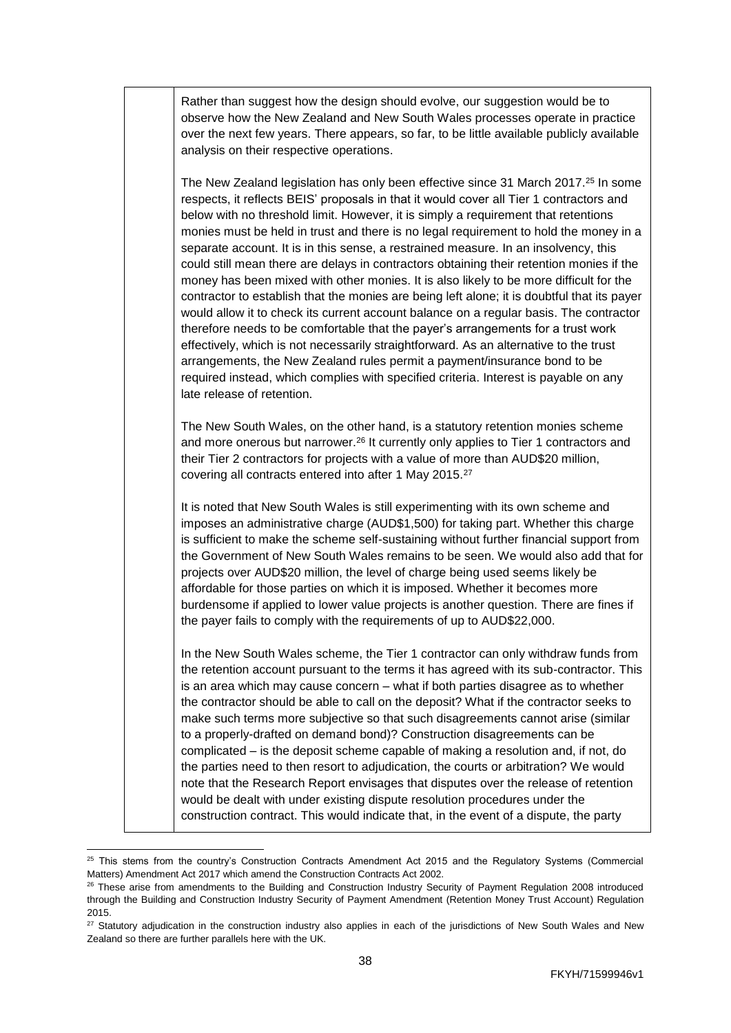| Rather than suggest how the design should evolve, our suggestion would be to<br>observe how the New Zealand and New South Wales processes operate in practice<br>over the next few years. There appears, so far, to be little available publicly available<br>analysis on their respective operations.                                                                                                                                                                                                                                                                                                                                                                                                                                                                                                                                                                                                                                                                                                                                                                                                                                                                                                                         |
|--------------------------------------------------------------------------------------------------------------------------------------------------------------------------------------------------------------------------------------------------------------------------------------------------------------------------------------------------------------------------------------------------------------------------------------------------------------------------------------------------------------------------------------------------------------------------------------------------------------------------------------------------------------------------------------------------------------------------------------------------------------------------------------------------------------------------------------------------------------------------------------------------------------------------------------------------------------------------------------------------------------------------------------------------------------------------------------------------------------------------------------------------------------------------------------------------------------------------------|
| The New Zealand legislation has only been effective since 31 March 2017. <sup>25</sup> In some<br>respects, it reflects BEIS' proposals in that it would cover all Tier 1 contractors and<br>below with no threshold limit. However, it is simply a requirement that retentions<br>monies must be held in trust and there is no legal requirement to hold the money in a<br>separate account. It is in this sense, a restrained measure. In an insolvency, this<br>could still mean there are delays in contractors obtaining their retention monies if the<br>money has been mixed with other monies. It is also likely to be more difficult for the<br>contractor to establish that the monies are being left alone; it is doubtful that its payer<br>would allow it to check its current account balance on a regular basis. The contractor<br>therefore needs to be comfortable that the payer's arrangements for a trust work<br>effectively, which is not necessarily straightforward. As an alternative to the trust<br>arrangements, the New Zealand rules permit a payment/insurance bond to be<br>required instead, which complies with specified criteria. Interest is payable on any<br>late release of retention. |
| The New South Wales, on the other hand, is a statutory retention monies scheme<br>and more onerous but narrower. <sup>26</sup> It currently only applies to Tier 1 contractors and<br>their Tier 2 contractors for projects with a value of more than AUD\$20 million,<br>covering all contracts entered into after 1 May 2015. <sup>27</sup>                                                                                                                                                                                                                                                                                                                                                                                                                                                                                                                                                                                                                                                                                                                                                                                                                                                                                  |
| It is noted that New South Wales is still experimenting with its own scheme and<br>imposes an administrative charge (AUD\$1,500) for taking part. Whether this charge<br>is sufficient to make the scheme self-sustaining without further financial support from<br>the Government of New South Wales remains to be seen. We would also add that for<br>projects over AUD\$20 million, the level of charge being used seems likely be<br>affordable for those parties on which it is imposed. Whether it becomes more<br>burdensome if applied to lower value projects is another question. There are fines if<br>the payer fails to comply with the requirements of up to AUD\$22,000.                                                                                                                                                                                                                                                                                                                                                                                                                                                                                                                                        |
| In the New South Wales scheme, the Tier 1 contractor can only withdraw funds from<br>the retention account pursuant to the terms it has agreed with its sub-contractor. This<br>is an area which may cause concern - what if both parties disagree as to whether<br>the contractor should be able to call on the deposit? What if the contractor seeks to<br>make such terms more subjective so that such disagreements cannot arise (similar<br>to a properly-drafted on demand bond)? Construction disagreements can be<br>complicated – is the deposit scheme capable of making a resolution and, if not, do<br>the parties need to then resort to adjudication, the courts or arbitration? We would<br>note that the Research Report envisages that disputes over the release of retention<br>would be dealt with under existing dispute resolution procedures under the<br>construction contract. This would indicate that, in the event of a dispute, the party                                                                                                                                                                                                                                                          |

 $\overline{a}$  $^{25}$  This stems from the country's Construction Contracts Amendment Act 2015 and the Regulatory Systems (Commercial Matters) Amendment Act 2017 which amend the Construction Contracts Act 2002.

<sup>&</sup>lt;sup>26</sup> These arise from amendments to the Building and Construction Industry Security of Payment Regulation 2008 introduced through the Building and Construction Industry Security of Payment Amendment (Retention Money Trust Account) Regulation 2015.

<sup>&</sup>lt;sup>27</sup> Statutory adjudication in the construction industry also applies in each of the jurisdictions of New South Wales and New Zealand so there are further parallels here with the UK.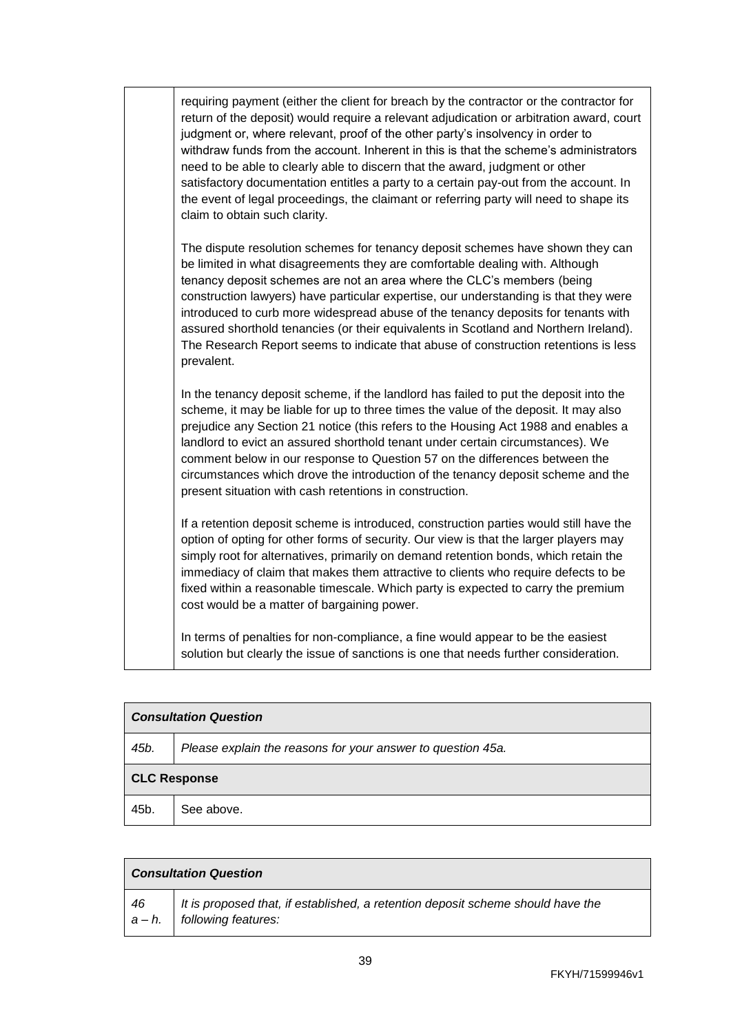requiring payment (either the client for breach by the contractor or the contractor for return of the deposit) would require a relevant adjudication or arbitration award, court judgment or, where relevant, proof of the other party's insolvency in order to withdraw funds from the account. Inherent in this is that the scheme's administrators need to be able to clearly able to discern that the award, judgment or other satisfactory documentation entitles a party to a certain pay-out from the account. In the event of legal proceedings, the claimant or referring party will need to shape its claim to obtain such clarity.

The dispute resolution schemes for tenancy deposit schemes have shown they can be limited in what disagreements they are comfortable dealing with. Although tenancy deposit schemes are not an area where the CLC's members (being construction lawyers) have particular expertise, our understanding is that they were introduced to curb more widespread abuse of the tenancy deposits for tenants with assured shorthold tenancies (or their equivalents in Scotland and Northern Ireland). The Research Report seems to indicate that abuse of construction retentions is less prevalent.

In the tenancy deposit scheme, if the landlord has failed to put the deposit into the scheme, it may be liable for up to three times the value of the deposit. It may also prejudice any Section 21 notice (this refers to the [Housing Act 1988](https://www.legislation.gov.uk/ukpga/1988/50/contents) and enables a landlord to evict an assured shorthold tenant under certain circumstances). We comment below in our response to Question 57 on the differences between the circumstances which drove the introduction of the tenancy deposit scheme and the present situation with cash retentions in construction.

If a retention deposit scheme is introduced, construction parties would still have the option of opting for other forms of security. Our view is that the larger players may simply root for alternatives, primarily on demand retention bonds, which retain the immediacy of claim that makes them attractive to clients who require defects to be fixed within a reasonable timescale. Which party is expected to carry the premium cost would be a matter of bargaining power.

In terms of penalties for non-compliance, a fine would appear to be the easiest solution but clearly the issue of sanctions is one that needs further consideration.

| <b>Consultation Question</b> |                                                             |  |  |  |
|------------------------------|-------------------------------------------------------------|--|--|--|
| 45b.                         | Please explain the reasons for your answer to question 45a. |  |  |  |
| <b>CLC Response</b>          |                                                             |  |  |  |
| 45b.                         | See above.                                                  |  |  |  |

| <b>Consultation Question</b> |                                                                                                                  |  |
|------------------------------|------------------------------------------------------------------------------------------------------------------|--|
| 46                           | It is proposed that, if established, a retention deposit scheme should have the<br>$a - h$ . following features: |  |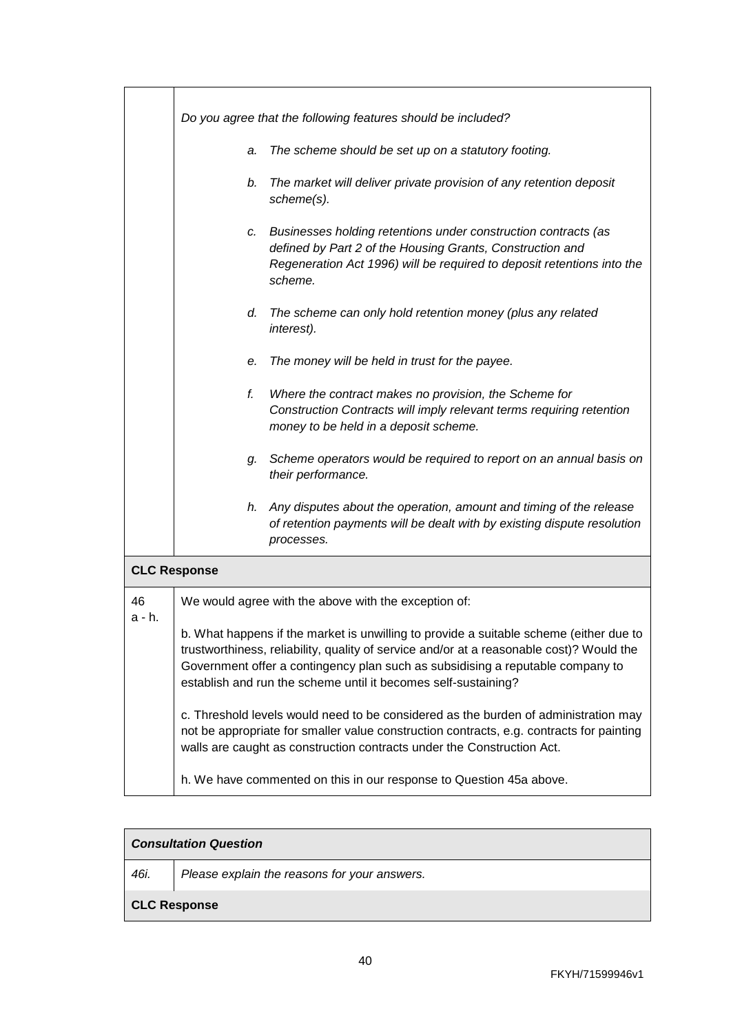|                     |    | Do you agree that the following features should be included?                                                                                                                                                     |
|---------------------|----|------------------------------------------------------------------------------------------------------------------------------------------------------------------------------------------------------------------|
|                     | a. | The scheme should be set up on a statutory footing.                                                                                                                                                              |
|                     | b. | The market will deliver private provision of any retention deposit<br>scheme(s).                                                                                                                                 |
|                     | c. | Businesses holding retentions under construction contracts (as<br>defined by Part 2 of the Housing Grants, Construction and<br>Regeneration Act 1996) will be required to deposit retentions into the<br>scheme. |
|                     | d. | The scheme can only hold retention money (plus any related<br>interest).                                                                                                                                         |
|                     | е. | The money will be held in trust for the payee.                                                                                                                                                                   |
|                     | f. | Where the contract makes no provision, the Scheme for<br>Construction Contracts will imply relevant terms requiring retention<br>money to be held in a deposit scheme.                                           |
|                     | g. | Scheme operators would be required to report on an annual basis on<br>their performance.                                                                                                                         |
|                     | h. | Any disputes about the operation, amount and timing of the release<br>of retention payments will be dealt with by existing dispute resolution<br>processes.                                                      |
| <b>CLC Response</b> |    |                                                                                                                                                                                                                  |

| 46     | We would agree with |
|--------|---------------------|
| a - h. |                     |

b. What happens if the market is unwilling to provide a suitable scheme (either due to trustworthiness, reliability, quality of service and/or at a reasonable cost)? Would the Government offer a contingency plan such as subsidising a reputable company to establish and run the scheme until it becomes self-sustaining? c. Threshold levels would need to be considered as the burden of administration may not be appropriate for smaller value construction contracts, e.g. contracts for painting walls are caught as construction contracts under the Construction Act.

the above with the exception of:

h. We have commented on this in our response to Question 45a above.

## *Consultation Question*

*46i. Please explain the reasons for your answers.*

#### **CLC Response**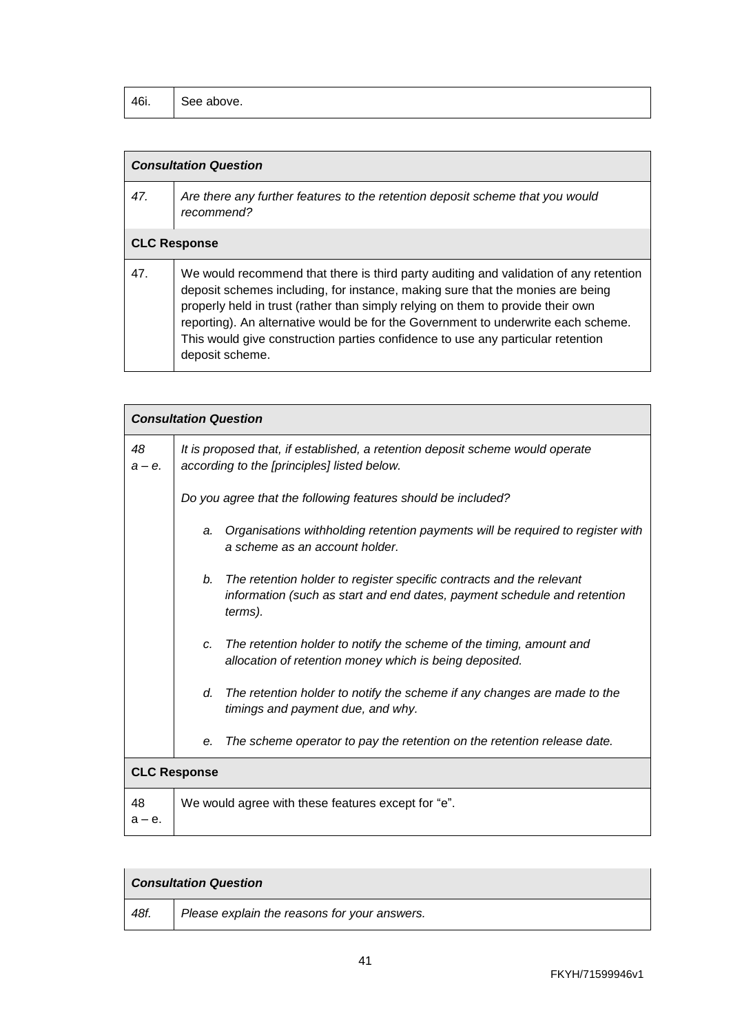| 46i. | See above. |
|------|------------|
|------|------------|

## *Consultation Question*

| 47. | Are there any further features to the retention deposit scheme that you would<br>recommend?                                                                                                                                                                                                                                                     |
|-----|-------------------------------------------------------------------------------------------------------------------------------------------------------------------------------------------------------------------------------------------------------------------------------------------------------------------------------------------------|
|     | <b>CLC Response</b>                                                                                                                                                                                                                                                                                                                             |
| 47. | We would recommend that there is third party auditing and validation of any retention<br>deposit schemes including, for instance, making sure that the monies are being<br>properly held in trust (rather than simply relying on them to provide their own<br>reporting). An alternative would be for the Government to underwrite each scheme. |

This would give construction parties confidence to use any particular retention deposit scheme.

|                     | <b>Consultation Question</b>                       |                                                                                                                                                  |
|---------------------|----------------------------------------------------|--------------------------------------------------------------------------------------------------------------------------------------------------|
| 48<br>$a - e$ .     | according to the [principles] listed below.        | It is proposed that, if established, a retention deposit scheme would operate                                                                    |
|                     |                                                    | Do you agree that the following features should be included?                                                                                     |
|                     | a.<br>a scheme as an account holder.               | Organisations withholding retention payments will be required to register with                                                                   |
|                     | b.<br>terms).                                      | The retention holder to register specific contracts and the relevant<br>information (such as start and end dates, payment schedule and retention |
|                     | C.                                                 | The retention holder to notify the scheme of the timing, amount and<br>allocation of retention money which is being deposited.                   |
|                     | d.<br>timings and payment due, and why.            | The retention holder to notify the scheme if any changes are made to the                                                                         |
|                     | е.                                                 | The scheme operator to pay the retention on the retention release date.                                                                          |
| <b>CLC Response</b> |                                                    |                                                                                                                                                  |
| 48<br>$a - e$ .     | We would agree with these features except for "e". |                                                                                                                                                  |

| <b>Consultation Question</b> |                                              |
|------------------------------|----------------------------------------------|
| 48f.                         | Please explain the reasons for your answers. |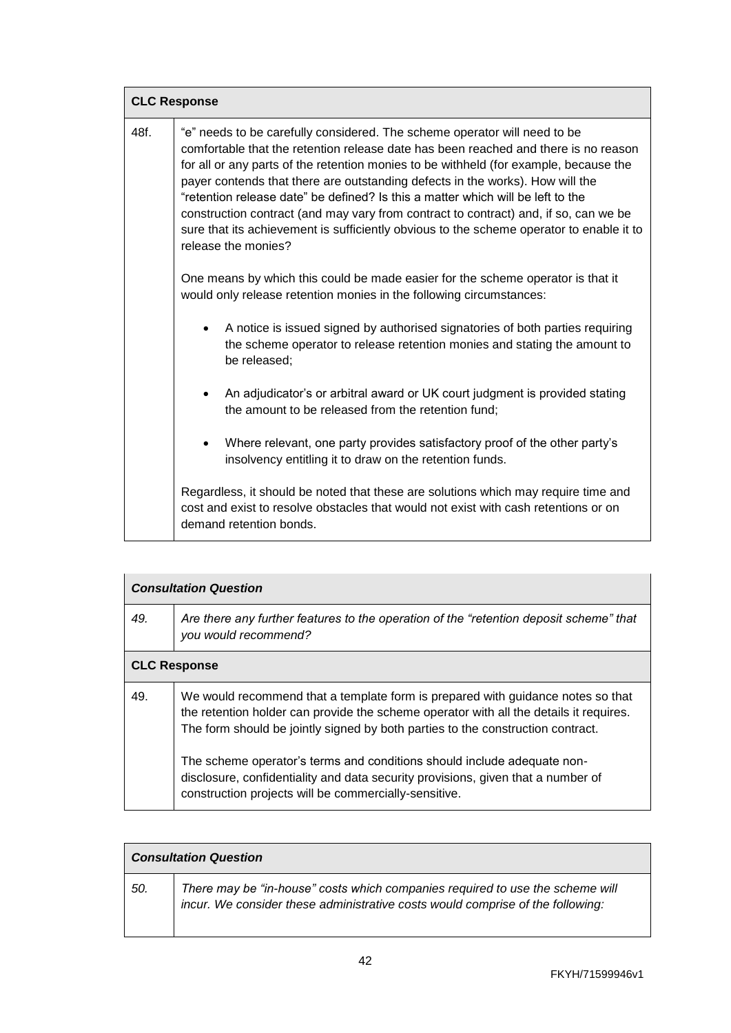|      | <b>CLC Response</b>                                                                                                                                                                                                                                                                                                                                                                                                                                                                                                                                                                                                                      |  |
|------|------------------------------------------------------------------------------------------------------------------------------------------------------------------------------------------------------------------------------------------------------------------------------------------------------------------------------------------------------------------------------------------------------------------------------------------------------------------------------------------------------------------------------------------------------------------------------------------------------------------------------------------|--|
| 48f. | "e" needs to be carefully considered. The scheme operator will need to be<br>comfortable that the retention release date has been reached and there is no reason<br>for all or any parts of the retention monies to be withheld (for example, because the<br>payer contends that there are outstanding defects in the works). How will the<br>"retention release date" be defined? Is this a matter which will be left to the<br>construction contract (and may vary from contract to contract) and, if so, can we be<br>sure that its achievement is sufficiently obvious to the scheme operator to enable it to<br>release the monies? |  |
|      | One means by which this could be made easier for the scheme operator is that it<br>would only release retention monies in the following circumstances:                                                                                                                                                                                                                                                                                                                                                                                                                                                                                   |  |
|      | A notice is issued signed by authorised signatories of both parties requiring<br>the scheme operator to release retention monies and stating the amount to<br>be released;                                                                                                                                                                                                                                                                                                                                                                                                                                                               |  |
|      | An adjudicator's or arbitral award or UK court judgment is provided stating<br>the amount to be released from the retention fund;                                                                                                                                                                                                                                                                                                                                                                                                                                                                                                        |  |
|      | Where relevant, one party provides satisfactory proof of the other party's<br>insolvency entitling it to draw on the retention funds.                                                                                                                                                                                                                                                                                                                                                                                                                                                                                                    |  |
|      | Regardless, it should be noted that these are solutions which may require time and<br>cost and exist to resolve obstacles that would not exist with cash retentions or on<br>demand retention bonds.                                                                                                                                                                                                                                                                                                                                                                                                                                     |  |

|     | <b>Consultation Question</b>                                                                                                                                                                                                                                 |  |
|-----|--------------------------------------------------------------------------------------------------------------------------------------------------------------------------------------------------------------------------------------------------------------|--|
| 49. | Are there any further features to the operation of the "retention deposit scheme" that<br>you would recommend?                                                                                                                                               |  |
|     | <b>CLC Response</b>                                                                                                                                                                                                                                          |  |
| 49. | We would recommend that a template form is prepared with guidance notes so that<br>the retention holder can provide the scheme operator with all the details it requires.<br>The form should be jointly signed by both parties to the construction contract. |  |
|     | The scheme operator's terms and conditions should include adequate non-<br>disclosure, confidentiality and data security provisions, given that a number of<br>construction projects will be commercially-sensitive.                                         |  |

|     | <b>Consultation Question</b>                                                                                                                                    |  |
|-----|-----------------------------------------------------------------------------------------------------------------------------------------------------------------|--|
| 50. | There may be "in-house" costs which companies required to use the scheme will<br>incur. We consider these administrative costs would comprise of the following: |  |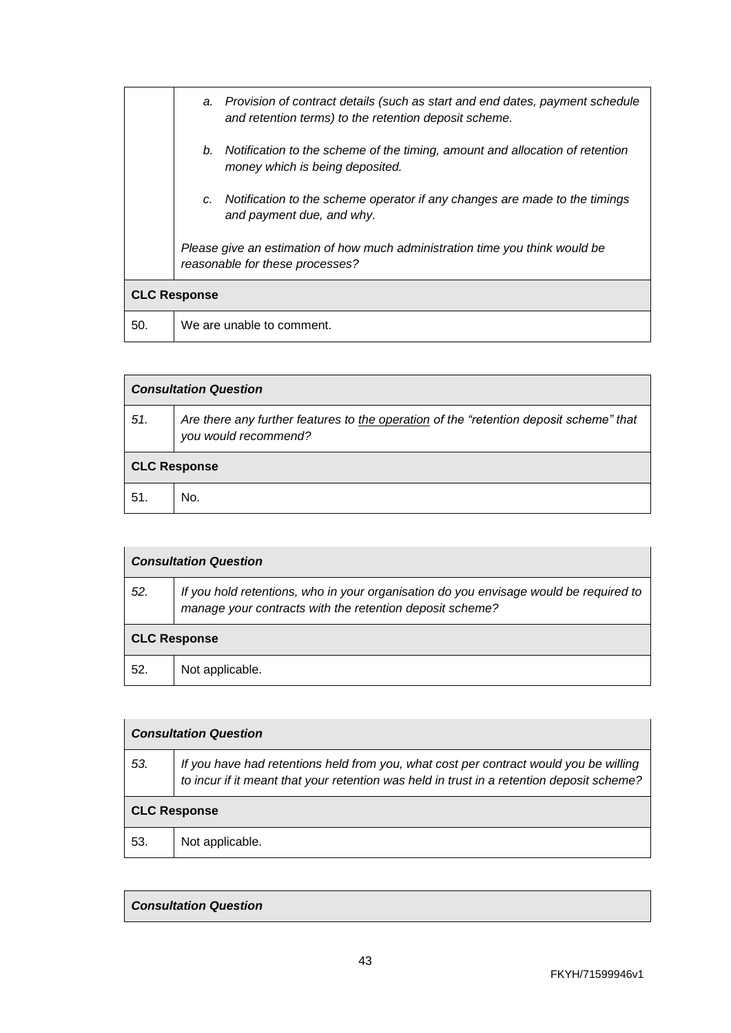|     | a. Provision of contract details (such as start and end dates, payment schedule<br>and retention terms) to the retention deposit scheme. |
|-----|------------------------------------------------------------------------------------------------------------------------------------------|
|     | b. Notification to the scheme of the timing, amount and allocation of retention<br>money which is being deposited.                       |
|     | Notification to the scheme operator if any changes are made to the timings<br>c.<br>and payment due, and why.                            |
|     | Please give an estimation of how much administration time you think would be<br>reasonable for these processes?                          |
|     | <b>CLC Response</b>                                                                                                                      |
| 50. | We are unable to comment.                                                                                                                |

| <b>Consultation Question</b> |                                                                                                                |  |
|------------------------------|----------------------------------------------------------------------------------------------------------------|--|
| 51.                          | Are there any further features to the operation of the "retention deposit scheme" that<br>you would recommend? |  |
|                              | <b>CLC Response</b>                                                                                            |  |
| 51.                          | No.                                                                                                            |  |

|     | <b>Consultation Question</b>                                                                                                                      |  |
|-----|---------------------------------------------------------------------------------------------------------------------------------------------------|--|
| 52. | If you hold retentions, who in your organisation do you envisage would be required to<br>manage your contracts with the retention deposit scheme? |  |
|     | <b>CLC Response</b>                                                                                                                               |  |
| 52. | Not applicable.                                                                                                                                   |  |

| <b>Consultation Question</b> |                                                                                                                                                                                    |
|------------------------------|------------------------------------------------------------------------------------------------------------------------------------------------------------------------------------|
| 53.                          | If you have had retentions held from you, what cost per contract would you be willing<br>to incur if it meant that your retention was held in trust in a retention deposit scheme? |
| <b>CLC Response</b>          |                                                                                                                                                                                    |
| 53.                          | Not applicable.                                                                                                                                                                    |

### *Consultation Question*

 $\mathsf{l}$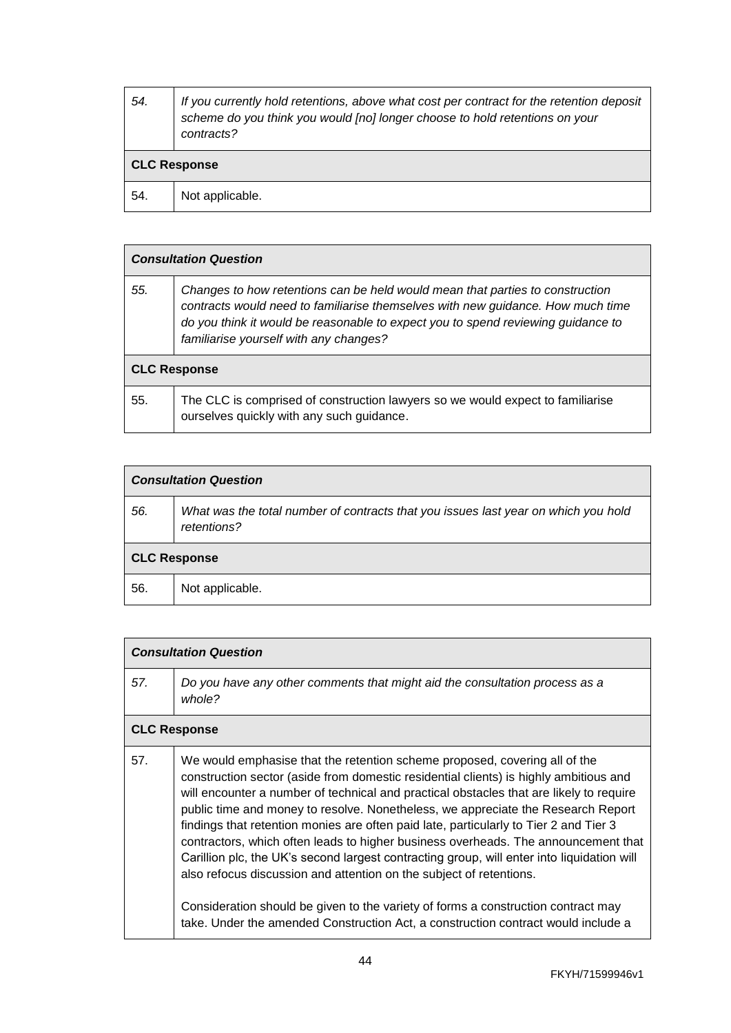| 54.                 | If you currently hold retentions, above what cost per contract for the retention deposit<br>scheme do you think you would [no] longer choose to hold retentions on your<br>contracts? |  |
|---------------------|---------------------------------------------------------------------------------------------------------------------------------------------------------------------------------------|--|
| <b>CLC Response</b> |                                                                                                                                                                                       |  |
| 54.                 | Not applicable.                                                                                                                                                                       |  |

| <b>Consultation Question</b> |                                                                                                                                                                                                                                                                                                |  |
|------------------------------|------------------------------------------------------------------------------------------------------------------------------------------------------------------------------------------------------------------------------------------------------------------------------------------------|--|
| 55.                          | Changes to how retentions can be held would mean that parties to construction<br>contracts would need to familiarise themselves with new guidance. How much time<br>do you think it would be reasonable to expect you to spend reviewing guidance to<br>familiarise yourself with any changes? |  |
| <b>CLC Response</b>          |                                                                                                                                                                                                                                                                                                |  |
| 55.                          | The CLC is comprised of construction lawyers so we would expect to familiarise<br>ourselves quickly with any such guidance.                                                                                                                                                                    |  |

| <b>Consultation Question</b> |                                                                                                   |  |
|------------------------------|---------------------------------------------------------------------------------------------------|--|
| 56.                          | What was the total number of contracts that you issues last year on which you hold<br>retentions? |  |
| <b>CLC Response</b>          |                                                                                                   |  |
| 56.                          | Not applicable.                                                                                   |  |

| <b>Consultation Question</b> |                                                                                                                                                                                                                                                                                                                                                                                                                                                                                                                                                                                                                                                                                                                                                                                                                                                                                  |  |
|------------------------------|----------------------------------------------------------------------------------------------------------------------------------------------------------------------------------------------------------------------------------------------------------------------------------------------------------------------------------------------------------------------------------------------------------------------------------------------------------------------------------------------------------------------------------------------------------------------------------------------------------------------------------------------------------------------------------------------------------------------------------------------------------------------------------------------------------------------------------------------------------------------------------|--|
| 57.                          | Do you have any other comments that might aid the consultation process as a<br>whole?                                                                                                                                                                                                                                                                                                                                                                                                                                                                                                                                                                                                                                                                                                                                                                                            |  |
| <b>CLC Response</b>          |                                                                                                                                                                                                                                                                                                                                                                                                                                                                                                                                                                                                                                                                                                                                                                                                                                                                                  |  |
| 57.                          | We would emphasise that the retention scheme proposed, covering all of the<br>construction sector (aside from domestic residential clients) is highly ambitious and<br>will encounter a number of technical and practical obstacles that are likely to require<br>public time and money to resolve. Nonetheless, we appreciate the Research Report<br>findings that retention monies are often paid late, particularly to Tier 2 and Tier 3<br>contractors, which often leads to higher business overheads. The announcement that<br>Carillion plc, the UK's second largest contracting group, will enter into liquidation will<br>also refocus discussion and attention on the subject of retentions.<br>Consideration should be given to the variety of forms a construction contract may<br>take. Under the amended Construction Act, a construction contract would include a |  |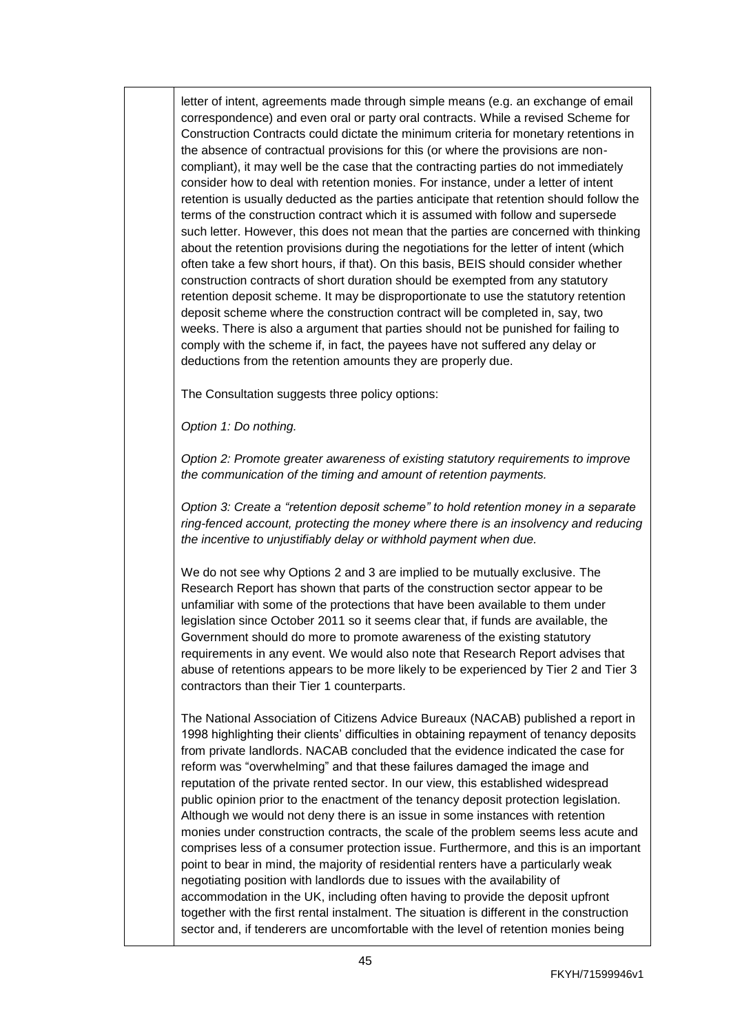letter of intent, agreements made through simple means (e.g. an exchange of email correspondence) and even oral or party oral contracts. While a revised Scheme for Construction Contracts could dictate the minimum criteria for monetary retentions in the absence of contractual provisions for this (or where the provisions are noncompliant), it may well be the case that the contracting parties do not immediately consider how to deal with retention monies. For instance, under a letter of intent retention is usually deducted as the parties anticipate that retention should follow the terms of the construction contract which it is assumed with follow and supersede such letter. However, this does not mean that the parties are concerned with thinking about the retention provisions during the negotiations for the letter of intent (which often take a few short hours, if that). On this basis, BEIS should consider whether construction contracts of short duration should be exempted from any statutory retention deposit scheme. It may be disproportionate to use the statutory retention deposit scheme where the construction contract will be completed in, say, two weeks. There is also a argument that parties should not be punished for failing to comply with the scheme if, in fact, the payees have not suffered any delay or deductions from the retention amounts they are properly due.

The Consultation suggests three policy options:

*Option 1: Do nothing.*

*Option 2: Promote greater awareness of existing statutory requirements to improve the communication of the timing and amount of retention payments.*

*Option 3: Create a "retention deposit scheme" to hold retention money in a separate ring-fenced account, protecting the money where there is an insolvency and reducing the incentive to unjustifiably delay or withhold payment when due.*

We do not see why Options 2 and 3 are implied to be mutually exclusive. The Research Report has shown that parts of the construction sector appear to be unfamiliar with some of the protections that have been available to them under legislation since October 2011 so it seems clear that, if funds are available, the Government should do more to promote awareness of the existing statutory requirements in any event. We would also note that Research Report advises that abuse of retentions appears to be more likely to be experienced by Tier 2 and Tier 3 contractors than their Tier 1 counterparts.

The [National Association of Citizens Advice Bureaux](https://www.citizensadvice.org.uk/) (NACAB) published a report in 1998 highlighting their clients' difficulties in obtaining repayment of tenancy deposits from private landlords. NACAB concluded that the evidence indicated the case for reform was "overwhelming" and that these failures damaged the image and reputation of the private rented sector. In our view, this established widespread public opinion prior to the enactment of the tenancy deposit protection legislation. Although we would not deny there is an issue in some instances with retention monies under construction contracts, the scale of the problem seems less acute and comprises less of a consumer protection issue. Furthermore, and this is an important point to bear in mind, the majority of residential renters have a particularly weak negotiating position with landlords due to issues with the availability of accommodation in the UK, including often having to provide the deposit upfront together with the first rental instalment. The situation is different in the construction sector and, if tenderers are uncomfortable with the level of retention monies being